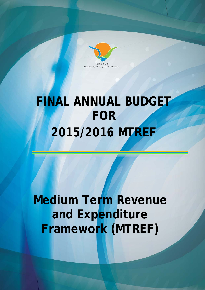

# FINAL ANNUAL BUDGET **2015/2016 MTREF FOR BUD<br>TTRE<br>ever<br>TREI<br>TREI**

**Medium Term Revenue** and Expenditure **Framework (MTREF)**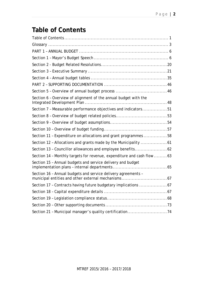# **Table of Contents**

| Section 6 - Overview of alignment of the annual budget with the         |  |
|-------------------------------------------------------------------------|--|
| Section 7 - Measurable performance objectives and indicators51          |  |
|                                                                         |  |
|                                                                         |  |
|                                                                         |  |
| Section 11 - Expenditure on allocations and grant programmes 58         |  |
|                                                                         |  |
| Section 13 - Councillor allowances and employee benefits62              |  |
| Section 14 - Monthly targets for revenue, expenditure and cash flow  63 |  |
| Section 15 - Annual budgets and service delivery and budget             |  |
| Section 16 - Annual budgets and service delivery agreements -           |  |
| Section 17 - Contracts having future budgetary implications  67         |  |
|                                                                         |  |
|                                                                         |  |
|                                                                         |  |
| Section 21 - Municipal manager's quality certification74                |  |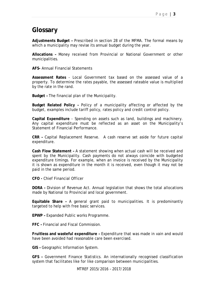# **Glossary**

**Adjustments Budget –** Prescribed in section 28 of the MFMA. The formal means by which a municipality may revise its annual budget during the year.

**Allocations –** Money received from Provincial or National Government or other municipalities.

**AFS-** Annual Financial Statements

**Assessment Rates** - Local Government tax based on the assessed value of a property. To determine the rates payable, the assessed rateable value is multiplied by the rate in the rand.

**Budget –** The financial plan of the Municipality.

**Budget Related Policy –** Policy of a municipality affecting or affected by the budget, examples include tariff policy, rates policy and credit control policy.

**Capital Expenditure** - Spending on assets such as land, buildings and machinery. Any capital expenditure must be reflected as an asset on the Municipality's Statement of Financial Performance.

**CRR –** Capital Replacement Reserve. A cash reserve set aside for future capital expenditure.

**Cash Flow Statement –** A statement showing when actual cash will be received and spent by the Municipality. Cash payments do not always coincide with budgeted expenditure timings. For example, when an invoice is received by the Municipality it is shown as expenditure in the month it is received, even though it may not be paid in the same period.

**CFO -** Chief Financial Officer

**DORA –** Division of Revenue Act. Annual legislation that shows the total allocations made by National to Provincial and local government.

**Equitable Share –** A general grant paid to municipalities. It is predominantly targeted to help with free basic services.

**EPWP –** Expanded Public works Programme.

**FFC –** Financial and Fiscal Commission.

**Fruitless and wasteful expenditure –** Expenditure that was made in vain and would have been avoided had reasonable care been exercised.

**GIS –** Geographic Information System.

**GFS –** Government Finance Statistics. An internationally recognised classification system that facilitates like for like comparison between municipalities.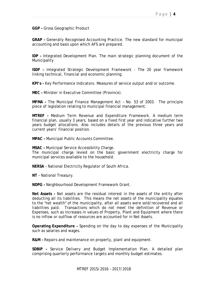**GGP –** Gross Geographic Product

**GRAP –** Generally Recognised Accounting Practice. The new standard for municipal accounting and basis upon which AFS are prepared.

**IDP –** Integrated Development Plan. The main strategic planning document of the Municipality

**ISDF –** Integrated Strategic Development Framework - The 20 year framework linking technical, financial and economic planning.

**KPI's –** Key Performance Indicators. Measures of service output and/or outcome.

**MEC –** Minister in Executive Committee (Province).

**MFMA –** The Municipal Finance Management Act – No. 53 of 2003. The principle piece of legislation relating to municipal financial management.

**MTREF –** Medium Term Revenue and Expenditure Framework. A medium term financial plan, usually 3 years, based on a fixed first year and indicative further two years budget allocations. Also includes details of the previous three years and current years' financial position.

**MPAC –** Municipal Public Accounts Committee.

**MSAC –** Municipal Service Accessibility Charge.

The municipal charge levied on the basic government electricity charge for municipal services available to the household.

**NERSA** – National Electricity Regulator of South Africa.

**NT** – National Treasury.

**NDPG –** Neighbourhood Development Framework Grant.

**Net Assets –** Net assets are the residual interest in the assets of the entity after deducting all its liabilities. This means the net assets of the municipality equates to the "net wealth" of the municipality, after all assets were sold/recovered and all liabilities paid. Transactions which do not meet the definition of Revenue or Expenses, such as increases in values of Property, Plant and Equipment where there is no inflow or outflow of resources are accounted for in Net Assets.

**Operating Expenditure –** Spending on the day to day expenses of the Municipality such as salaries and wages.

**R&M –** Repairs and maintenance on property, plant and equipment.

**SDBIP –** Service Delivery and Budget Implementation Plan. A detailed plan comprising quarterly performance targets and monthly budget estimates.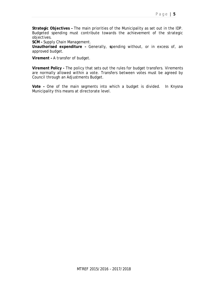**Strategic Objectives –** The main priorities of the Municipality as set out in the IDP. Budgeted spending must contribute towards the achievement of the strategic objectives.

**SCM –** Supply Chain Management.

**Unauthorised expenditure –** Generally, **s**pending without, or in excess of, an approved budget.

**Virement –** A transfer of budget.

**Virement Policy -** The policy that sets out the rules for budget transfers. Virements are normally allowed within a vote. Transfers between votes must be agreed by Council through an Adjustments Budget.

**Vote –** One of the main segments into which a budget is divided. In Knysna Municipality this means at directorate level.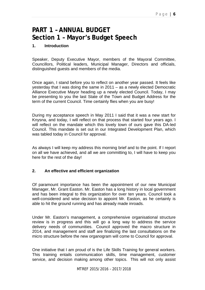# **PART 1 – ANNUAL BUDGET Section 1 – Mayor's Budget Speech**

#### **1. Introduction**

Speaker, Deputy Executive Mayor, members of the Mayoral Committee, Councillors, Political leaders, Municipal Manager, Directors and officials, distinguished guests and members of the media.

Once again, I stand before you to reflect on another year passed. It feels like yesterday that I was doing the same in 2011 – as a newly elected Democratic Alliance Executive Mayor heading up a newly elected Council. Today, I may be presenting to you the last State of the Town and Budget Address for the term of the current Council. Time certainly flies when you are busy!

During my acceptance speech in May 2011 I said that it was a new start for Knysna, and today, I will reflect on that process that started four years ago. I will reflect on the mandate which this lovely town of ours gave this DA-led Council. This mandate is set out in our Integrated Development Plan, which was tabled today in Council for approval.

As always I will keep my address this morning brief and to the point. If I report on all we have achieved, and all we are committing to, I will have to keep you here for the rest of the day!

#### **2. An effective and efficient organization**

Of paramount importance has been the appointment of our new Municipal Manager, Mr. Grant Easton. Mr. Easton has a long history in local government and has been integral to this organization for over ten years. Council took a well-considered and wise decision to appoint Mr. Easton, as he certainly is able to hit the ground running and has already made inroads.

Under Mr. Easton's management, a comprehensive organisational structure review is in progress and this will go a long way to address the service delivery needs of communities. Council approved the macro structure in 2014, and management and staff are finalizing the last consultations on the micro structure before the new organogram will come to Council for approval.

One initiative that I am proud of is the Life Skills Training for general workers. This training entails communication skills, time management, customer service, and decision making among other topics. This will not only assist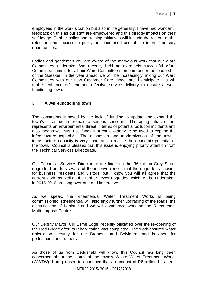employees in the work situation but also in life generally. I have had wonderful feedback on this as our staff are empowered and this directly impacts on their self-image. Further policy and training initiatives will include the roll out of the retention and succession policy and increased use of the internal bursary opportunities.

Ladies and gentlemen you are aware of the marvelous work that our Ward Committees undertake. We recently held an extremely successful Ward Committee summit for all our Ward Committee members under the leadership of the Speaker. In the year ahead we will be increasingly linking our Ward Committees with our new Customer Care model and I anticipate this will further enhance efficient and effective service delivery to ensure a wellfunctioning town.

#### **3. A well-functioning town**

The constraints imposed by the lack of funding to update and expand the town's infrastructure remain a serious concern. The aging infrastructure represents an environmental threat in terms of potential pollution incidents and also means we must use funds that could otherwise be used to expand the infrastructure capacity. The expansion and modernization of the town's infrastructure capacity is very important to realise the economic potential of the town. Council is pleased that this issue is enjoying priority attention from the Technical Services Directorate.

Our Technical Services Directorate are finalising the R6 million Grey Street upgrade. I am fully aware of the inconveniences that the upgrade is causing for business, residents and visitors, but I know you will all agree that the current work, as well as the further sewer upgrades which will be undertaken in 2015-2016 are long over-due and imperative.

As we speak, the Rheenendal Water Treatment Works is being commissioned. Rheenendal will also enjoy further upgrading of the roads, the electrification of Lapland and we will commence work on the Rheenendal Multi-purpose Centre.

Our Deputy Mayor, Cllr Esmé Edge, recently officiated over the re-opening of the Red Bridge after its rehabilitation was completed. The work ensured water reticulation security for the Brentons and Belvidere, and is open for pedestrians and runners.

As those of us from Sedgefield will know, this Council has long been concerned about the status of the town's Waste Water Treatment Works (WWTW). I am pleased to announce that an amount of R6 million has been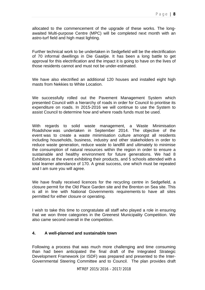allocated to the commencement of the upgrade of these works. The longawaited Multi-purpose Centre (MPC) will be completed next month with an astro-turf field and high mast lighting.

Further technical work to be undertaken in Sedgefield will be the electrification of 70 informal dwellings in Die Gaaitjie. It has been a long battle to get approval for this electrification and the impact it is going to have on the lives of those residents cannot and must not be under-estimated.

We have also electrified an additional 120 houses and installed eight high masts from Nekkies to White Location.

We successfully rolled out the Pavement Management System which presented Council with a hierarchy of roads in order for Council to prioritise its expenditure on roads. In 2015-2016 we will continue to use the System to assist Council to determine how and where roads funds must be used.

With regards to solid waste management, a Waste Minimisation Roadshow was undertaken in September 2014. The objective of the event was to create a waste minimisation culture amongst all residents including households, business, industry and other stakeholders in order to reduce waste generation, reduce waste to landfill and ultimately to minimise the consumption of natural resources within the region in order to ensure a sustainable and healthy environment for future generations. We had 8 Exhibitors at the event exhibiting their products, and 5 schools attended with a total learner attendance of 170. A great success, one which must be repeated and I am sure you will agree.

We have finally received licences for the recycling centre in Sedgefield, a closure permit for the Old Place Garden site and the Brenton on Sea site. This is all in line with National Governments requirements to have all sites permitted for either closure or operating.

I wish to take this time to congratulate all staff who played a role in ensuring that we won three categories in the Greenest Municipality Competition. We also came second overall in the competition.

#### **4. A well-planned and sustainable town**

Following a process that was much more challenging and time consuming than had been anticipated the final draft of the Integrated Strategic Development Framework (or ISDF) was prepared and presented to the Inter-Governmental Steering Committee and to Council. The plan provides draft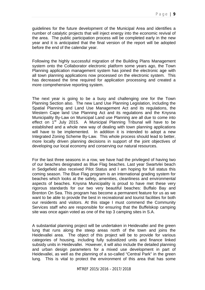guidelines for the future development of the Municipal Area and identifies a number of catalytic projects that will inject energy into the economic revival of the area. The public participation process will be completed early in the new year and it is anticipated that the final version of the report will be adopted before the end of the calendar year.

Following the highly successful migration of the Building Plans Management system onto the Collaborator electronic platform some years ago, the Town Planning application management system has joined the electronic age with all town planning applications now processed on the electronic system. This has decreased the time required for application processing and created a more comprehensive reporting system.

The next year is going to be a busy and challenging one for the Town Planning Section also. The new Land Use Planning Legislation, including the Spatial Planning and Land Use Management Act and its regulations, the Western Cape land Use Planning Act and its regulations and the Knysna Municipality By-Law on Municipal Land use Planning are all due to come into effect on  $1<sup>st</sup>$  July 2015. A Municipal Planning Tribunal will have to be established and a whole new way of dealing with town planning applications will have to be implemented. In addition it is intended to adopt a new Integrated Zoning Scheme By-Law. This whole process should lead to better, more locally driven planning decisions in support of the joint objectives of developing our local economy and conserving our natural resources.

For the last three seasons in a row, we have had the privileged of having two of our beaches designated as Blue Flag beaches. Last year Swartvlei beach in Sedgefield also received Pilot Status and I am hoping for full status this coming season. The Blue Flag program is an international grading system for beaches which looks at the safety, amenities, cleanliness and environmental aspects of beaches. Knysna Municipality is proud to have met these very rigorous standards for our two very beautiful beaches: Buffalo Bay and Brenton On Sea. This program has become a permanent feature for us as we want to be able to provide the best in recreational and tourist facilities for both our residents and visitors. At this stage I must commend the Community Services staff who are responsible for ensuring that the Buffelskop camping site was once again voted as one of the top 3 camping sites in S.A.

A substantial planning project will be undertaken in Heidevallei and the green lung that runs along the steep areas north of the town and joins the Heidevallei area. The object of this project will be to provide for various categories of housing, including fully subsidized units and finance linked subsidy units in Heidevallei. However, it will also include the detailed planning and urban design parameters for a mixed use development in part of Heidevallei, as well as the planning of a so-called "Central Park" in the green lung. This is vital to protect the environment of this area that has some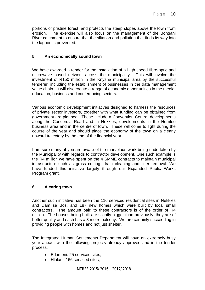portions of pristine forest, and protects the steep slopes above the town from erosion. The exercise will also focus on the management of the Bongani River catchment to ensure that the siltation and pollution that finds its way into the lagoon is prevented.

### **5. An economically sound town**

We have awarded a tender for the installation of a high speed fibre-optic and microwave based network across the municipality. This will involve the investment of R150 million in the Knysna municipal area by the successful tenderer, including the establishment of businesses in the data management value chain. It will also create a range of economic opportunities in the media, education, business and conferencing sectors.

Various economic development initiatives designed to harness the resources of private sector investors, together with what funding can be obtained from government are planned. These include a Convention Centre, developments along the Concordia Road and in Nekkies, developments in the Hornlee business area and in the centre of town. These will come to light during the course of the year and should place the economy of the town on a clearly upward trajectory by the end of the financial year.

I am sure many of you are aware of the marvelous work being undertaken by the Municipality with regards to contractor development. One such example is the R4 million we have spent on the 4 SMME contracts to maintain municipal infrastructure such as grass cutting, drain cleaning and litter removal. We have funded this initiative largely through our Expanded Public Works Program grant.

#### **6. A caring town**

Another such initiative has been the 116 serviced residential sites in Nekkies and Dam se Bos, and 187 new homes which were built by local small contractors. The amount paid to these contractors is of the order of R4 million. The houses being built are slightly bigger than previously, they are of better quality and each has a 3 metre balcony. We are certainly succeeding in providing people with homes and not just shelter.

The Integrated Human Settlements Department will have an extremely busy year ahead, with the following projects already approved and in the tender process:

- Edameni: 25 serviced sites:
- Hlalani: 166 serviced sites;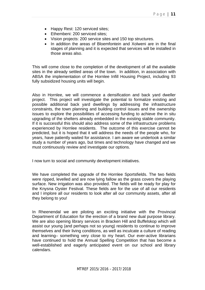- Happy Rest: 120 serviced sites;
- Ethembeni: 200 serviced sites:
- Vision projects: 200 service sites and 150 top structures.
- In addition the areas of Bloemfontein and Xolweni are in the final stages of planning and it is expected that services will be installed in those areas also.

This will come close to the completion of the development of all the available sites in the already settled areas of the town. In addition, in association with ABSA the implementation of the Hornlee Infill Housing Project, including 93 fully subsidized housing units will begin.

Also in Hornlee, we will commence a densification and back yard dweller project. This project will investigate the potential to formalize existing and possible additional back yard dwellings by addressing the infrastructure constraints, the town planning and building control issues and the ownership issues to explore the possibilities of accessing funding to achieve the in situ upgrading of the shelters already embedded in the existing stable community. If it is successful this should also address some of the infrastructure problems experienced by Hornlee residents. The outcome of this exercise cannot be predicted, but it is hoped that it will address the needs of the people who, for years, have patiently waited for assistance. I am aware we undertook a similar study a number of years ago, but times and technology have changed and we must continuously review and investigate our options.

I now turn to social and community development initiatives.

We have completed the upgrade of the Hornlee Sportsfields. The two fields were ripped, levelled and are now lying fallow as the grass covers the playing surface. New irrigation was also provided. The fields will be ready for play for the Knysna Oyster Festival. These fields are for the use of all our residents and I implore all our residents to look after all our community assets, after all they belong to you!

In Rheenendal we are piloting an exciting initiative with the Provincial Department of Education for the erection of a brand new dual purpose library. We are also opening library services in Bracken Hill and Buffelskop which will assist our young (and perhaps not so young) residents to continue to improve themselves and their living conditions, as well as inculcate a culture of reading and learning– something very close to my heart. Our ever-active librarians have continued to hold the Annual Spelling Competition that has become a well-established and eagerly anticipated event on our school and library calendars.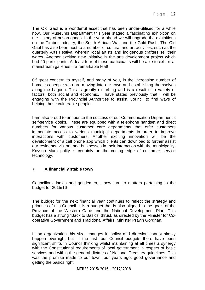The Old Gaol is a wonderful asset that has been under-utilised for a while now. Our Museums Department this year staged a fascinating exhibition on the history of prison gangs. In the year ahead we will upgrade the exhibitions on the Timber Industry, the South African War and the Gold Rush. The Old Gaol has also been host to a number of cultural and art activities, such as the quarterly Arts Festival wherein local artists and indigenous crafters sell their wares. Another exciting new initiative is the arts development project which had 20 participants. At least four of these participants will be able to exhibit at mainstream galleries – a remarkable feat!

Of great concern to myself, and many of you, is the increasing number of homeless people who are moving into our town and establishing themselves along the Lagoon. This is greatly disturbing and is a result of a variety of factors, both social and economic. I have stated previously that I will be engaging with the Provincial Authorities to assist Council to find ways of helping these vulnerable people.

I am also proud to announce the success of our Communication Department's self-service kiosks. These are equipped with a telephone handset and direct numbers for various customer care departments that offer customers immediate access to various municipal departments in order to improve interactions with customers. Another exciting innovation will be the development of a cell phone app which clients can download to further assist our residents, visitors and businesses in their interaction with the municipality. Knysna Municipality is certainly on the cutting edge of customer service technology.

## **7. A financially stable town**

Councillors, ladies and gentlemen, I now turn to matters pertaining to the budget for 2015/16

The budget for the next financial year continues to reflect the strategy and priorities of this Council. It is a budget that is also aligned to the goals of the Province of the Western Cape and the National Development Plan. This budget has a strong "Back to Basics: thrust, as directed by the Minister for Cooperative Government and Traditional Affairs, Minister Pravin Gordhan.

In an organization this size, changes in policy and direction cannot simply happen overnight but in the last four Council budgets there have been significant shifts in Council thinking whilst maintaining at all times a synergy with the Constitutional requirements of local government in respect of basic services and within the general dictates of National Treasury guidelines. This was the promise made to our town four years ago: good governance and getting the basics right.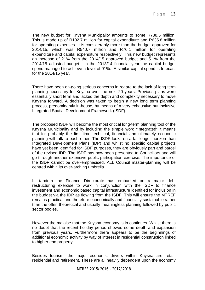The new budget for Knysna Municipality amounts to some R738.5 million. This is made up of R102.7 million for capital expenditure and R635.8 million for operating expenses. It is considerably more than the budget approved for 2014/15, which was R540.7 million and R70.1 million for operating expenditure and capital expenditure respectively. This new budget represents an increase of 21% from the 2014/15 approved budget and 5.1% from the 2014/15 adjusted budget. In the 2013/14 financial year the capital budget spend managed to achieve a level of 91%. A similar capital spend is forecast for the 2014/15 year.

There have been on-going serious concerns in regard to the lack of long term planning necessary for Knysna over the next 20 years. Previous plans were essentially short term and lacked the depth and complexity necessary to move Knysna forward. A decision was taken to begin a new long term planning process, predominantly in-house, by means of a very exhaustive but inclusive Integrated Spatial Development Framework (ISDF).

The proposed ISDF will become the most critical long-term planning tool of the Knysna Municipality and by including the simple word "Integrated" it means that for probably the first time technical, financial and ultimately economic planning will talk to each other. The ISDF looks on a far longer horizon than Integrated Development Plans (IDP) and whilst no specific capital projects have yet been identified for ISDF purposes, they are obviously part and parcel of the revised IDP. The ISDF has now been presented to Councillors and will go through another extensive public participation exercise. The importance of the ISDF cannot be over-emphasised. ALL Council master-planning will be centred within its over-arching umbrella.

In tandem the Finance Directorate has embarked on a major debt restructuring exercise to work in conjunction with the ISDF to finance investment and economic based capital infrastructure identified for inclusion in the budget via the IDP as flowing from the ISDF. This will ensure the MTREF remains practical and therefore economically and financially sustainable rather than the often theoretical and usually meaningless planning followed by public sector bodies.

However the malaise that the Knysna economy is in continues. Whilst there is no doubt that the recent holiday period showed some depth and expansion from previous years. Furthermore there appears to be the beginnings of additional economic activity by way of interest in residential construction linked to higher end property.

Besides tourism, the major economic drivers within Knysna are retail, residential and retirement. These are all heavily dependent upon the economy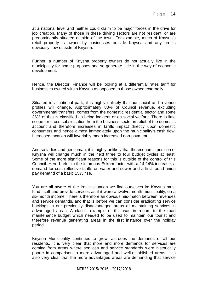at a national level and neither could claim to be major forces in the drive for job creation. Many of those in these driving sectors are not resident, or are predominantly situated outside of the town. For example, much of Knysna's retail property is owned by businesses outside Knysna and any profits obviously flow outside of Knysna.

Further, a number of Knysna property owners do not actually live in the municipality for home purposes and so generate little in the way of economic development.

Hence, the Director: Finance will be looking at a differential rates tariff for businesses owned within Knysna as opposed to those owned externally.

Situated in a national park, it is highly unlikely that our social and revenue profiles will change. Approximately 80% of Council revenue, excluding governmental transfers, comes from the domestic residential sector and some 36% of that is classified as being indigent or on social welfare. There is little scope for cross-subsidisation from the business sector in relief of the domestic account and therefore increases in tariffs impact directly upon domestic consumers and hence almost immediately upon the municipality's cash flow. Increased taxation will invariably mean increased non-payment.

And so ladies and gentleman, it is highly unlikely that the economic position of Knysna will change much in the next three to four budget cycles at least. Some of the more significant reasons for this is outside of the control of this Council. Here I refer to the infamous Eskom factor with a 14.24% increase, a demand for cost reflective tariffs on water and sewer and a first round union pay demand of a basic 15% rise.

You are all aware of the ironic situation we find ourselves in: Knysna must fund itself and provide services as if it were a twelve month municipality, on a six-month income. There is therefore an obvious mis-match between revenues and service demands, and that is before we can consider eradicating service backlogs in our previously disadvantaged areas or maintaining services in advantaged areas. A classic example of this was in regard to the road maintenance budget which needed to be used to maintain our tourist and therefore revenue generating areas in the first instance over the holiday period.

Knysna Municipality continues to grow, as does the demands of all our residents. It is very clear that more and more demands for services are coming from areas where services and service standards were historically poorer in comparison to more advantaged and well-established areas. It is also very clear that the more advantaged areas are demanding that service

MTREF 2015/2016 – 2017/2018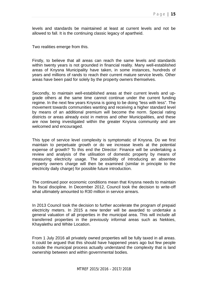levels and standards be maintained at least at current levels and not be allowed to fall. It is the continuing classic legacy of apartheid.

Two realities emerge from this.

Firstly, to believe that all areas can reach the same levels and standards within twenty years is not grounded in financial reality. Many well-established areas of Knysna Municipality have taken, in some instances, hundreds of years and millions of rands to reach their current mature service levels. Other areas have been paid for solely by the property owners themselves.

Secondly, to maintain well-established areas at their current levels and upgrade others at the same time cannot continue under the current funding regime. In the next few years Knysna is going to be doing "less with less". The movement towards communities wanting and receiving a higher standard level by means of an additional premium will become the norm. Special rating districts or areas already exist in metros and other Municipalities, and these are now being investigated within the greater Knysna community and are welcomed and encouraged.

This type of service level complexity is symptomatic of Knysna. Do we first maintain to perpetuate growth or do we increase levels at the potential expense of growth? To this end the Director: Finance will be undertaking a review and analysis of the utilisation of domestic property by means of measuring electricity usage. The possibility of introducing an absentee property owners charge will then be examined (similar in principle to the electricity daily charge) for possible future introduction.

The continued poor economic conditions mean that Knysna needs to maintain its fiscal discipline. In December 2012, Council took the decision to write-off what ultimately amounted to R30 million in service arrears.

In 2013 Council took the decision to further accelerate the program of prepaid electricity meters. In 2015 a new tender will be awarded to undertake a general valuation of all properties in the municipal area. This will include all transferred properties in the previously informal areas such as Nekkies, Khayalethu and White Location.

From 1 July 2016 all privately owned properties will be fully taxed in all areas. It could be argued that this should have happened years ago but few people outside the municipal process actually understand the complexity that is land ownership between and within governmental bodies.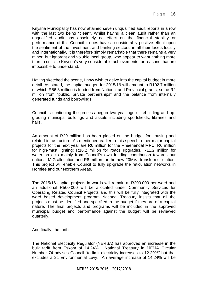Knysna Municipality has now attained seven unqualified audit reports in a row with the last two being "clean". Whilst having a clean audit rather than an unqualified audit has absolutely no effect on the financial stability or performance of this Council it does have a considerably positive effect upon the sentiment of the investment and banking sectors, in all their facets locally and internationally. It is therefore simply remarkable that there remains a very minor, but ignorant and voluble local group, who appear to want nothing more than to criticise Knysna's very considerable achievements for reasons that are impossible to understand.

Having sketched the scene, I now wish to delve into the capital budget in more detail. As stated, the capital budget for 2015/16 will amount to R102.7 million of which R56.3 million is funded from National and Provincial grants, some R2 million from "public, private partnerships" and the balance from internally generated funds and borrowings.

Council is continuing the process begun two year ago of rebuilding and upgrading municipal buildings and assets including sportsfields, libraries and halls.

An amount of R29 million has been placed on the budget for housing and related infrastructure. As mentioned earlier in this speech, other major capital projects for the next year are R6 million for the Rheenendal MPC; R6 million for high-mast lighting; R16.2 million for roads upgrades, R11.2 million for water projects mainly from Council's own funding contribution towards our national MIG allocation and R8 million for the new 20MVa transformer station. This project will enable Council to fully up-grade the reticulation networks in Hornlee and our Northern Areas.

The 2015/16 capital projects in wards will remain at R200 000 per ward and an additional R500 000 will be allocated under Community Services for Operating Related Council Projects and this will be fully integrated with the ward based development program National Treasury insists that all the projects must be identified and specified in the budget if they are of a capital nature. The final projects and programs will be included in the approved municipal budget and performance against the budget will be reviewed quarterly.

And finally, the tariffs:

The National Electricity Regulator (NERSA) has approved an increase in the bulk tariff from Eskom of 14.24%. National Treasury in MFMA Circular Number 74 advises Council "to limit electricity increases to 12.29%" but that excludes a 2c Environmental Levy. An average increase of 14.24% will be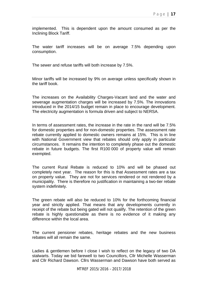implemented. This is dependent upon the amount consumed as per the Inclining Block Tariff.

The water tariff increases will be on average 7.5% depending upon consumption.

The sewer and refuse tariffs will both increase by 7.5%.

Minor tariffs will be increased by 9% on average unless specifically shown in the tariff book.

The increases on the Availability Charges-Vacant land and the water and sewerage augmentation charges will be increased by 7.5%. The innovations introduced in the 2014/15 budget remain in place to encourage development. The electricity augmentation is formula driven and subject to NERSA.

In terms of assessment rates, the increase in the rate in the rand will be 7.5% for domestic properties and for non-domestic properties. The assessment rate rebate currently applied to domestic owners remains at 15%. This is in line with National Government view that rebates should only apply in particular circumstances. It remains the intention to completely phase out the domestic rebate in future budgets. The first R100 000 of property value will remain exempted.

The current Rural Rebate is reduced to 10% and will be phased out completely next year. The reason for this is that Assessment rates are a tax on property value. They are not for services rendered or not rendered by a municipality. There is therefore no justification in maintaining a two-tier rebate system indefinitely.

The green rebate will also be reduced to 10% for the forthcoming financial year and strictly applied. That means that any developments currently in receipt of the rebate but being gated will not qualify. The retention of the green rebate is highly questionable as there is no evidence of it making any difference within the local area.

The current pensioner rebates, heritage rebates and the new business rebates will all remain the same.

Ladies & gentlemen before I close I wish to reflect on the legacy of two DA stalwarts. Today we bid farewell to two Councillors, Cllr Michelle Wasserman and Cllr Richard Dawson. Cllrs Wasserman and Dawson have both served as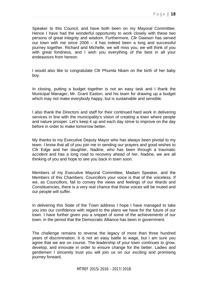Speaker to this Council, and have both been on my Mayoral Committee. Hence I have had the wonderful opportunity to work closely with these two persons of great integrity and wisdom. Furthermore, Cllr Dawson has served our town with me since 2006 – it has indeed been a long and successful journey together. Richard and Michelle, we will miss you, we will think of you with great fondness, and I wish you everything of the best in all your endeavours from hereon.

I would also like to congratulate Cllr Phumla Nkam on the birth of her baby boy.

In closing, putting a budget together is not an easy task and I thank the Municipal Manager, Mr. Grant Easton, and his team for drawing up a budget which may not make everybody happy, but is sustainable and sensible.

I also thank the Directors and staff for their continued hard work in delivering services in line with the municipality's vision of creating a town where people and nature prosper. Let's keep it up and each day strive to improve on the day before in order to make tomorrow better.

My thanks to my Executive Deputy Mayor who has always been pivotal to my team. I know that all of you join me in sending our prayers and good wishes to Cllr Edge and her daughter, Nadine, who has been through a traumatic accident and has a long road to recovery ahead of her. Nadine, we are all thinking of you and hope to see you back in town soon.

Members of my Executive Mayoral Committee, Madam Speaker, and the Members of this Chambers. Councillors your voice is that of the voiceless. If we, as Councillors, fail to convey the views and feelings of our Wards and Constituencies, there is a very real chance that those voices will be muted and our people will suffer.

In delivering this State of the Town address I hope I have managed to take you into our confidence with regard to the plans we have for the future of our town. I have further given you a snippet of some of the achievements of our town, in the period that the Democratic Alliance has been in government.

The challenge remains to reverse the legacy of more than three hundred years of discrimination. It is not an easy battle to wage, but I am sure you agree that we are on course. The leadership of your town continues to grow, develop, and innovate in order to ensure change for the better. Ladies and gentlemen I sincerely trust you will join us on our exciting and promising journey forward.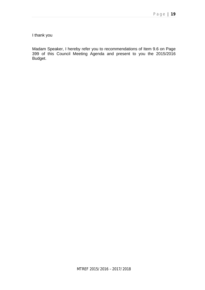I thank you

Madam Speaker, I hereby refer you to recommendations of Item 9.6 on Page 399 of this Council Meeting Agenda and present to you the 2015/2016 Budget.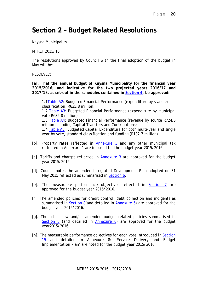# **Section 2 – Budget Related Resolutions**

Knysna Municipality

MTREF 2015/16

The resolutions approved by Council with the final adoption of the budget in May will be:

RESOLVED:

**[a]. That the annual budget of Knysna Municipality for the financial year 2015/2016; and indicative for the two projected years 2016/17 and 2017/18, as set-out in the schedules contained in Section 4, be approved:**

1.1Table A2: Budgeted Financial Performance (expenditure by standard classification) R635.8 million) 1.2 Table A3: Budgeted Financial Performance (expenditure by municipal vote R635.8 million) 1.3 Table A4: Budgeted Financial Performance (revenue by source R724.5 million including Capital Transfers and Contributions) 1.4 Table A5: Budgeted Capital Expenditure for both multi-year and single year by vote, standard classification and funding (R102.7 million)

- [b]. Property rates reflected in Annexure 3 and any other municipal tax reflected in Annexure 1 are imposed for the budget year 2015/2016.
- [c]. Tariffs and charges reflected in Annexure 3 are approved for the budget year 2015/2016.
- [d]. Council notes the amended Integrated Development Plan adopted on 31 May 2015 reflected as summarised in Section 6.
- [e]. The measurable performance objectives reflected in Section 7 are approved for the budget year 2015/2016.
- [f]. The amended policies for credit control, debt collection and indigents as summarised in Section 8(and detailed in Annexure 6) are approved for the budget year 2015/2016.
- [g]. The other new and/or amended budget related policies summarised in Section 8 (and detailed in Annexure 6) are approved for the budget year2015/2016.
- [h]. The measurable performance objectives for each vote introduced in Section 15 and detailed in Annexure 8: 'Service Delivery and Budget Implementation Plan' are noted for the budget year 2015/2016.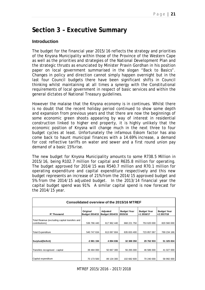# **Section 3 – Executive Summary**

## **Introduction**

The budget for the financial year 2015/16 reflects the strategy and priorities of the Knysna Municipality within those of the Province of the Western Cape as well as the priorities and strategies of the National Development Plan and the strategic thrusts as enunciated by Minister Pravin Gordhan in his position paper on local government summarised in the slogan "Back to Basics". Changes in policy and direction cannot simply happen overnight but in the last four Council budgets there have been significant shifts in Council thinking whilst maintaining at all times a synergy with the Constitutional requirements of local government in respect of basic services and within the general dictates of National Treasury guidelines.

However the malaise that the Knysna economy is in continues. Whilst there is no doubt that the recent holiday period continued to show some depth and expansion from previous years and that there are now the beginnings of some economic green shoots appearing by way of interest in residential construction linked to higher end property, it is highly unlikely that the economic position of Knysna will change much in the next three to four budget cycles at least. Unfortunately the infamous Eskom factor has also come back to haunt municipal finances with a 14.69% increase, a demand for cost reflective tariffs on water and sewer and a first round union pay demand of a basic 15% rise.

The new budget for Knysna Municipality amounts to some R738.5 Million in 2015/16, being R102.7 million for capital and R635.8 million for operating. The budget approved for 2014/15 was R540.7 million and R70.1 million for operating expenditure and capital expenditure respectively and this new budget represents an increase of 21% from the 2014/15 approved budget and 5% from the 2014/15 adjusted budget. In the 2013/14 financial year the capital budget spend was 91%. A similar capital spend is now forecast for the 2014/15 year.

| Consolidated overview of the 2015/16 MTREF                       |                                   |                                   |                               |                                  |                                  |  |  |  |  |  |
|------------------------------------------------------------------|-----------------------------------|-----------------------------------|-------------------------------|----------------------------------|----------------------------------|--|--|--|--|--|
| R' Thousand                                                      | Original<br><b>Budget 2014/15</b> | Adjusted<br><b>Budget 2014/15</b> | <b>Budget Year</b><br>2015/16 | <b>Budget Year</b><br>+1 2016/17 | <b>Budget Year</b><br>+2 2017/18 |  |  |  |  |  |
| Total Revenue (excluding capital transfers and<br>contributions) | 536 766 440                       | 617 962 440                       | 668 221 750                   | 753 620 000                      | 820 560 000                      |  |  |  |  |  |
| <b>Total Expenditure</b>                                         | 540 747 634                       | 613 067 604                       | 635 833 400                   | 723 857 067                      | 769 234 166                      |  |  |  |  |  |
| Surplus/(Deficit)                                                | -3 981 194                        | 4 894 836                         | 32 388 350                    | 29 762 933                       | 51 325 834                       |  |  |  |  |  |
| Transfers recognised - capital                                   | 39 484 000                        | 50 667 300                        | 56 265 000                    | 46 586 000                       | 41 027 000                       |  |  |  |  |  |
| Capital expenditure                                              | 70 173 500                        | 89 134 300                        | 102 682 600                   | 70 240 000                       | 58 992 000                       |  |  |  |  |  |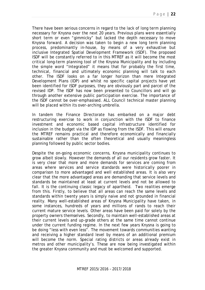Page | **22** 

There have been serious concerns in regard to the lack of long term planning necessary for Knysna over the next 20 years. Previous plans were essentially short term or even "gimmicky" but lacked the depth necessary to move Knysna forward. A decision was taken to begin a new long term planning process, predominantly in-house, by means of a very exhaustive but inclusive Integrated Spatial Development Framework (ISDF). The proposed ISDF will be constantly referred to in this MTREF as it will become the most critical long-term planning tool of the Knysna Municipality and by including the simple word "Integrated" it means that for probably the first time, technical, financial and ultimately economic planning will talk to each other. The ISDF looks on a far longer horizon than mere Integrated Development Plans (IDP) and whilst no specific capital projects have yet been identified for ISDF purposes, they are obviously part and parcel of the revised IDP. The ISDF has now been presented to Councillors and will go through another extensive public participation exercise. The importance of the ISDF cannot be over-emphasised. ALL Council technical master planning will be placed within its over-arching umbrella.

In tandem the Finance Directorate has embarked on a major debt restructuring exercise to work in conjunction with the ISDF to finance investment and economic based capital infrastructure identified for inclusion in the budget via the IDP as flowing from the ISDF. This will ensure the MTREF remains practical and therefore economically and financially sustainable rather than the often theoretical and usually meaningless planning followed by public sector bodies.

Despite the on-going economic concerns, Knysna municipality continues to grow albeit slowly. However the demands of all our residents grow faster. It is very clear that more and more demands for services are coming from areas where services and service standards were historically poorer in comparison to more advantaged and well established areas. It is also very clear that the more advantaged areas are demanding that service levels and standards be maintained at least at current levels and not be allowed to fall. It is the continuing classic legacy of apartheid. Two realities emerge from this. Firstly, to believe that all areas can reach the same levels and standards within twenty years is simply naive and not grounded in financial reality. Many well-established areas of Knysna Municipality have taken, in some instances, hundreds of years and millions of rands to reach their current mature service levels. Other areas have been paid for solely by the property owners themselves. Secondly, to maintain well-established areas at their current levels and up-grade others at the same time cannot continue under the current funding regime. In the next few years Knysna is going to be doing "less with even less". The movement towards communities wanting and receiving a higher standard level by means of an additional premium will become the norm. Special rating districts or areas already exist in metros and other municipality's. These are now being investigated within the greater Knysna community and must be welcomed and supported.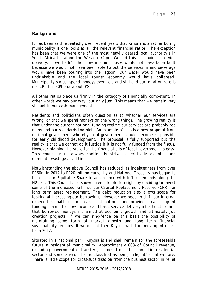## **Background**

It has been said repeatedly over recent years that Knysna is a rather boring municipality if one looks at all the relevant financial ratios. The exception has been that we were one of the most heavily geared local authority's in South Africa let alone the Western Cape. We did this to maximise service delivery. If we hadn't then low income houses would not have been built because we would not have been able to put the services in and sewerage would have been pouring into the lagoon. Our water would have been undrinkable and the local tourist economy would have collapsed. Municipality's must spend moneys even to stand still and our inflation rate is not CPI. It is CPI plus about 3%.

All other ratios place us firmly in the category of financially competent. In other words we pay our way, but only just. This means that we remain very vigilant in our cash management.

Residents and politicians often question as to whether our services are wrong, or that we spend moneys on the wrong things. The growing reality is that under the current national funding regime our services are probably too many and our standards too high. An example of this is a new proposal from national government whereby local government should become responsible for early childhood development. The proposal is fully supported but the reality is that we cannot do it justice if it is not fully funded from the fiscus. However blaming the state for the financial ails of local government is easy. This council must always continually strive to critically examine and eliminate wastage at all times.

Notwithstanding the above Council has reduced its indebtedness from over R160m in 2012 to R120 million currently and National Treasury has begun to increase our Equitable Share in accordance with influx demands along the N2 axis. This Council also showed remarkable foresight by deciding to invest some of the increased IGT into our Capital Replacement Reserve (CRR) for long term asset replacement. The debt reduction also allows scope for looking at increasing our borrowings. However we need to shift our internal expenditure patterns to ensure that national and provincial capital grant funding is aimed at low income and basic service delivery infrastructure and that borrowed moneys are aimed at economic growth and ultimately job creation projects. If we can ring-fence on this basis the possibility of maintaining some form of market growth and long term financial sustainability remains. If we do not then Knysna will start moving into care from 2017.

Situated in a national park, Knysna is and shall remain for the foreseeable future a residential municipality. Approximately 80% of Council revenue, excluding governmental transfers, comes from the domestic residential sector and some 36% of that is classified as being indigent/social welfare. There is little scope for cross-subsidisation from the business sector in relief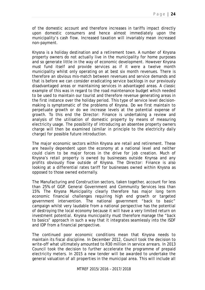of the domestic account and therefore increases in tariffs impact directly upon domestic consumers and hence almost immediately upon the municipality's cash flow. Increased taxation will invariably mean increased non-payment.

Knysna is a holiday destination and a retirement town. A number of Knysna property owners do not actually live in the municipality for home purposes and so generate little in the way of economic development. However Knysna must fund itself and provide services as if it were a twelve month municipality whilst only operating on at best six month revenues. There is therefore an obvious mis-match between revenues and service demands and that is before we can consider eradicating service backlogs in our previously disadvantaged areas or maintaining services in advantaged areas. A classic example of this was in regard to the road maintenance budget which needed to be used to maintain our tourist and therefore revenue generating areas in the first instance over the holiday period. This type of service level decisionmaking is symptomatic of the problems of Knysna. Do we first maintain to perpetuate growth or do we increase levels at the potential expense of growth. To this end the Director: Finance is undertaking a review and analysis of the utilisation of domestic property by means of measuring electricity usage. The possibility of introducing an absentee property owners charge will then be examined (similar in principle to the electricity daily charge) for possible future introduction.

The major economic sectors within Knysna are retail and retirement. These are heavily dependent upon the economy at a national level and neither could claim to be major forces in the drive for job creation. Much of Knysna's retail property is owned by businesses outside Knynsa and any profits obviously flow outside of Knysna. The Director: Finance is also looking at a differential rates tariff for businesses owned within Knysna as opposed to those owned externally.

The Manufacturing and Construction sectors, taken together, account for less than 25% of GGP. General Government and Community Services less than 15%. The Knysna Municipality clearly therefore has major long term economic financial challenges requiring high end growth or targeted government intervention. The national government "back to basic" campaign whilst very laudable from a national perspective has the potential of destroying the local economy because it will have a very limited return on investment potential. Knysna municipality must therefore manage the "back to basics" approach in such a way that it integrates seamlessly into the ISDF and IDP from a financial perspective.

The continued poor economic conditions mean that Knysna needs to maintain its fiscal discipline. In December 2012, Council took the decision to write-off what ultimately amounted to R30 million in service arrears. In 2013 Council took the decision to further accelerate the programme of prepaid electricity meters. In 2015 a new tender will be awarded to undertake the general valuation of all properties in the municipal area. This will include all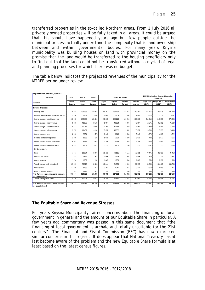transferred properties in the so-called Northern areas. From 1 July 2016 all privately owned properties will be fully taxed in all areas. It could be argued that this should have happened years ago but few people outside the municipal process actually understand the complexity that is land ownership between and within governmental bodies. For many years Knysna municipality was building houses on land with provincial money on the promise that the land would be transferred to the housing beneficiary only to find out that the land could not be transferred without a myriad of legal and planning processes for which there was no budget.

| Projected Revenue for 2015_16 MTREF                              |                    |                          |                    |                    |                           |                          |                      |                               |                                                        |                           |
|------------------------------------------------------------------|--------------------|--------------------------|--------------------|--------------------|---------------------------|--------------------------|----------------------|-------------------------------|--------------------------------------------------------|---------------------------|
| Description                                                      | 2011/12            | 2012/13                  | 2013/14            |                    |                           | Current Year 2014/15     |                      |                               | 2015/16 Medium Term Revenue & Expenditure<br>Framework |                           |
| R thousand                                                       | Audited<br>Outcome | Audited<br>Outcome       | Audited<br>Outcome | Original<br>Budget | Adjusted<br><b>Budget</b> | Full Year<br>Forecast    | Pre-audit<br>outcome | <b>Budget Year</b><br>2015/16 | Budget Year +1<br>2016/17                              | Budget Year +2<br>2017/18 |
| Revenue By Source                                                |                    |                          |                    |                    |                           |                          |                      |                               |                                                        |                           |
| Property rates                                                   | 125 364            | 139 988                  | 143 966            | 159 457            | 159 457                   | 159 457                  | 159 457              | 171 416                       | 188 535                                                | 201 733                   |
| Property rates - penalties & collection charges                  | 2 3 5 6            | 2 4 8 7                  | 3 0 6 5            | 2804               | 2 8 0 4                   | 2804                     | 2804                 | 3014                          | 3 3 3 1                                                | 3631                      |
| Service charges - electricity revenue                            | 160 116            | 172 199                  | 181 348            | 193 213            | 188 213                   | 188 213                  | 188 213              | 215 015                       | 245 359                                                | 276 495                   |
| Service charges - water revenue                                  | 40 656             | 43 078                   | 43530              | 48 904             | 48 904                    | 48 904                   | 48 904               | 52 571                        | 67 132                                                 | 71829                     |
| Service charges - sanitation revenue                             | 9632               | 10 2 32                  | 10898              | 11 469             | 11 469                    | 11 469                   | 11 469               | 12 3 29                       | 13 499                                                 | 14 4 45                   |
| Service charges - refuse revenue                                 | 13 179             | 13 4 5 9                 | 14 188             | 15 3 5 2           | 15 3 5 2                  | 15 3 5 2                 | 15 3 5 2             | 16 504                        | 18 575                                                 | 20 433                    |
| Service charges - other                                          | 2966               | 2 3 3 4                  | 2574               | 3648               | 3 6 4 8                   | 3648                     | 3648                 | 3 9 7 6                       | 4 3 3 3                                                | 4722                      |
| Rental of facilities and equipment                               | 3500               | 3563                     | 4 1 3 8            | 5 0 3 0            | 5 0 3 0                   | 5 0 3 0                  | 5 0 3 0              | 5 4 8 2                       | 5977                                                   | 6516                      |
| Interest earned - external investments                           | 6 6 6 7            | 6589                     | 5944               | 2 3 4 6            | 2 3 4 6                   | 2 3 4 6                  | 2 3 4 6              | 3 2 0 0                       | 3 4 0 0                                                | 3 600                     |
| Interest earned - outstanding debtors                            | 4551               | 3 2 3 7                  | 3617               | 3 2 5 0            | 3 2 5 0                   | 3 2 5 0                  | 3 2 5 0              | 3542                          | 3 7 5 3                                                | 4 0 8 9                   |
| Dividends received                                               |                    | $\overline{\phantom{a}}$ |                    | $\sim$             |                           | $\overline{\phantom{a}}$ |                      |                               |                                                        |                           |
| Fines                                                            | 7677               | 13 964                   | 46 977             | 15 111             | 78 111                    | 78 111                   | 78 111               | 79 471                        | 86 623                                                 | 94 418                    |
| Licences and permits                                             | 1843               | 1674                     | 1643               | 1998               | 1998                      | 1998                     | 1998                 | 2 1 7 9                       | 2 3 3 1                                                | 2541                      |
| Agency services                                                  | 1774               | 1809                     | 2 1 6 1            | 1800               | 1800                      | 1800                     | 1800                 | 1850                          | 1950                                                   | 1960                      |
| Transfers recognised - operational                               | 89 231             | 83 819                   | 89 804             | 68 844             | 91 990                    | 91 990                   | 91 990               | 93 803                        | 104 483                                                | 108 783                   |
| Other revenue                                                    | 37 889             | 8 4 5 5                  | 7750               | 3 2 9 1            | 3 3 4 1                   | 3 3 4 1                  | 3 3 4 1              | 3619                          | 4 0 8 9                                                | 5 1 1 5                   |
| Gains on disposal of assets                                      | 43                 | 2816                     | 327                | 250                | 250                       | 250                      | 250                  | 250                           | 250                                                    | 250                       |
| Total Revenue (excluding capital transfers                       | 507 444            | 509 703                  | 561 930            | 536 766            | 617 962                   | 617 962                  | 617 962              | 668 222                       | 753 620                                                | 820 560                   |
| and contributions)                                               |                    |                          |                    |                    |                           |                          |                      |                               |                                                        |                           |
| Transfers recognised - capital                                   | 30 679             | 41 023                   | 39 27 2            | 39 484             | 50 667                    | 50 667                   | 50 667               | 56 265                        | 46 586                                                 | 41 0 27                   |
| Total Revenue (including capital transfers<br>and contributions) | 538 123            | 550 726                  | 601 203            | 576 250            | 668 630                   | 668 630                  | 668 630              | 724 487                       | 800 206                                                | 861 587                   |

The table below indicates the projected revenues of the municipality for the MTREF period under review.

## **The Equitable Share and Revenue Stresses**

For years Knysna Municipality raised concerns about the financing of local government in general and the amount of our Equitable Share in particular. A few years ago commentary was passed in this same document that "the financing of local government is archaic and totally unsuitable for the 21st century". The Financial and Fiscal Commission (FFC) has now expressed similar concerns in this regard. It does appear that National Treasury has at last become aware of the problem and the new Equitable Share formula is at least based on the latest census figures.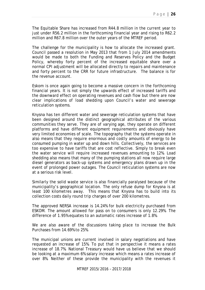The Equitable Share has increased from R44.8 million in the current year to just under R56.2 million in the forthcoming financial year and rising to R62.2 million and R67.8 million over the outer years of the MTREF period.

The challenge for the municipality is how to allocate the increased grant. Council passed a resolution in May 2013 that from 1 July 2014 amendments would be made to both the Funding and Reserves Policy and the Budget Policy, whereby forty percent of the increased equitable share over a normal CPI adjustment will be allocated directly to repairs and maintenance and forty percent to the CRR for future infrastructure. The balance is for the revenue account.

Eskom is once again going to become a massive concern in the forthcoming financial years. It is not simply the upwards effect of increased tariffs and the downward effect on operating revenues and cash flow but there are now clear implications of load shedding upon Council's water and sewerage reticulation systems.

Knysna has ten different water and sewerage reticulation systems that have been designed around the distinct geographical attributes of the various communities they serve. They are of varying age, they operate on different platforms and have different equipment requirements and obviously have very limited economies of scale. The topography that the systems operate in also means that they require enormous and costly amounts of energy to be consumed pumping in water up and down hills. Collectively, the services are too expensive to have tariffs that are cost reflective. Simply to break even the water service will require increased revenues amounting to 12%. Load shedding also means that many of the pumping stations all now require large diesel generators as back-up systems and emergency plans drawn up in the event of prolonged power outages. The Council reticulation systems are now at a serious risk level.

Similarly the solid waste service is also financially paralysed because of the municipality's geographical location. The only refuse dump for Knysna is at least 100 kilometres away. This means that Knysna has to build into its collection costs daily round trip charges of over 200 kilometres.

The approved NERSA increase is 14.24% for bulk electricity purchased from ESKOM. The amount allowed for pass on to consumers is only 12.29%. The difference of 1.95% equates to an automatic rates increase of 1.8%.

We are also aware of the discussions taking place to increase the Bulk Purchases from 14.69% to 25%.

The municipal unions are current involved in salary negotiations and have requested an increase of 15%. To put that in perspective it means a rates increase of 18.7%. National Treasury would have us believe that we should be looking at a maximum 6% salary increase which means a rates increase of over 8%. Neither of these provide the municipality with the revenues it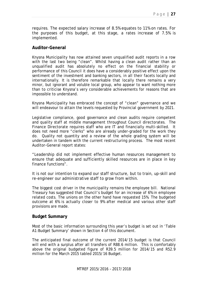requires. The expected salary increase of 8.5% equates to 11% on rates. For the purposes of this budget, at this stage, a rates increase of 7.5% is implemented.

#### **Auditor-General**

Knysna Municipality has now attained seven unqualified audit reports in a row with the last two being "clean". Whilst having a clean audit rather than an unqualified audit has absolutely no effect on the financial stability or performance of this Council it does have a considerably positive effect upon the sentiment of the investment and banking sectors, in all their facets locally and internationally. It is therefore remarkable that locally there remains a very minor, but ignorant and voluble local group, who appear to want nothing more than to criticise Knysna's very considerable achievements for reasons that are impossible to understand.

Knysna Municipality has embraced the concept of "clean" governance and we will endeavour to attain the levels requested by Provincial government by 2021.

Legislative compliance, good governance and clean audits require competent and quality staff at middle management throughout Council directorates. The Finance Directorate requires staff who are IT and financially multi-skilled. It does not need more "clerks" who are already under-graded for the work they do. Quality not quantity and a review of the whole grading system will be undertaken in tandem with the current restructuring process. The most recent Auditor-General report states:

"Leadership did not implement effective human resources management to ensure that adequate and sufficiently skilled resources are in place in key finance functions".

It is not our intention to expand our staff structure, but to train, up-skill and re-engineer our administrative staff to grow from within.

The biggest cost driver in the municipality remains the employee bill. National Treasury has suggested that Council's budget for an increase of 6% in employee related costs. The unions on the other hand have requested 15%. The budgeted outcome at 6% is actually closer to 9% after medical and various other staff provisions are made.

#### **Budget Summary**

Most of the basic information surrounding this year's budget is set out in 'Table A1:Budget Summary' shown in Section 4 of this document.

The anticipated final outcome of the current 2014/15 budget is that Council will end with a surplus after all transfers of R88.6 million. This is comfortably above the original budgeted figure of R39.5 million for 2014/15 and R52.9 million for the March 2015 tabled 2015/16 Budget.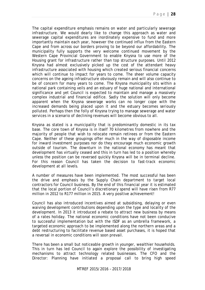Page | **28** 

The capital expenditure emphasis remains on water and particularly sewerage infrastructure. We would dearly like to change this approach as water and sewerage capital expenditures are inordinately expensive to fund and more importantly maintain each year, however the continued influx from the Eastern Cape and from across our borders proving to be beyond our affordability. The municipality fully supports the very welcome continued movement by the Western Cape Provincial Government to enable Knysna to use more of the Housing grant for infrastructure rather than top structure purposes. Until 2012 Knysna had almost exclusively picked up the cost of the attendant heavy infrastructure associated with housing which created serious financial concerns which will continue to impact for years to come. The sheer volume capacity concerns on the ageing infrastructure obviously remain and will also continue to be of concern for many years to come. The Knysna municipality sits within a national park containing veils and an estuary of huge national and international significance and yet Council is expected to maintain and manage a massively complex industrial and financial edifice. Sadly the solution will only become apparent when the Knysna sewerage works can no longer cope with the increased demands being placed upon it and the estuary becomes seriously polluted. Perhaps then the folly of Knysna trying to manage sewerage and water services in a scenario of declining revenues will become obvious to all.

Knysna as stated is a municipality that is predominantly domestic in its tax base. The core town of Knysna is in itself 70 kilometres from nowhere and the majority of people that wish to relocate remain retirees or from the Eastern Cape. Neither of these groupings offer much in the way of disposable income for inward investment purposes nor do they encourage much economic growth outside of tourism. The downturn in the national economy has meant that development has virtually ceased and this in turn has led to a position whereby unless the position can be reversed quickly Knysna will be in terminal decline. For this reason Council has taken the decision to fast-track economic development at all levels.

A number of measures have been implemented. The most successful has been the drive and emphasis by the Supply Chain department to target local contractors for Council business. By the end of this financial year it is estimated that the local portion of Council's discretionary spend will have risen from R77 million in 2012 to R177 million in 2015. A very positive achievement!

Council has also introduced incentives aimed at subsidising, delaying or even waiving development contributions depending upon the type and locality of the development. In 2013 it introduced a rebate to attract new business by means of a rates holiday. The national economic conditions have not been conducive to successful implementation but with the ISDF as an umbrella framework, a targeted economic approach to be implemented along the northern areas and a debt restructuring to facilitate revenue based asset purchases, it is hoped that a reversal in economic conditions will soon prevail.

There has been a small but noticeable growth in younger, wealthier households. This in turn has led Council to again explore the possibility of investigating mechanisms to attract technology related businesses. The CFO and the Director: Planning have initiated a proposal call to bring high speed

MTREF 2015/2016 – 2017/2018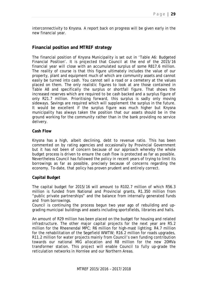interconnectivity to Knysna. A report back on progress will be given early in the new financial year.

## **Financial position and MTREF strategy**

The financial position of Knysna Municipality is set out in 'Table A6: Budgeted Financial Position'. It is projected that Council at the end of the 2015/16 financial year will close with an accumulated surplus of some R817.6 million. The reality of course is that this figure ultimately includes the value of our property, plant and equipment much of which are community assets and cannot easily be turned into cash. You cannot sell a road or a cemetery at the values placed on them. The only realistic figures to look at are those contained in Table A8 and specifically the surplus or shortfall figure. That shows the increased reserves which are required to be cash backed and a surplus figure of only R21.7 million. Prioritising forward, this surplus is sadly only moving sideways. Savings are required which will supplement the surplus in the future. It would be excellent if the surplus figure was much higher but Knysna municipality has always taken the position that our assets should be in the ground working for the community rather than in the bank providing no service delivery.

#### **Cash Flow**

Knysna has a high, albeit declining, debt to revenue ratio. This has been commented on by rating agencies and occasionally by Provincial Government but it has not been of concern because of our approach whereby the whole budget process is driven to ensure the cash flow is protected as far as possible. Nevertheless Council has followed the policy in recent years of trying to limit its borrowings as far as possible, precisely because of concerns regarding the economy. To-date, that policy has proven prudent and entirely correct.

#### **Capital Budget**

The capital budget for 2015/16 will amount to R102.7 million of which R56.3 million is funded from National and Provincial grants, R1.350 million from "public private partnerships" and the balance from internally generated funds and from borrowings.

Council is continuing the process begun two year ago of rebuilding and upgrading municipal buildings and assets including sportsfields, libraries and halls.

An amount of R29 million has been placed on the budget for housing and related infrastructure. The other major capital projects for the next year are R5.2 million for the Rheenendal MPC; R6 million for high-mast lighting; R4.7 million for the rehabilitation of the Segefield WWTW; R16.2 million for roads upgrades, R11.2 million for water projects mainly from Council's own funding contribution towards our national MIG allocation and R8 million for the new 20MVa transformer station. This project will enable Council to fully up-grade the reticulation networks in Hornlee and our Northern Areas.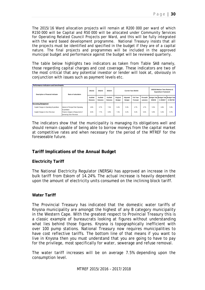The 2015/16 Ward allocation projects will remain at R200 000 per ward of which R150 000 will be Capital and R50 000 will be allocated under Community Services for Operating Related Council Projects per Ward, and this will be fully integrated with the ward based development programme. National Treasury insists that all the projects must be identified and specified in the budget if they are of a capital nature. The final projects and programmes will be included in the approved municipal budget and performance against the budget will be reviewed quarterly.

The table below highlights two indicators as taken from Table SA8 namely, those regarding capital charges and cost coverage. These indicators are two of the most critical that any potential investor or lender will look at, obviously in conjunction with issues such as payment levels etc.

| Performance indicators and benchmarks    |                                                          |                    |                    |                    |                      |                    |                       |                                                               |                                                |             |             |
|------------------------------------------|----------------------------------------------------------|--------------------|--------------------|--------------------|----------------------|--------------------|-----------------------|---------------------------------------------------------------|------------------------------------------------|-------------|-------------|
| Description of financial indicator       | Basis of calculation                                     | 2011/12            | 2012/13            | 2013/14            | Current Year 2014/15 |                    |                       | 2015/16 Medium Term Revenue &<br><b>Expenditure Framework</b> |                                                |             |             |
|                                          |                                                          | Audited<br>Outcome | Audited<br>Outcome | Audited<br>Outcome | Original<br>Budget   | Adjusted<br>Budget | Full Year<br>Forecast | Pre-audit<br>outcome                                          | Budget Year Budget Year Budget Year<br>2015/16 | $+12016/17$ | $+22017/18$ |
| <b>Borrowing Management</b>              |                                                          |                    |                    |                    |                      |                    |                       |                                                               |                                                |             |             |
| Capital Charges to Operating Expenditure | Interest & Principal Paid / Operating<br>Expenditure     | 4.8%               | 6.7%               | 7.4%               | 6.4%                 | 5.3%               | 4.7%                  | 4.7%                                                          | 5.3%                                           | 4.8%        | 5.3%        |
| Capital Charges to Own Revenue           | Finance charges & Repayment of<br>borrowing /Own Revenue | 8.0%               | 7.7%               | 8.9%               | 7.4%                 | 6.2%               | 5.4%                  | 5.4%                                                          | 5.9%                                           | 5.4%        | 5.7%        |

The indicators show that the municipality is managing its obligations well and should remain capable of being able to borrow moneys from the capital market at competitive rates and when necessary for the period of the MTREF for the foreseeable future.

## **Tariff Implications of the Annual Budget**

#### **Electricity Tariff**

The National Electricity Regulator (NERSA) has approved an increase in the bulk tariff from Eskom of 14.24%. The actual increase is heavily dependent upon the amount of electricity units consumed on the inclining block tariff.

#### **Water Tariff**

The Provincial Treasury has indicated that the domestic water tariffs of Knysna municipality are amongst the highest of any B category municipality in the Western Cape. With the greatest respect to Provincial Treasury this is a classic example of bureaucrats looking at figures without understanding what lies behind those figures. Knysna is topographically inefficient with over 100 pump stations. National Treasury now requires municipalities to have cost reflective tariffs. The bottom line of that means if you want to live in Knysna then you must understand that you are going to have to pay for the privilege, most specifically for water, sewerage and refuse removal.

The water tariff increases will be on average 7.5% depending upon the consumption level.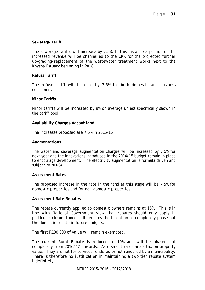#### **Sewerage Tariff**

The sewerage tariffs will increase by 7.5%. In this instance a portion of the increased revenue will be channelled to the CRR for the projected further up-grading/replacement of the wastewater treatment works next to the Knysna Estuary beginning in 2018.

#### **Refuse Tariff**

The refuse tariff will increase by 7.5% for both domestic and business consumers.

#### **Minor Tariffs**

Minor tariffs will be increased by 9% on average unless specifically shown in the tariff book.

#### **Availability Charges-Vacant land**

The increases proposed are 7.5% in 2015-16

#### **Augmentations**

The water and sewerage augmentation charges will be increased by 7,5% for next year and the innovations introduced in the 2014/15 budget remain in place to encourage development. The electricity augmentation is formula driven and subject to NERSA.

#### **Assessment Rates**

The proposed increase in the rate in the rand at this stage will be 7.5% for domestic properties and for non-domestic properties.

#### **Assessment Rate Rebates**

The rebate currently applied to domestic owners remains at 15%. This is in line with National Government view that rebates should only apply in particular circumstances. It remains the intention to completely phase out the domestic rebate in future budgets.

The first R100 000 of value will remain exempted.

The current Rural Rebate is reduced to 10% and will be phased out completely from 2016/17 onwards. Assessment rates are a tax on property value. They are not for services rendered or not rendered by a municipality. There is therefore no justification in maintaining a two tier rebate system indefinitely.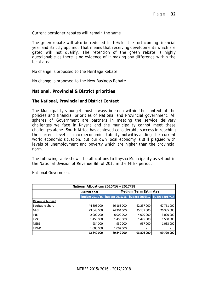Current pensioner rebates will remain the same

The green rebate will also be reduced to 10% for the forthcoming financial year and strictly applied. That means that receiving developments which are gated will not qualify. The retention of the green rebate is highly questionable as there is no evidence of it making any difference within the local area.

No change is proposed to the Heritage Rebate.

No change is proposed to the New Business Rebate.

#### **National, Provincial & District priorities**

#### **The National, Provincial and District Context**

The Municipality's budget must always be seen within the context of the policies and financial priorities of National and Provincial government. All spheres of Government are partners in meeting the service delivery challenges we face in Knysna and the municipality cannot meet these challenges alone. South Africa has achieved considerable success in reaching the current level of macroeconomic stability notwithstanding the current world economic situation, but our own local economy is still plagued with levels of unemployment and poverty which are higher than the provincial norm.

The following table shows the allocations to Knysna Municipality as set out in the National Division of Revenue Bill of 2015 in the MTEF period;

| National Allocations 2015/16 - 2017/18 |                       |                              |                               |                       |  |  |  |  |  |  |
|----------------------------------------|-----------------------|------------------------------|-------------------------------|-----------------------|--|--|--|--|--|--|
|                                        | <b>Current Year</b>   | <b>Medium Term Estimates</b> |                               |                       |  |  |  |  |  |  |
|                                        | <b>budget 2014/15</b> |                              | budget 2015/16 budget 2016/17 | <b>budget 2017/18</b> |  |  |  |  |  |  |
| <b>Revenue budget</b>                  |                       |                              |                               |                       |  |  |  |  |  |  |
| Equitable share                        | 44 808 000            | 56 163 000                   | 62 237 000                    | 67 761 000            |  |  |  |  |  |  |
| <b>MIG</b>                             | 23 648 000            | 24 304 000                   | 25 137 000                    | 26 385 000            |  |  |  |  |  |  |
| <b>INEP</b>                            | 2 000 000             | 6 000 000                    | 4 000 000                     | 3 000 000             |  |  |  |  |  |  |
| <b>FMG</b>                             | 1450000               | 1450000                      | 1 475 000                     | 1550000               |  |  |  |  |  |  |
| <b>MSIG</b>                            | 934 000               | 930 000                      | 957000                        | 1033000               |  |  |  |  |  |  |
| <b>EPWP</b>                            | 1 000 000             | 1 002 000                    | $\overline{\phantom{a}}$      |                       |  |  |  |  |  |  |
|                                        | 73 840 000            | 89 849 000                   | 93 806 000                    | 99 729 000            |  |  |  |  |  |  |

#### *National Government*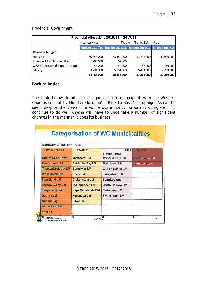#### **Provincial Government**

| Provincial Allocations 2015/16 - 2017/18 |                                                                   |                              |            |            |  |  |  |  |  |  |
|------------------------------------------|-------------------------------------------------------------------|------------------------------|------------|------------|--|--|--|--|--|--|
|                                          | <b>Current Year</b>                                               | <b>Medium Term Estimates</b> |            |            |  |  |  |  |  |  |
|                                          | budget 2014/15   budget 2015/16   budget 2016/17   budget 2017/18 |                              |            |            |  |  |  |  |  |  |
| <b>Revenue budget</b>                    |                                                                   |                              |            |            |  |  |  |  |  |  |
| <b>Housing</b>                           | 30 858 000                                                        | 53 384 000                   | 51 734 000 | 42 900 000 |  |  |  |  |  |  |
| Transport for National Roads             | 286 000                                                           | 67000                        |            |            |  |  |  |  |  |  |
| CDW Operational Support Grant            | 53 000                                                            | 54 000                       | 57000      | 60 000     |  |  |  |  |  |  |
| Library                                  | 3 291 000                                                         | 5 161 000                    | 5 471 000  | 7 299 000  |  |  |  |  |  |  |
|                                          | 34 488 000                                                        | 58 666 000                   | 57 262 000 | 50 259 000 |  |  |  |  |  |  |

#### **Back to Basics**

The table below details the categorisation of municipalities in the Western Cape as set out by Minister Gordhan's "Back to Basic" campaign. As can be seen, despite the views of a vociferous minority, Knysna is doing well. To continue to do well Knysna will have to undertake a number of significant changes in the manner it does its business.

| <b>MUNICIPALITIES THAT ARE </b>                                  |                          |                                  |               |
|------------------------------------------------------------------|--------------------------|----------------------------------|---------------|
| DOING WELL                                                       | STABLE                   | <b>JUST</b><br><b>FUNCTIONAL</b> | IN ICU        |
| <b>City of Cape Town</b>                                         | <b>Overberg DM</b>       | <b>Prince Albert LM</b>          | Oudtshoorn LM |
| <b>Overstrand LM</b>                                             | <b>Saldanha Bay LM</b>   | <b>Matzikama LM</b>              | Kannaland LM  |
| <b>Theewaterskloof LM</b>                                        | <b>Bergrivier LM</b>     | <b>Cape Agulhas LM</b>           |               |
| <b>West Coast DM</b>                                             | <b>Eden DM</b>           | Laingsburg LM                    |               |
| <b>Swartland LM</b>                                              | <b>Drakenstein LM</b>    | <b>Beaufort West</b>             |               |
| <b>Breede Valley LM</b>                                          | <b>Stellenbosch LM</b>   | <b>Central Karoo DM</b>          |               |
| <b>Langeberg LM</b>                                              | <b>Cape Winelands DM</b> | <b>Cederberg LM</b>              |               |
| <b>George LM</b>                                                 | <b>Hessequa LM</b>       | Swellendam LM                    |               |
| <b>Mossel Bay</b>                                                | <b>Bitou LM</b>          |                                  |               |
| <b>Witzenberg LM</b>                                             |                          |                                  |               |
| Knysna                                                           | e                        |                                  |               |
| Department:<br>Cooperative Governance<br>REPUBLIC OF SOUTH AFRIC | g<br>2015/01/9           |                                  | 2<br>7        |
|                                                                  |                          |                                  |               |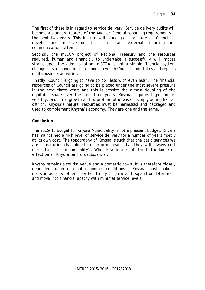The first of these is in regard to service delivery. Service delivery audits will become a standard feature of the Auditor-General reporting requirements in the next two years. This in turn will place great pressure on Council to develop and improve on its internal and external reporting and communication systems.

Secondly the mSCOA project of National Treasury and the resources required, human and financial, to undertake it successfully will impose strains upon the administration. mSCOA is not a simple financial system change it is a change in the manner in which Council undertakes and reports on its business activities.

Thirdly, Council is going to have to do "less with even less". The financial resources of Council are going to be placed under the most severe pressure in the next three years and this is despite the almost doubling of the equitable share over the last three years. Knysna requires high end ie. wealthy, economic growth and to pretend otherwise is simply acting like an ostrich. Knysna's natural resources must be harnessed and packaged and used to complement Knysna's economy. They are one and the same.

#### **Conclusion**

The 2015/16 budget for Knysna Municipality is not a pleasant budget. Knysna has maintained a high level of service delivery for a number of years mostly at its own cost. The topography of Knysna is such that the basic services we are constitutionally obliged to perform means that they will always cost more than other municipality's. When Eskom raises its tariffs the knock-on effect on all Knysna tariffs is substantial.

Knysna remains a tourist venue and a domestic town. It is therefore closely dependent upon national economic conditions. Knysna must make a decision as to whether it wishes to try to grow and expand or deteriorate and move into financial apathy with minimal service levels.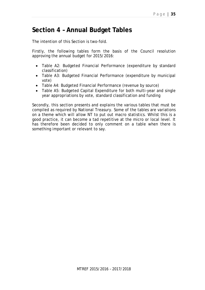# **Section 4 – Annual Budget Tables**

The intention of this Section is two-fold.

Firstly, the following tables form the basis of the Council resolution approving the annual budget for 2015/2016:

- Table A2: Budgeted Financial Performance (expenditure by standard classification)
- Table A3: Budgeted Financial Performance (expenditure by municipal vote)
- Table A4: Budgeted Financial Performance (revenue by source)
- Table A5: Budgeted Capital Expenditure for both multi-year and single year appropriations by vote, standard classification and funding

Secondly, this section presents and explains the various tables that must be compiled as required by National Treasury. Some of the tables are variations on a theme which will allow NT to put out macro statistics. Whilst this is a good practice, it can become a tad repetitive at the micro or local level. It has therefore been decided to only comment on a table when there is something important or relevant to say.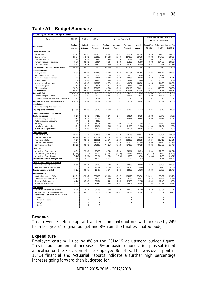# **Table A1 - Budget Summary**

| WC048 Knysna - Table A1 Budget Summary             |                    |                    |                    |                                                                                       |                           |                       |                      |                               |                                  |                                  |
|----------------------------------------------------|--------------------|--------------------|--------------------|---------------------------------------------------------------------------------------|---------------------------|-----------------------|----------------------|-------------------------------|----------------------------------|----------------------------------|
| Description                                        | 2011/12            | 2012/13            | 2013/14            | 2015/16 Medium Term Revenue &<br>Current Year 2014/15<br><b>Expenditure Framework</b> |                           |                       |                      |                               |                                  |                                  |
| R thousands                                        | Audited<br>Outcome | Audited<br>Outcome | Audited<br>Outcome | Original<br><b>Budget</b>                                                             | Adjusted<br><b>Budget</b> | Full Year<br>Forecast | Pre-audit<br>outcome | <b>Budget Year</b><br>2015/16 | <b>Budget Year</b><br>+1 2016/17 | <b>Budget Year</b><br>+2 2017/18 |
| <b>Financial Performance</b>                       |                    |                    |                    |                                                                                       |                           |                       |                      |                               |                                  |                                  |
| Property rates                                     | 127 721            | 142 475            | 147 030            | 162 261                                                                               | 162 261                   | 162 261               | 162 261              | 174 430                       | 191 866                          | 205 364                          |
| Service charges                                    | 226 549            | 241 302            | 252 538            | 272 586                                                                               | 267 586                   | 267 586               | 267 586              | 300 395                       | 348 898                          | 387 924                          |
| Investment revenue                                 | 6 6 6 7            | 6 589              | 5 9 4 4            | 2 3 4 6                                                                               | 2 3 4 6                   | 2 3 4 6               | 2 3 4 6              | 3 200                         | 3 4 0 0                          | 3 600                            |
| Transfers recognised - operational                 | 89 231             | 83 819             | 89 804             | 68 844                                                                                | 91 990                    | 91 990                | 91 990               | 93 803                        | 104 483                          | 108 783                          |
| Other own revenue                                  | 57 277             | 35 518             | 66 614             | 30 730                                                                                | 93 780                    | 93 780                | 93 780               | 96 393                        | 104 973                          | 114 889                          |
| Total Revenue (excluding capital transfers         | 507 444            | 509 703            | 561 930            | 536 766                                                                               | 617 962                   | 617 962               | 617 962              | 668 222                       | 753 620                          | 820 560                          |
| and contributions)                                 |                    |                    |                    |                                                                                       |                           |                       |                      |                               |                                  |                                  |
| Employee costs                                     | 139 676            | 153 828            | 170 268            | 173 706                                                                               | 181 491                   | 181 491               | 181 491              | 196 737                       | 214 147                          | 228 781                          |
| Remuneration of councillors                        | 5 6 1 9            | 5 9 0 8            | 6 2 4 0            | 6 6 6 5                                                                               | 6 6 6 5                   | 6 6 6 5               | 6 6 6 5              | 6817                          | 7 2 9 4                          | 7 8 0 4                          |
| Depreciation & asset impairment                    | 148 738            | 21 403             | 22 234             | 28 199                                                                                | 28 199                    | 28 199                | 28 199               | 25 918                        | 32 544                           | 34 749                           |
| Finance charges                                    | 16 686             | 14 876             | 14 4 8 8           | 18 493                                                                                | 14 499                    | 14 499                | 14 499               | 13 962                        | 15 5 86                          | 16 520                           |
| Materials and bulk purchases                       | 124 337            | 140 439            | 145 522            | 154 079                                                                               | 146 631                   | 146 631               | 146 631              | 154 328                       | 174 825                          | 189 690                          |
| Transfers and grants                               | 5 7 8 4            | 5 6 10             | 5 0 0 1            | 5 5 1 4                                                                               | 5 4 6 4                   | 5 4 6 4               | 5 4 6 4              | 5 6 3 1                       | 5 6 6 5                          | 5 7 8 1                          |
| Other expenditure<br><b>Total Expenditure</b>      | 251 692<br>692 532 | 152 978<br>495 042 | 203 290<br>567 043 | 154 093<br>540 748                                                                    | 230 119<br>613 068        | 230 119<br>613 068    | 230 119<br>613 068   | 232 441<br>635 833            | 273 796<br>723 857               | 285 908<br>769 234               |
| Surplus/(Deficit)                                  | (185, 088)         | 14 662             | (5113)             | (3981)                                                                                | 4 8 9 5                   | 4895                  | 4895                 | 32 388                        | 29763                            | 51326                            |
| Transfers recognised - capital                     | 30 679             | 41 023             | 39 27 2            | 39 484                                                                                | 50 667                    | 50 667                | 50 667               | 56 265                        | 46 586                           | 41 027                           |
| Contributions recognised - capital & contributed a | 777                | 695                | 4589               |                                                                                       |                           |                       |                      |                               |                                  |                                  |
| Surplus/(Deficit) after capital transfers &        | (153632)           | 56 379             | 38 749             | 35 503                                                                                | 55 562                    | 55 562                | 55 562               | 88 653                        | 76 349                           | 92 353                           |
| contributions                                      |                    |                    |                    |                                                                                       |                           |                       |                      |                               |                                  |                                  |
|                                                    |                    |                    |                    |                                                                                       |                           |                       |                      |                               |                                  |                                  |
| Share of surplus/ (deficit) of associate           |                    |                    | 38 749             |                                                                                       |                           |                       |                      |                               |                                  |                                  |
| Surplus/(Deficit) for the year                     | (153632)           | 56 379             |                    | 35 503                                                                                | 55 562                    | 55 562                | 55 562               | 88 653                        | 76 349                           | 92 353                           |
| Capital expenditure & funds sources                |                    |                    |                    |                                                                                       |                           |                       |                      |                               |                                  |                                  |
| Capital expenditure                                | 60 268             | 75 079             | 77 263             | 70 174                                                                                | 89 134                    | 89 134                | 89 134               | 102 683                       | 70 240                           | 58 992                           |
| Transfers recognised - capital                     | 30 679             | 38 363             | 40 132             | 39 484                                                                                | 50 667                    | 50 667                | 50 667               | 56 265                        | 46 586                           | 41 027                           |
| Public contributions & donations                   | 777                | 446<br>23 105      | 4519               |                                                                                       | 17 105                    | 17 105                | 17 105               |                               |                                  |                                  |
| Borrow ing<br>Internally generated funds           | 13 094<br>15 718   | 13 165             | 14 3 18<br>18 29 4 | 16 695<br>13 995                                                                      | 21 363                    | 21 363                | 21 363               | 14 732<br>31 686              | 12 570<br>11 084                 | 10 660<br>7 3 0 5                |
| Total sources of capital funds                     | 60 268             | 75 079             | 77 263             | 70 174                                                                                | 89 134                    | 89 134                | 89 134               | 102 683                       | 70 240                           | 58 992                           |
|                                                    |                    |                    |                    |                                                                                       |                           |                       |                      |                               |                                  |                                  |
| Financial position<br>Total current assets         | 129 270            | 131 528            | 107 905            | 124 787                                                                               | 103 850                   | 102 315               | 102 315              | 120 796                       | 168 584                          | 240 050                          |
| Total non current assets                           | 849 969            | 900 178            | 956 742            | 1 018 637                                                                             | 1018839                   | 1 018 839             | 1 018 839            | 1 096 616                     | 1 135 379                        | 1 157 750                        |
| Total current liabilities                          | 94 692             | 105 418            | 112 181            | 117 274                                                                               | 108 026                   | 102 120               | 102 120              | 105 627                       | 112 019                          | 115 544                          |
| Total non current liabilities                      | 236 725            | 223 267            | 210 901            | 228 039                                                                               | 217 820                   | 221 906               | 221 906              | 226 004                       | 229 815                          | 227 773                          |
| Community wealth/Equity                            | 647 822            | 703 020            | 741 566            | 798 110                                                                               | 797 128                   | 797 128               | 797 128              | 885 781                       | 962 130                          | 1 0 5 4 4 8 3                    |
| Cash flows                                         |                    |                    |                    |                                                                                       |                           |                       |                      |                               |                                  |                                  |
| Net cash from (used) operating                     | 68 828             | 79 820             | 77 636             | 67849                                                                                 | 87 006                    | 84 314                | 84 314               | 115 234                       | 127 109                          | 142 543                          |
| Net cash from (used) investing                     | (62 490)           | (71 422)           | (79 299)           | (71624)                                                                               | (90045)                   | (90045)               | (90045)              | (103 444)                     | (71058)                          | (59869)                          |
| Net cash from (used) financing                     | (8144)             | (17740)            | (27194)            | 759                                                                                   | (290)                     | 3796                  | 3796                 | (4536)                        | (7333)                           | (13949)                          |
| Cash/cash equivalents at the year end              | 55 503             | 46 161             | 17 303             | 27 551                                                                                | 13 973                    | 15 368                | 15 368               | 22 623                        | 71 341                           | 140 065                          |
| Cash backing/surplus reconciliation                |                    |                    |                    |                                                                                       |                           |                       |                      |                               |                                  |                                  |
| Cash and investments available                     | 72 887             | 65 186             | 38 7 38            | 49 532                                                                                | 36 694                    | 38 088                | 38 088               | 46 478                        | 96 389                           | 169 366                          |
| Application of cash and investments                | 22 673             | 15 15 9            | 20 321             | 36 558                                                                                | 29 903                    | 24 395                | 24 395               | 22 5 23                       | 37 096                           | 47 886                           |
| Balance - surplus (shortfall)                      | 50 215             | 50 027             | 18 417             | 12 974                                                                                | 6 7 9 1                   | 13 693                | 13 693               | 23 956                        | 59 29 3                          | 121 480                          |
| Asset management                                   |                    |                    |                    |                                                                                       |                           |                       |                      |                               |                                  |                                  |
| Asset register summary (WDV)                       | 829 519            | 878 857            | 933 090            | 971 184                                                                               | 939 827                   | 994 025               | 1 070 791            | 1 070 791                     | 1 108 487                        | 1 129 730                        |
| Depreciation & asset impairment                    | 148 738            | 21 403             | 22 234             | 28 199                                                                                | 28 199                    | 28 199                | 25 918               | 25 918                        | 32 544                           | 34 749                           |
| Renewal of Existing Assets                         | 35 138             | 37 898             | 36 974             | 23 441                                                                                | 22 255                    | 22 255                | 22 25 5              | 35 139                        | 17 24 6                          | 15 336                           |
| Repairs and Maintenance                            | 22 025             | 22 515             | 30 689             | 34 796                                                                                | 35 602                    | 35 602                | 42 968               | 42 968                        | 44 117                           | 46 655                           |
| Free services                                      |                    |                    |                    |                                                                                       |                           |                       |                      |                               |                                  |                                  |
| Cost of Free Basic Services provided               | 35 922             | 38 464             | 39 155             | 42 679                                                                                | 42 679                    | 42 679                | 46 520               | 46 520                        | 50 707                           | 55 271                           |
| Revenue cost of free services provided             | 39 574             | 49 713             | 50 534             | 49 543                                                                                | 49 543                    | 49 543                | 52 267               | 52 267                        | 56 251                           | 56 251                           |
| Households below minimum service level             |                    |                    |                    |                                                                                       |                           |                       |                      |                               |                                  |                                  |
| Water:                                             | $\mathbf{1}$       | $\mathbf{1}$       | $\mathbf{1}$       | 1                                                                                     | 1                         |                       | 1                    | 1                             | $\overline{2}$                   | $\overline{\mathbf{c}}$          |
| Sanitation/sew erage:                              | 3                  | 3                  | 3                  | $\overline{4}$                                                                        | $\overline{4}$            | $\overline{4}$        | $\overline{4}$       | 4                             | 4                                | $\,$ 5                           |
| Energy:                                            | $\overline{2}$     | 3                  | $\mathbf{3}$       | 3                                                                                     | 3                         | 3                     | 3                    | $\sqrt{3}$                    | 3                                | $\overline{4}$                   |
| Refuse:                                            | $\overline{2}$     | $\overline{a}$     | $\overline{2}$     |                                                                                       |                           |                       |                      |                               |                                  |                                  |
|                                                    |                    |                    |                    |                                                                                       |                           |                       |                      |                               |                                  |                                  |

#### **Revenue**

Total revenue before capital transfers and contributions will increase by 24% from last years' original budget and 8% from the final estimated budget.

#### **Expenditure**

Employee costs will rise by 8% on the 2014/15 adjustment budget figure. This includes an annual increase of 6% on basic remuneration plus sufficient allocation on the Provision of the Employee Benefits. This was over spent in 13/14 financial and Actuarial reports indicate a further high percentage increase going forward than budgeted for.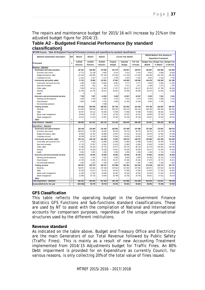The repairs and maintenance budget for 2015/16 will increase by 21% on the adjusted budget figure for 2014/15.

### **Table A2 - Budgeted Financial Performance (by standard classification)**

| WC048 Knysna - Table A2 Budgeted Financial Performance (revenue and expenditure by standard classification) |                |          |                          |                |                |                      |           |                |                                                               |                    |
|-------------------------------------------------------------------------------------------------------------|----------------|----------|--------------------------|----------------|----------------|----------------------|-----------|----------------|---------------------------------------------------------------|--------------------|
| <b>Standard Classification Description</b>                                                                  | Ref            | 2011/12  | 2012/13                  | 2013/14        |                | Current Year 2014/15 |           |                | 2015/16 Medium Term Revenue &<br><b>Expenditure Framework</b> |                    |
|                                                                                                             |                | Audited  | Audited                  | Audited        | Original       | Adjusted             | Full Year |                | Budget Year   Budget Year                                     | <b>Budget Year</b> |
| R thousand                                                                                                  | $\mathbf{1}$   | Outcome  | Outcome                  | Outcome        | <b>Budget</b>  | <b>Budget</b>        | Forecast  | 2015/16        | +1 2016/17                                                    | +2 2017/18         |
| Revenue - Standard                                                                                          |                |          |                          |                |                |                      |           |                |                                                               |                    |
| Governance and administration                                                                               |                | 187 031  | 168 465                  | 170 056        | 181 479        | 183 057              | 183 057   | 196 867        | 225 596                                                       | 241 964            |
| Executive and council                                                                                       |                | 37 772   | 10 138                   | 8 8 4 5        | 6 4 1 4        | 6 4 1 4              | 6 4 1 4   | 8 4 9 1        | 9 5 9 6                                                       | 10 584             |
| Budget and treasury office                                                                                  |                | 137 945  | 153 000                  | 157 100        | 170 300        | 171 318              | 171 318   | 183 454        | 210 782                                                       | 225 645            |
| Corporate services                                                                                          |                | 11 313   | 5 3 2 7                  | 4 1 1 1        | 4 7 6 5        | 5 3 2 4              | 5 3 2 4   | 4 9 21         | 5 2 1 8                                                       | 5 7 3 5            |
| Community and public safety                                                                                 |                | 71 761   | 78 960                   | 115 501        | 57 861         | 145 565              | 145 565   | 144 619        | 150 292                                                       | 151 395            |
| Community and social services                                                                               |                | 1 4 6 6  | 2 1 6 8                  | 10 650         | 8 6 9 1        | 8 7 7 7              | 8 7 7 7   | 9843           | 9 4 0 2                                                       | 11 352             |
| Sport and recreation                                                                                        |                | 1 0 3 1  | 831                      | 845            | 1 0 7 1        | 1071                 | 1071      | 1 1 6 8        | 1 2 7 3                                                       | 1 3 8 7            |
| Public safety                                                                                               |                | 7828     | 14 224                   | 47 492         | 17 157         | 80 157               | 80 157    | 80 133         | 87 785                                                        | 95 648             |
| Housing                                                                                                     |                | 61 435   | 61 735                   | 56 514         | 30 941         | 55 559               | 55 559    | 53 474         | 51 832                                                        | 43 008             |
| Health                                                                                                      |                | $\Omega$ | $\mathbf{1}$             |                | ÷              |                      |           |                |                                                               | $\overline{a}$     |
| Economic and environmental services                                                                         |                | 7 7 4 8  | 7057                     | 14 292         | 9 4 5 9        | 16 557               | 16 557    | 9 2 3 3        | 7631                                                          | 8 1 6 1            |
| Planning and development                                                                                    |                | 1893     | 1618                     | 3 6 0 2        | 3 3 7 4        | 3 3 7 4              | 3 3 7 4   | 3 5 9 3        | 2 8 3 6                                                       | 3 1 4 2            |
| Road transport                                                                                              |                | 5 8 5 5  | 5 4 3 9                  | 6 782          | 6 0 85         | 13 183               | 13 183    | 5 640          | 4 7 9 5                                                       | 5 0 1 9            |
| Environmental protection                                                                                    |                |          | $\overline{a}$           | 3 9 0 8        | $\overline{a}$ |                      |           | $\overline{a}$ |                                                               |                    |
| <b>Trading services</b>                                                                                     |                | 272 361  | 296 939                  | 305 943        | 327 452        | 323 452              | 323 452   | 373 768        | 416 687                                                       | 460 067            |
| Electricity                                                                                                 |                | 172 645  | 188 048                  | 200 130        | 209 120        | 204 120              | 204 120   | 238 108        | 268 266                                                       | 300 204            |
| Water                                                                                                       |                | 50 357   | 60 212                   | 65 496         | 72 858         | 72 858               | 72 858    | 76 963         | 88 341                                                        | 94 633             |
| Waste water management                                                                                      |                | 28 846   | 27 601                   | 17 516         | 19 315         | 20 315               | 20 315    | 28 850         | 26 755                                                        | 28 697             |
| Waste management                                                                                            |                | 20 513   | 21 079                   | 22 801         | 26 158         | 26 158               | 26 158    | 29 847         | 33 325                                                        | 36 533             |
| <b>Other</b>                                                                                                | 4              | -        | $\overline{\phantom{0}}$ |                |                |                      |           |                |                                                               |                    |
| Total Revenue - Standard                                                                                    | $\overline{2}$ | 538 900  | 551 421                  | 605 792        | 576 250        | 668 630              | 668 630   | 724 487        | 800 206                                                       | 861 587            |
| Expenditure - Standard                                                                                      |                |          |                          |                |                |                      |           |                |                                                               |                    |
| Governance and administration                                                                               |                | 336 189  | 124 400                  | 141 920        | 156 864        | 167 689              | 167 689   | 151 548        | 179 691                                                       | 188 079            |
| Executive and council                                                                                       |                | 256 912  | 37 829                   | 46 160         | 38 223         | 39 723               | 39 7 23   | 38 751         | 46 762                                                        | 48 788             |
| Budget and treasury office                                                                                  |                | 30 939   | 30 784                   | 30 880         | 42 947         | 44 133               | 44 133    | 38 376         | 51 502                                                        | 54 195             |
| Corporate services                                                                                          |                | 48 338   | 55 787                   | 64 880         | 75 694         | 83 833               | 83 833    | 74 420         | 81 427                                                        | 85 096             |
| Community and public safety                                                                                 |                | 105 716  | 106 130                  | 145 498        | 73 203         | 148 575              | 148 575   | 155 885        | 181 358                                                       | 191 606            |
| Community and social services                                                                               |                | 8 7 7 4  | 9600                     | 10 886         | 12 986         | 12 890               | 12 890    | 16 851         | 18 195                                                        | 20 841             |
| Sport and recreation                                                                                        |                | 11 719   | 12 957                   | 12 661         | 12 813         | 12 860               | 12 860    | 13 654         | 14 944                                                        | 15 9 25            |
| Public safety                                                                                               |                | 21 080   | 26 233                   | 62 752         | 24 877         | 88 720               | 88 7 20   | 91 475         | 102 061                                                       | 109 184            |
| Housing                                                                                                     |                | 60 762   | 53 526                   | 55 194         | 18 467         | 30 046               | 30 046    | 29 471         | 41 445                                                        | 40 639             |
| Health                                                                                                      |                | 3 3 8 1  | 3815                     | 4 0 0 5        | 4 0 5 9        | 4 0 5 9              | 4 0 5 9   | 4 4 3 4        | 4 7 1 4                                                       | 5 0 1 6            |
| Economic and environmental services                                                                         |                | 30 270   | 30 933                   | 39 308         | 39 683         | 35 243               | 35 243    | 53 863         | 52 634                                                        | 55 803             |
| Planning and development                                                                                    |                | 6 4 6 1  | 7 4 0 1                  | 9 4 8 1        | 9 5 3 9        | 8 6 0 0              | 8 6 0 0   | 14 400         | 16 710                                                        | 17879              |
| Road transport                                                                                              |                | 22 783   | 22 281                   | 28 491         | 29 107         | 25 546               | 25 546    | 37 679         | 33 771                                                        | 35 621             |
| Environmental protection                                                                                    |                | 1 0 2 6  | 1 2 5 1                  | 1 3 3 6        | 1 0 3 7        | 1 0 9 7              | 1 0 9 7   | 1 7 8 5        | 2 1 5 3                                                       | 2 3 0 2            |
| <b>Trading services</b>                                                                                     |                | 220 357  | 233 579                  | 240 317        | 270 998        | 261 561              | 261 561   | 274 538        | 310 174                                                       | 333 747            |
| Electricity                                                                                                 |                | 136 857  | 153 292                  | 157 049        | 178 516        | 167 692              | 167 692   | 168 672        | 197 923                                                       | 214 644            |
| Water                                                                                                       |                | 40 109   | 41 917                   | 40 24 3        | 46 432         | 47 585               | 47 585    | 51 891         | 57 315                                                        | 60 881             |
| Waste water management                                                                                      |                | 21 495   | 17 653                   | 19 685         | 20 26 2        | 20 5 26              | 20 5 26   | 25 044         | 27 024                                                        | 28 979             |
| Waste management                                                                                            |                | 21 896   | 20 716                   | 23 340         | 25 788         | 25 758               | 25 758    | 28 931         | 27 912                                                        | 29 244             |
| Other                                                                                                       | 4              |          | $\overline{\phantom{0}}$ | $\overline{a}$ | $\overline{a}$ |                      |           |                |                                                               |                    |
| Total Expenditure - Standard                                                                                | 3              | 692 532  | 495 042                  | 567 043        | 540 748        | 613 068              | 613 068   | 635 833        | 723 857                                                       | 769 234            |
| Surplus/(Deficit) for the year                                                                              |                | (153632) | 56 379                   | 38 749         | 35 503         | 55 562               | 55 562    | 88 653         | 76 349                                                        | 92 353             |

### **GFS Classification**

This table reflects the operating budget in the Government Finance Statistics GFS Functions and Sub-functions standard classifications. These are used by NT to assist with the compilation of National and International accounts for comparison purposes, regardless of the unique organisational structures used by the different institutions.

### **Revenue standard**

As indicated on the table above, Budget and Treasury Office and Electricity are the main Generators of our Total Revenue followed by Public Safety (Traffic Fines). This is mainly as a result of new Accounting Treatment implemented from 2014/15 Adjustments budget for Traffic Fines. An 80% Debt impairment is provided for on Expenditure as currently Council, for various reasons, is only collecting 20% of the total value of fines issued.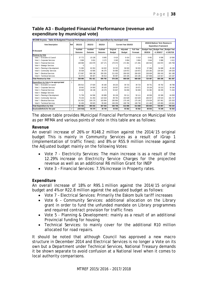| WC048 Knysna - Table A3 Budgeted Financial Performance (revenue and expenditure by municipal vote) |     |          |         |                          |               |                      |                  |         |                                         |             |
|----------------------------------------------------------------------------------------------------|-----|----------|---------|--------------------------|---------------|----------------------|------------------|---------|-----------------------------------------|-------------|
| <b>Vote Description</b>                                                                            | Ref | 2011/12  | 2012/13 | 2013/14                  |               | Current Year 2014/15 |                  |         | 2015/16 Medium Term Revenue &           |             |
|                                                                                                    |     |          |         |                          |               |                      |                  |         | <b>Expenditure Framework</b>            |             |
| <b>R</b> thousand                                                                                  |     | Audited  | Audited | Audited                  | Original      | Adjusted             | <b>Full Year</b> |         | Budget Year   Budget Year   Budget Year |             |
|                                                                                                    |     | Outcome  | Outcome | Outcome                  | <b>Budget</b> | <b>Budget</b>        | Forecast         | 2015/16 | +1 2016/17                              | $+22017/18$ |
| <b>Revenue by Vote</b>                                                                             |     |          |         |                          |               |                      |                  |         |                                         |             |
| Vote 1 - Executive & Council                                                                       |     | 37 772   | 10 138  | 8 8 4 5                  | 6 4 1 4       | 6414                 | 6414             | 8 4 9 1 | 9596                                    | 10 584      |
| Vote 2 - Corporate Services                                                                        |     | 2 6 6 8  | 3631    | 3 1 7 2                  | 3 3 4 5       | 3 8 0 4              | 3 8 0 4          | 3 6 4 4 | 3 9 8 6                                 | 4 4 1 1     |
| Vote 3 - Financial Services                                                                        |     | 138 068  | 153 079 | 157 171                  | 170 373       | 171 391              | 171 391          | 183 534 | 210 872                                 | 225 758     |
| Vote 4 - Strategic Services                                                                        |     | $\Omega$ |         | $\overline{\phantom{0}}$ |               |                      |                  |         |                                         |             |
| Vote 5 - Planning & Development                                                                    |     | 71 095   | 63 353  | 64 022                   | 34 315        | 58 933               | 58 933           | 57 068  | 54 668                                  | 46 150      |
| Vote 6 - Community Services                                                                        |     | 35 538   | 43 585  | 86 275                   | 55 685        | 118 872              | 118 872          | 125 282 | 135 924                                 | 149 329     |
| Vote 7 - Flectrical Services                                                                       |     | 172 687  | 188 138 | 200 293                  | 211 020       | 206 020              | 206 020          | 238 609 | 269 243                                 | 301 188     |
| Vote 8 - Technical Services                                                                        |     | 81 072   | 89 497  | 86 013                   | 95 097        | 103 195              | 103 195          | 107 858 | 115 917                                 | 124 167     |
| <b>Total Revenue by Vote</b>                                                                       | 2   | 538 900  | 551 421 | 605 792                  | 576 250       | 668 630              | 668 630          | 724 487 | 800 206                                 | 861 587     |
| Expenditure by Vote to be appropriated                                                             |     |          |         |                          |               |                      |                  |         |                                         |             |
| Vote 1 - Executive & Council                                                                       |     | 256 912  | 37 829  | 46 160                   | 38 223        | 39 723               | 39 723           | 38 751  | 46 762                                  | 48 788      |
| Vote 2 - Corporate Services                                                                        |     | 18 642   | 24 093  | 28 163                   | 28 557        | 29 071               | 29 071           | 29 104  | 33 213                                  | 34 184      |
| Vote 3 - Financial Services                                                                        |     | 36 648   | 38 138  | 40 279                   | 55 847        | 56 659               | 56 659           | 53 382  | 68 205                                  | 71 434      |
| Vote 4 - Strategic Services                                                                        |     |          |         |                          |               |                      |                  |         |                                         |             |
| Vote 5 - Planning & Development                                                                    |     | 71 758   | 64 596  | 69 989                   | 36 136        | 50 111               | 50 111           | 49 056  | 63 369                                  | 64 059      |
| Vote 6 - Community Services                                                                        |     | 75 233   | 81 283  | 122 618                  | 89 762        | 153 629              | 153 629          | 166 027 | 178 524                                 | 191 727     |
| Vote 7 - Electrical Services                                                                       |     | 141 933  | 159 178 | 163 994                  | 185 964       | 175 140              | 175 140          | 178 034 | 207 901                                 | 225 203     |
| Vote 8 - Technical Services                                                                        |     | 91 406   | 89 9 25 | 95 840                   | 106 259       | 108 736              | 108 736          | 121 480 | 125 883                                 | 133 841     |
| <b>Total Expenditure by Vote</b>                                                                   | 2   | 692 532  | 495 042 | 567 043                  | 540 748       | 613 068              | 613 068          | 635 833 | 723 857                                 | 769 234     |
| Surplus/(Deficit) for the year                                                                     | 2   | (153632) | 56 379  | 38 749                   | 35 503        | 55 562               | 55 562           | 88 653  | 76 349                                  | 92 353      |

### **Table A3 - Budgeted Financial Performance (revenue and expenditure by municipal vote)**

The above table provides Municipal Financial Performance on Municipal Vote as per MFMA and various points of note in this table are as follows:

#### **Revenue**

An overall increase of 26% or R148.2 million against the 2014/15 original budget This is mainly in Community Services as a result of iGrap 1 (implementation of traffic fines); and 8% or R55.9 million increase against the Adjusted budget mainly on the following Votes:

- Vote 7 Electricity Services: The main increase is as a result of the 12.29% increase on Electricity Service Charges for the projected revenue as well as an additional R6 million Grant for INEP
- Vote 3 Financial Services: 7.5% increase in Property rates.

### **Expenditure**

An overall increase of 18% or R95.1 million against the 2014/15 original budget and 4% or R22.8 million against the adjusted budget as follows:

- Vote 7 Electrical Services: Primarily the Eskom bulk tariff increases
- Vote 6 Community Services: additional allocation on the Library grant in order to fund the unfunded mandate on Library programmes and required contract provision for traffic fines
- Vote 5 Planning & Development: mainly as a result of an additional Provincial funding for housing
- Technical Services: to mainly cover for the additional R10 million allocated for road repairs.

It should be noted that although Council has approved a new macro structure in December 2014 and Electrical Services is no longer a Vote on its own but a Department under Technical Services, National Treasury demands it be shown separate to avoid confusion at a National level when it comes to local authority comparisons.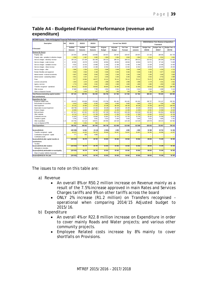| WC048 Knysna - Table A4 Budgeted Financial Performance (revenue and expenditure) |                |                   |                    |                  |                    |                      |                    |                    |                    |                                                        |                          |
|----------------------------------------------------------------------------------|----------------|-------------------|--------------------|------------------|--------------------|----------------------|--------------------|--------------------|--------------------|--------------------------------------------------------|--------------------------|
| Description                                                                      | Ref            | 2011/12           | 2012/13            | 2013/14          |                    | Current Year 2014/15 |                    |                    |                    | 2015/16 Medium Term Revenue & Expenditure<br>Framework |                          |
| R thousand                                                                       | $\mathbf{1}$   | Audited           | Audited            | Audited          | Original           | Adjusted             | <b>Full Year</b>   | Pre-audit          | <b>Budget Year</b> | Budget Year +1                                         | Budget Year +2           |
|                                                                                  |                | Outcome           | Outcome            | Outcome          | <b>Budget</b>      | <b>Budget</b>        | Forecast           | outcome            | 2015/16            | 2016/17                                                | 2017/18                  |
| Revenue By Source                                                                |                |                   |                    |                  |                    |                      |                    |                    |                    |                                                        |                          |
| Property rates                                                                   | $\sqrt{2}$     | 125 364           | 139 988            | 143 966          | 159 457            | 159 457              | 159 457            | 159 457            | 171 416            | 188 535                                                | 201 733                  |
| Property rates - penalties & collection charges                                  |                | 2 3 5 6           | 2 4 8 7            | 3 0 6 5          | 2804               | 2 8 0 4              | 2 8 0 4            | 2 8 0 4            | 3 0 14             | 3 3 3 1                                                | 3 6 3 1                  |
| Service charges - electricity revenue                                            | $\sqrt{2}$     | 160 116           | 172 199            | 181 348          | 193 213            | 188 213              | 188 213            | 188 213            | 215 015            | 245 359                                                | 276 495                  |
| Service charges - water revenue                                                  | $\overline{2}$ | 40 656            | 43 078             | 43 530           | 48 904             | 48 904               | 48 904             | 48 904             | 52 571             | 67 132                                                 | 71 829                   |
| Service charges - sanitation revenue                                             | $\mathfrak{p}$ | 9632              | 10 232             | 10 898           | 11 469             | 11 469               | 11 469             | 11 469             | 12 3 29            | 13 499                                                 | 14 4 45                  |
| Service charges - refuse revenue                                                 | $\mathfrak{p}$ | 13 179            | 13 459             | 14 188           | 15 3 5 2           | 15 3 5 2             | 15 3 5 2           | 15 3 5 2           | 16 504             | 18 575                                                 | 20 433                   |
| Service charges - other                                                          |                | 2 9 6 6           | 2 3 3 4            | 2 5 7 4          | 3 6 4 8            | 3 6 4 8              | 3 6 4 8            | 3 6 4 8            | 3 9 7 6            | 4 3 3 3                                                | 4 7 22                   |
| Rental of facilities and equipment                                               |                | 3500              | 3563               | 4 1 38           | 5 0 3 0            | 5 0 3 0              | 5 0 3 0            | 5 0 3 0            | 5 4 8 2            | 5 9 7 7                                                | 6516                     |
| Interest earned - external investments                                           |                | 6 6 6 7           | 6589               | 5 9 4 4          | 2 3 4 6            | 2 3 4 6              | 2 3 4 6            | 2 3 4 6            | 3 200              | 3 400                                                  | 3 600                    |
| Interest earned - outstanding debtors                                            |                | 4 5 5 1           | 3 2 3 7            | 3 6 1 7          | 3 2 5 0            | 3 2 5 0              | 3 2 5 0            | 3 2 5 0            | 3 5 4 2            | 3 7 5 3                                                | 4 0 8 9                  |
| Fines                                                                            |                | 7677              | 13 964             | 46 977           | 15 111             | 78 111               | 78 111             | 78 111             | 79 471             | 86 623                                                 | 94 418                   |
| Licences and permits                                                             |                | 1843              | 1674               | 1 643            | 1998               | 1 9 9 8              | 1998               | 1998               | 2 1 7 9            | 2 3 3 1                                                | 2 5 4 1                  |
| Agency services                                                                  |                | 1 7 7 4           | 1809               | 2 1 6 1          | 1800               | 1800                 | 1800               | 1800               | 1850               | 1950                                                   | 1 960                    |
| Transfers recognised - operational                                               |                | 89 231            | 83 819             | 89 804           | 68 844             | 91 990               | 91 990             | 91 990             | 93 803             | 104 483                                                | 108 783                  |
| Other rev enue                                                                   | $\overline{2}$ | 37 889            | 8 4 5 5            | 7 7 5 0          | 3 2 9 1            | 3 3 4 1              | 3 3 4 1            | 3 3 4 1            | 3 6 19             | 4 0 8 9                                                | 5 1 1 5                  |
| Gains on disposal of assets                                                      |                | 43                | 2816               | 327              | 250                | 250                  | 250                | 250                | 250                | 250                                                    | 250                      |
|                                                                                  |                | 507 444           | 509 703            | 561 930          | 536 766            | 617 962              | 617 962            | 617 962            | 668 222            | 753 620                                                | 820 560                  |
| <b>Total Revenue (excluding capital transfers</b><br>and contributions)          |                |                   |                    |                  |                    |                      |                    |                    |                    |                                                        |                          |
|                                                                                  |                |                   |                    |                  |                    |                      |                    |                    |                    |                                                        |                          |
| <b>Expenditure By Type</b>                                                       |                |                   |                    |                  |                    |                      |                    |                    |                    |                                                        |                          |
| Employee related costs<br>Remuneration of councillors                            | $\overline{2}$ | 139 676<br>5 6 19 | 153 828<br>5 9 0 8 | 170 268<br>6 240 | 173 706<br>6 6 6 5 | 181 491<br>6 6 6 5   | 181 491<br>6 6 6 5 | 181 491<br>6 6 6 5 | 196 737<br>6817    | 214 147<br>7 2 9 4                                     | 228 781<br>7804          |
| Debt impairment                                                                  | 3              | 25 14 2           | 20 480             | 47 163           | 25 196             | 88 196               | 88 196             | 88 196             | 76 339             | 100 975                                                | 108 043                  |
| Depreciation & asset impairment                                                  | $\overline{2}$ | 148 738           | 21 403             | 22 234           | 28 199             | 28 199               | 28 199             | 28 199             | 25 918             | 32 544                                                 | 34 749                   |
| Finance charges                                                                  |                | 16 686            | 14 876             | 14 488           | 18 493             | 14 499               | 14 499             | 14 499             | 13 962             | 15 5 86                                                | 16 520                   |
| <b>Bulk purchases</b>                                                            | $\mathfrak{p}$ | 107 621           | 122 262            | 123 733          | 137 236            | 129 236              | 129 236            | 129 236            | 132 465            | 154 954                                                | 168 900                  |
| Other materials                                                                  | 8              | 16 716            | 18 177             | 21 789           | 16843              | 17 395               | 17 395             | 17 39 5            | 21 863             | 19 871                                                 | 20 790                   |
| Contracted services                                                              |                | 15 36 3           | 17 128             | 18 694           | 22 941             | 22 755               | 22 755             | 22 755             | 26 4 25            | 24 5 98                                                | 24 903                   |
| Transfers & grants                                                               |                | 5 7 8 4           | 5 6 1 0            | 5 001            | 5514               | 5 4 6 4              | 5 4 6 4            | 5 4 6 4            | 5 6 3 1            | 5 6 6 5                                                | 5 7 8 1                  |
| Other ex penditure                                                               | 4, 5           | 210 766           | 112 119            | 136 871          | 105 956            | 119 169              | 119 169            | 119 169            | 129 678            | 148 223                                                | 152 962                  |
| Loss on disposal of PPE                                                          |                | 422               | 3 2 5 1            | 562              |                    |                      |                    |                    |                    |                                                        |                          |
| otal Expenditure                                                                 |                | 692 532           | 495 042            | 567 043          | 540 748            | 613 068              | 613 068            | 613 068            | 635 833            | 723 857                                                | 769 234                  |
|                                                                                  |                |                   |                    |                  |                    |                      |                    |                    |                    |                                                        |                          |
| Surplus/(Deficit)                                                                |                | (185088)          | 14 662             | (5113)           | (3981)             | 4 8 9 5              | 4 8 9 5            | 4 8 9 5            | 32 388             | 29 763                                                 | 51 326                   |
| Transfers recognised - capital                                                   |                | 30 679            | 41 023             | 39 27 2          | 39 484             | 50 667               | 50 667             | 50 667             | 56 265             | 46 586                                                 | 41 027                   |
| Contributions recognised - capital<br>Contributed assets                         | 6              | 777               | 695                | 4 5 8 9          | ٠                  |                      |                    | ٠                  | ٠                  | ٠                                                      | $\overline{\phantom{a}}$ |
| Surplus/(Deficit) after capital transfers &                                      |                | (153632)          | 56 379             | 38 749           | 35 503             | 55 562               | 55 562             | 55 562             | 88 653             | 76 349                                                 | 92 353                   |
|                                                                                  |                |                   |                    |                  |                    |                      |                    |                    |                    |                                                        |                          |
| contributions<br>Tax ation                                                       |                |                   |                    |                  |                    |                      |                    |                    |                    |                                                        |                          |
| Surplus/(Deficit) after taxation                                                 |                | (153632)          | 56 379             | 38 749           | 35 503             | 55 562               | 55 562             | 55 562             | 88 653             | 76 349                                                 | 92 353                   |
| Attributable to minorities                                                       |                |                   |                    |                  |                    |                      |                    |                    |                    |                                                        | ÷                        |
| Surplus/(Deficit) attributable to municipality                                   |                | (153632)          | 56 379             | 38 749           | 35 503             | 55 562               | 55 562             | 55 562             | 88 653             | 76 349                                                 | 92 353                   |
| Share of surplus/ (deficit) of associate                                         | $\overline{7}$ |                   |                    |                  |                    |                      |                    |                    |                    |                                                        |                          |
| Surplus/(Deficit) for the year                                                   |                | (153632)          | 56 379             | 38 749           | 35 503             | 55 562               | 55 562             | 55 562             | 88 653             | 76 349                                                 | 92 353                   |
|                                                                                  |                |                   |                    |                  |                    |                      |                    |                    |                    |                                                        |                          |

## **Table A4 - Budgeted Financial Performance (revenue and expenditure)**

The issues to note on this table are:

### a) Revenue

- An overall 8% or R50.2 million increase on Revenue mainly as a result of the 7.5% increase approved in main Rates and Services Charges tariffs and 9% on other tariffs across the board
- ONLY 2% increase (R1.2 million) on Transfers recognised operational when comparing 2014/15 Adjusted budget to 2015/16.

### b) Expenditure

- An overall 4% or R22.8 million increase on Expenditure in order to cover mainly Roads and Water projects; and various other community projects.
- Employee Related costs increase by 8% mainly to cover shortfalls on Provisions.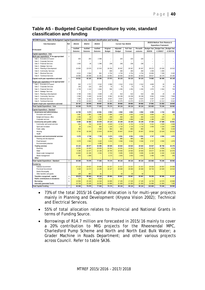### **Table A5 - Budgeted Capital Expenditure by vote, standard classification and funding**

| WC048 Knysna - Table A5 Budgeted Capital Expenditure by vote, standard classification and funding |                |                    |                    |                    |                           |                           |                              |                      |                               |                                                               |                                  |
|---------------------------------------------------------------------------------------------------|----------------|--------------------|--------------------|--------------------|---------------------------|---------------------------|------------------------------|----------------------|-------------------------------|---------------------------------------------------------------|----------------------------------|
| <b>Vote Description</b>                                                                           | Ref            | 2011/12            | 2012/13            | 2013/14            |                           | Current Year 2014/15      |                              |                      |                               | 2015/16 Medium Term Revenue &<br><b>Expenditure Framework</b> |                                  |
| R thousand                                                                                        | $\mathbf{1}$   | Audited<br>Outcome | Audited<br>Outcome | Audited<br>Outcome | Original<br><b>Budget</b> | Adjusted<br><b>Budget</b> | <b>Full Year</b><br>Forecast | Pre-audit<br>outcome | <b>Budget Year</b><br>2015/16 | <b>Budget Year</b><br>+1 2016/17                              | <b>Budget Year</b><br>+2 2017/18 |
| Capital expenditure - Vote                                                                        |                |                    |                    |                    |                           |                           |                              |                      |                               |                                                               |                                  |
| Multi-year expenditure to be appropriated                                                         | $\overline{2}$ |                    |                    |                    |                           |                           |                              |                      |                               |                                                               |                                  |
| Vote 1 - Executive & Council                                                                      |                | 535                | 264                | 2 3 6 9            |                           | 220                       | 220                          | 220                  |                               |                                                               |                                  |
| Vote 2 - Corporate Services                                                                       |                |                    | $\overline{a}$     |                    | ۳                         | ÷                         |                              | ÷.                   | L.                            | Ē,                                                            | ä,                               |
| Vote 3 - Financial Services                                                                       |                | 1 0 6 3            | 26                 | 1 3 9 0            | 238                       | 238                       | 238                          | 238                  |                               |                                                               |                                  |
| Vote 4 - Strategic Services                                                                       |                |                    |                    |                    |                           |                           |                              |                      |                               |                                                               |                                  |
| Vote 5 - Planning & Development                                                                   |                | 10 856             | 13 679             | 12 5 15            | 18 250                    | 26 307                    | 26 307                       | 26 307               | 29 37 2                       | 22 029                                                        | 16 522                           |
| Vote 6 - Community Services                                                                       |                |                    |                    |                    | 830                       | 260                       | 260                          | 260                  | 1 0 3 0                       | 1 0 0 0                                                       | $\equiv$                         |
| Vote 7 - Electrical Services                                                                      |                | 6 0 1 1            | 2 0 6 4            | 901                | 4 7 5 4                   | 4 7 5 4                   | 4 7 5 4                      | 4 7 5 4              | 15 863                        | 7 209                                                         | 3 4 3 2                          |
| Vote 8 - Technical Services                                                                       |                | 16 066             | 26 069             | 11 181             | 13 901                    | 18 3 5 4                  | 18 3 5 4                     | 18 354               | 28 617                        | 18 170                                                        | 20 195                           |
| Capital multi-year expenditure sub-total                                                          | $\overline{1}$ | 34 531             | 42 102             | 28 35 6            | 37 973                    | 50 133                    | 50 133                       | 50 133               | 74 882                        | 48 408                                                        | 40 149                           |
| Single-year expenditure to be appropriated                                                        | $\overline{2}$ |                    |                    |                    |                           |                           |                              |                      |                               |                                                               |                                  |
| Vote 1 - Ex ecutive & Council                                                                     |                | 532                | 1 7 1 7            | 3 3 1 2            | 2 0 9 0                   | 2 3 1 2                   | 2312                         | 2 3 1 2              | 4 600                         | 20                                                            | 20                               |
| Vote 2 - Corporate Services                                                                       |                | 240                | 133                | 229                | 75                        | 75                        | 75                           | 75                   | 10                            | 10                                                            | 10                               |
| Vote 3 - Financial Services                                                                       |                | 1 7 3 9            | 1 1 3 2            | 1 6 6 4            | 590                       | 1 2 5 5                   | 1 2 5 5                      | 1 2 5 5              | 1975                          | 1 5 0 4                                                       | 745                              |
| Vote 4 - Strategic Services                                                                       |                |                    | ÷,                 |                    | ä,                        |                           |                              | ÷                    |                               | ä,                                                            | $\overline{\phantom{a}}$         |
| Vote 5 - Planning & Development                                                                   |                | 3 7 8 8            | 2 651              | 4 6 4 9            | 25                        | 510                       | 510                          | 510                  | 260                           | 20                                                            | $20\,$                           |
| Vote 6 - Community Services                                                                       |                | 2599               | 5 400              | 14 032             | 9 3 6 2                   | 10 238                    | 10 238                       | 10 238               | 9952                          | 6 639                                                         | 7859                             |
| Vote 7 - Electrical Services                                                                      |                | 7 0 9 9            | 11 342             | 18 168             | 8 6 3 7                   | 8 6 3 7                   | 8637                         | 8637                 | 4 2 5 7                       | 1 4 2 7                                                       | 1 1 4 7                          |
| Vote 8 - Technical Services                                                                       |                | 9 7 4 0            | 10 603             | 6853               | 11 422                    | 15 975                    | 15 975                       | 15 975               | 6 7 4 7                       | 12 212                                                        | 9 0 4 2                          |
| Capital single-year expenditure sub-total                                                         |                | 25 737             | 32 978             | 48 907             | 32 201                    | 39 002                    | 39 002                       | 39 002               | 27 801                        | 21 832                                                        | 18843                            |
| Total Capital Expenditure - Vote                                                                  |                | 60 268             | 75 079             | 77 263             | 70 174                    | 89 134                    | 89 134                       | 89 134               | 102 683                       | 70 240                                                        | 58 992                           |
| Capital Expenditure - Standard                                                                    |                |                    |                    |                    |                           |                           |                              |                      |                               |                                                               |                                  |
| Governance and administration                                                                     |                | 12 769             | 5 2 7 2            | 10 061             | 3 5 5 3                   | 4 8 5 2                   | 4852                         | 4852                 | 6 9 9 5                       | 1 744                                                         | 995                              |
| Executive and council                                                                             |                | 1 0 6 7            | 1 981              | 5 681              | 2090                      | 2532                      | 2532                         | 2 5 3 2              | 4 600                         | 20                                                            | $20\,$                           |
| Budget and treasury office                                                                        |                | 1 2 5 6            | 82                 | 1 780              | 438                       | 463                       | 463                          | 463                  | 1 2 1 5                       | 120                                                           | $\equiv$                         |
| Corporate services                                                                                |                | 10 4 4 6           | 3 2 0 9            | 2600               | 1 0 25                    | 1858                      | 1858                         | 1858                 | 1 1 8 0                       | 1 604                                                         | 975                              |
| Community and public safety                                                                       |                | 8 0 0 5            | 18 482             | 26 078             | 24 119                    | 33 109                    | 33 109                       | 33 109               | 37 304                        | 27 688                                                        | 23 851                           |
| Community and social services                                                                     |                | 253                | 732                | 10 067             | 4 6 29                    | 4 7 4 2                   | 4 7 4 2                      | 4 7 4 2              | 5 3 1 2                       | 2 5 0 9                                                       | 2509                             |
| Sport and recreation                                                                              |                | 26                 | 1 5 4 1            | 855                | 1 1 4 0                   | 1 7 1 0                   | 1 7 1 0                      | 1 7 1 0              | 2 400                         | 2 2 2 0                                                       | 1 600                            |
| Public safety                                                                                     |                | 934                |                    | 2 3 4 2            | 350                       | 850                       | 850                          | 850                  |                               | 930                                                           | 3 2 2 0                          |
| Housing                                                                                           |                | 6792               | 16 209             | 12 8 14            | 18 000                    | 25 807                    | 25 807                       | 25 807               | 29 5 9 2                      | 22 0 29                                                       | 16 522                           |
| Health                                                                                            |                |                    | ۳                  |                    |                           |                           |                              | Ξ                    |                               |                                                               |                                  |
| Economic and environmental services                                                               |                | 5 3 7 0            | 2 748              | 7729               | 3 4 7 4                   | 6 5 5 1                   | 6551                         | 6 5 5 1              | 3 7 4 7                       | 2 0 5 0                                                       | 1870                             |
| Planning and development                                                                          |                |                    | 86                 |                    | 250                       | 985                       | 985                          | 985                  |                               |                                                               |                                  |
| Road transport                                                                                    |                | 5 3 7 0            | 2 6 6 2            | 3 4 2 2            | 3 2 2 4                   | 5 5 6 6                   | 5 5 6 6                      | 5 5 6 6              | 3747                          | 2 0 5 0                                                       | 1870                             |
| Environmental protection                                                                          |                |                    |                    | 4 3 0 8            |                           |                           |                              | L,                   |                               |                                                               |                                  |
| <b>Trading services</b>                                                                           |                | 34 123             | 48 577             | 33 395             | 39 028                    | 44 622                    | 44 622                       | 44 622               | 54 637                        | 38 758                                                        | 32 276                           |
| Electricity                                                                                       |                | 13 054             | 13 40 5            | 19 025             | 13 341                    | 13 341                    | 13 341                       | 13 341               | 20 120                        | 8 6 3 6                                                       | 4579                             |
| Water                                                                                             |                | 5 2 8 5            | 12 377             | 12 13 6            | 18 794                    | 19 583                    | 19 583                       | 19 583               | 20 677                        | 22 050                                                        | 22 075                           |
| Waste water management                                                                            |                | 14 8 20            | 21 105             | 2 2 3 4            | 3 7 20                    | 9695                      | 9695                         | 9695                 | 11 360                        | 6 182                                                         | 5 182                            |
| Waste management<br>Other                                                                         |                | 963                | 1 689              |                    | 3 1 7 3                   | 2 0 0 3                   | 2003                         | 2 0 0 3              | 2 4 8 0                       | 1890                                                          | 440<br>$\overline{a}$            |
| Total Capital Expenditure - Standard                                                              | $\overline{3}$ | 60 268             | 75 079             | 77 263             | 70 174                    | 89 134                    | 89 134                       | 89 134               | 102 683                       | 70 240                                                        | 58 992                           |
| Funded by:                                                                                        |                |                    |                    |                    |                           |                           |                              |                      |                               |                                                               |                                  |
| National Government                                                                               |                | 27 112             | 23 027             | 25 865             | 21 317                    | 21 317                    | 21 317                       | 21 317               | 25 5 32                       | 24 557                                                        | 24 505                           |
| Provincial Government                                                                             |                | 3 3 2 8            | 14 472             | 14 185             | 18 167                    | 29 300                    | 29 300                       | 29 300               | 30 733                        | 22 029                                                        | 16 522                           |
| <b>District Municipality</b>                                                                      |                |                    | ÷,                 |                    | ÷                         |                           |                              | Ξ                    |                               | ۳                                                             | $\equiv$                         |
| Other transfers and grants                                                                        |                | 239                | 864                | 81                 |                           | 50                        | 50                           | 50                   |                               |                                                               |                                  |
| Transfers recognised - capital                                                                    | 4              | 30 679             | 38 36 3            | 40 132             | 39 484                    | 50 667                    | 50 667                       | 50 667               | 56 265                        | 46 586                                                        | 41 027                           |
| Public contributions & donations                                                                  | 5              | 777                | 446                | 4 5 1 9            |                           |                           |                              |                      |                               |                                                               |                                  |
| Borrowing                                                                                         | 6              | 13 094             | 23 105             | 14 3 18            | 16 695                    | 17 105                    | 17 105                       | 17 105               | 14 7 32                       | 12 570                                                        | 10 660                           |
| Internally generated funds                                                                        |                | 15 718             | 13 165             | 18 29 4            | 13 995                    | 21 363                    | 21 363                       | 21 363               | 31 686                        | 11 084                                                        | 7 3 0 5                          |
| <b>Total Capital Funding</b>                                                                      | 7              | 60 268             | 75 079             | 77 263             | 70 174                    | 89 134                    | 89 134                       | 89 134               | 102 683                       | 70 240                                                        | 58 992                           |
|                                                                                                   |                |                    |                    |                    |                           |                           |                              |                      |                               |                                                               |                                  |

- 73% of the total 2015/16 Capital Allocation is for multi-year projects mainly in Planning and Development (Knysna Vision 2002); Technical and Electrical Services.
- 55% of total allocation relates to Provincial and National Grants in terms of Funding Source.
- Borrowings of R14.7 million are forecasted in 2015/16 mainly to cover a 20% contribution to MIG projects for the Rheenendal MPC, Charlesford Pump Scheme and North and North East Bulk Water; a Grader Machine in Roads Department; and other various projects across Council. Refer to table SA36.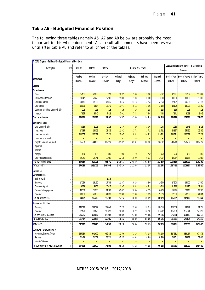## **Table A6 – Budgeted Financial Position**

The following three tables namely A6, A7 and A8 below are probably the most important in this whole document. As a result all comments have been reserved until after table A8 and refer to all three of the tables.

| WC048 Knysna - Table A6 Budgeted Financial Position |                |                          |                      |                      |                           |                           |                        |                      |                               |                                                        |                                            |
|-----------------------------------------------------|----------------|--------------------------|----------------------|----------------------|---------------------------|---------------------------|------------------------|----------------------|-------------------------------|--------------------------------------------------------|--------------------------------------------|
| Description                                         | Ref            | 2011/12                  | 2012/13              | 2013/14              |                           |                           | Current Year 2014/15   |                      |                               | 2015/16 Medium Term Revenue & Expenditure<br>Framework |                                            |
| <b>R</b> thousand                                   |                | Audited<br>Outcome       | Audited<br>Outcome   | Audited<br>Outcome   | Original<br><b>Budget</b> | Adjusted<br><b>Budget</b> | Full Year<br>Forecast  | Pre-audit<br>outcome | <b>Budget Year</b><br>2015/16 | 2016/17                                                | Budget Year +1   Budget Year +2<br>2017/18 |
| <b>ASSETS</b>                                       |                |                          |                      |                      |                           |                           |                        |                      |                               |                                                        |                                            |
| <b>Current assets</b>                               |                |                          |                      |                      |                           |                           |                        |                      |                               |                                                        |                                            |
| Cash                                                |                | 25 161                   | 22 885               | 596                  | 12 551                    | 1990                      | 5 3 6 7                | 5 3 6 7              | 12 621                        | 61 339                                                 | 130 064                                    |
| Call investment deposits                            |                | 30 342                   | 23 276               | 17 983               | 15 000                    | 11 983                    | 10 000                 | 10 000               | 10 000                        | 10 000                                                 | 10 000                                     |
| Consumer debtors                                    |                | 54 671                   | 67 199               | 64 542               | 78 373                    | 64 183                    | 61 253                 | 61 253               | 72 107                        | 70 786                                                 | 70 115                                     |
| Other debtors                                       |                | 10 929                   | 9514                 | 17 240               | 11 077                    | 18 10 2                   | 18 102                 | 18 102               | 18 102                        | 18 102                                                 | 18 102                                     |
| Current portion of long-term receivables            |                | 202                      | 115                  | 125                  | 125                       | 125                       | 125                    | 125                  | 125                           | 125                                                    | 125                                        |
| Inventory                                           | $\overline{2}$ | 7 9 65                   | 8540                 | 7 4 19               | 7 6 61                    | 7 4 6 8                   | 7 4 6 8                | 7 4 6 8              | 7841                          | 8 2 3 3                                                | 8 6 4 5                                    |
| <b>Total current assets</b>                         |                | 129 270                  | 131 528              | 107 905              | 124 787                   | 103 850                   | 102 315                | 102 315              | 120 796                       | 168 584                                                | 237 050                                    |
| Non current assets                                  |                |                          |                      |                      |                           |                           |                        |                      |                               |                                                        |                                            |
| Long-term receivables                               |                | 3 0 6 5                  | 2 2 9 5              | 2 2 18               | 2 7 3 4                   | 230                       | 2093                   | 2093                 | 1968                          | 1843                                                   | 1718                                       |
| Investments                                         |                | 17 38 5                  | 19 025               | 21 435               | 21 982                    | 22 721                    | 22 721                 | 22 7 21              | 23 857                        | 25 050                                                 | 26 302                                     |
| Investment property                                 |                | 110 355                  | 110 321              | 110 321              | 130 645                   | 110 321                   | 110 321                | 110 321              | 110 321                       | 110 321                                                | 110 321                                    |
| Investment in Associate                             |                |                          | ÷,                   | Ξ                    | ÷,                        | ÷,                        | Ξ                      |                      | $\equiv$                      | Ξ                                                      |                                            |
| Property, plant and equipment                       | 3              | 695 753                  | 744 803              | 802 912              | 839 639                   | 863 897                   | 863 897                | 863 897              | 940 713                       | 978 459                                                | 1 002 752                                  |
| Agricultural                                        |                | $\overline{\phantom{a}}$ | L,                   | ÷,                   |                           | $\equiv$                  | Ξ                      |                      | Ξ                             | $\equiv$                                               |                                            |
| Biological                                          |                |                          |                      |                      |                           |                           |                        |                      |                               |                                                        |                                            |
| Intangible                                          |                | 669                      | 992                  | 800                  | 900                       | 750                       | 750                    | 750                  | 700                           | 650                                                    | 600                                        |
| Other non-current assets                            |                | 22 741                   | 22 741               | 19 057               | 22 738                    | 20 920                    | 19 057                 | 19 057               | 19 057                        | 19 057                                                 | 19 057                                     |
| Total non current assets<br><b>TOTAL ASSETS</b>     |                | 849 969<br>979 238       | 900 178<br>1 031 705 | 956 742<br>1 064 648 | 1018 637<br>1 143 424     | 1018839<br>1 122 689      | 1018839<br>1 1 21 1 53 | 1018839<br>1 121 153 | 1096 616<br>1 217 412         | 1 135 379<br>1 303 964                                 | 1160750<br>1 397 800                       |
|                                                     |                |                          |                      |                      |                           |                           |                        |                      |                               |                                                        |                                            |
| <b>LIABILITIES</b>                                  |                |                          |                      |                      |                           |                           |                        |                      |                               |                                                        |                                            |
| <b>Current liabilities</b>                          |                |                          |                      |                      |                           |                           |                        |                      |                               |                                                        |                                            |
| Bank overdraft                                      |                |                          | L,                   | 1 2 7 6              |                           | $\equiv$                  |                        |                      | Ξ                             | Ξ                                                      |                                            |
| <b>Borrowing</b>                                    | 4              | 17 259                   | 18 130               | 17 786               | 21 147                    | 19 209                    | 19 209                 | 19 209               | 17500                         | 16 000                                                 | 14 500                                     |
| Consumer deposits<br>Trade and other pay ables      | $\overline{4}$ | 9 2 8 9<br>49 338        | 9658<br>55 980       | 10 012<br>61 786     | 11 265<br>61 481          | 10813<br>56 684           | 10813<br>50 778        | 10813<br>50 778      | 11 246<br>54 495              | 11 696<br>60 818                                       | 12 164<br>64 200                           |
| Provisions                                          |                | 18 806                   | 21 650               | 21 320               | 23 382                    | 21 320                    | 21 320                 | 21 320               | 22 38 6                       | 23 506                                                 | 24 681                                     |
| Total current liabilities                           |                | 94 692                   | 105 418              | 112 181              | 117 274                   | 108 026                   | 102 120                | 102 120              | 105 627                       | 112 019                                                | 115 544                                    |
|                                                     |                |                          |                      |                      |                           |                           |                        |                      |                               |                                                        |                                            |
| Non current liabilities                             |                | 149 548                  | 129 597              |                      |                           |                           |                        |                      |                               | 94 071                                                 | 81 154                                     |
| Borrow ing                                          |                | 87 176                   | 93 670               | 102 042<br>108 859   | 115 779                   | 99 528<br>118 292         | 103 613                | 103 613              | 100 354<br>125 650            | 135 744                                                |                                            |
| Provisions<br>Total non current liabilities         |                | 236 725                  | 223 267              | 210 901              | 112 260<br>228 039        | 217820                    | 118 292<br>221 906     | 118 292<br>221 906   | 226 004                       | 229 815                                                | 146 619<br>227 773                         |
| <b>TOTAL LIABILITIES</b>                            |                | 331 417                  | 328 685              | 323 082              | 345 313                   | 325 846                   | 324 026                | 324 026              | 331 631                       | 341 834                                                | 343 317                                    |
| <b>NET ASSETS</b>                                   | 5              | 647 822                  | 703 020              | 741 566              | 798 110                   | 796 844                   | 797 128                | 797 128              | 885 781                       | 962 130                                                | 1054 483                                   |
|                                                     |                |                          |                      |                      |                           |                           |                        |                      |                               |                                                        |                                            |
| COMMUNITY WEALTH/EQUITY                             |                |                          |                      |                      |                           |                           |                        |                      |                               |                                                        |                                            |
| Accumulated Surplus/(Deficit)                       | 4              | 585 339<br>62 483        | 641 670<br>61 351    | 682 835<br>58 731    | 712 756<br>85 355         | 732 189<br>64 939         | 732 189<br>64 939      | 732 189<br>64 939    | 817 631<br>68 151             | 888 257<br>73 873                                      | 974 876<br>79 606                          |
| Reserves<br>Minorities' interests                   |                |                          |                      |                      |                           |                           |                        |                      |                               | $\equiv$                                               |                                            |
| TOTAL COMMUNITY WEALTH/EQUITY                       | 5              | 647 822                  | 703 020              | 741 566              | 798 110                   | 797 128                   | 797 128                | 797 128              | 885 781                       | 962 130                                                | 1 0 54 4 83                                |
|                                                     |                |                          |                      |                      |                           |                           |                        |                      |                               |                                                        |                                            |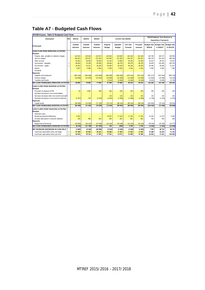## **Table A7 - Budgeted Cash Flows**

| <b>WC048 Knysna - Table A7 Budgeted Cash Flows</b> |                                                                                             |                                                                        |                                                                                                                              |                                                                                   |                                                           |                                                                         |  |  |  |  |
|----------------------------------------------------|---------------------------------------------------------------------------------------------|------------------------------------------------------------------------|------------------------------------------------------------------------------------------------------------------------------|-----------------------------------------------------------------------------------|-----------------------------------------------------------|-------------------------------------------------------------------------|--|--|--|--|
|                                                    |                                                                                             |                                                                        |                                                                                                                              | 2015/16 Medium Term Revenue &<br><b>Expenditure Framework</b>                     |                                                           |                                                                         |  |  |  |  |
| Original<br>Budget                                 | Adjusted<br>Budget                                                                          | <b>Full Year</b><br>Forecast                                           | Pre-audit<br>outcome                                                                                                         | <b>Budget Year</b><br>2015/16                                                     | <b>Budget Year</b><br>+1 2016/17                          | <b>Budget Year</b><br>+2 2017/18                                        |  |  |  |  |
|                                                    |                                                                                             |                                                                        |                                                                                                                              |                                                                                   |                                                           |                                                                         |  |  |  |  |
|                                                    |                                                                                             |                                                                        |                                                                                                                              |                                                                                   |                                                           |                                                                         |  |  |  |  |
| 149 943                                            | 134 590                                                                                     | 154 148                                                                | 154 148                                                                                                                      | 165 709                                                                           | 182 273                                                   | 195 096                                                                 |  |  |  |  |
|                                                    |                                                                                             |                                                                        |                                                                                                                              |                                                                                   |                                                           | 368 528                                                                 |  |  |  |  |
|                                                    | 74 884                                                                                      |                                                                        |                                                                                                                              |                                                                                   |                                                           | 33 047                                                                  |  |  |  |  |
| 68 844                                             | 86 278                                                                                      |                                                                        |                                                                                                                              | 93 803                                                                            | 104 483                                                   | 108 783                                                                 |  |  |  |  |
|                                                    | 48 168                                                                                      |                                                                        | 48 168                                                                                                                       |                                                                                   |                                                           | 41 027                                                                  |  |  |  |  |
|                                                    |                                                                                             | 5 4 3 4                                                                |                                                                                                                              |                                                                                   | 6 9 6 5                                                   | 7 4 8 5                                                                 |  |  |  |  |
|                                                    |                                                                                             |                                                                        |                                                                                                                              |                                                                                   |                                                           |                                                                         |  |  |  |  |
|                                                    |                                                                                             |                                                                        |                                                                                                                              |                                                                                   |                                                           |                                                                         |  |  |  |  |
| (449059)                                           | (464500)                                                                                    | (470123)                                                               | (470123)                                                                                                                     | (502 217)                                                                         | (551943)                                                  | (589 120)                                                               |  |  |  |  |
|                                                    |                                                                                             |                                                                        |                                                                                                                              |                                                                                   |                                                           | (16520)                                                                 |  |  |  |  |
| (5514)                                             | (5464)                                                                                      |                                                                        | (5464)                                                                                                                       | (5631)                                                                            | (5665)                                                    | (5781)                                                                  |  |  |  |  |
| 67849                                              |                                                                                             |                                                                        | 84 314                                                                                                                       |                                                                                   |                                                           | 142 543                                                                 |  |  |  |  |
|                                                    |                                                                                             |                                                                        |                                                                                                                              |                                                                                   |                                                           |                                                                         |  |  |  |  |
|                                                    |                                                                                             |                                                                        |                                                                                                                              |                                                                                   |                                                           |                                                                         |  |  |  |  |
| 250                                                | 250                                                                                         | 250                                                                    | 250                                                                                                                          | 250                                                                               | 250                                                       | 250                                                                     |  |  |  |  |
|                                                    | $\equiv$                                                                                    |                                                                        | $\equiv$                                                                                                                     |                                                                                   |                                                           |                                                                         |  |  |  |  |
| 115                                                | 125                                                                                         | 125                                                                    | 125                                                                                                                          | 125                                                                               | 125                                                       | 125                                                                     |  |  |  |  |
| (1815)                                             | (1286)                                                                                      | (1286)                                                                 | (1286)                                                                                                                       | (1136)                                                                            | (1193)                                                    | (1252)                                                                  |  |  |  |  |
|                                                    |                                                                                             |                                                                        |                                                                                                                              |                                                                                   |                                                           |                                                                         |  |  |  |  |
| (70174)                                            | (89134)                                                                                     | (89134)                                                                | (89134)                                                                                                                      | (102683)                                                                          | (70, 240)                                                 | (58992)                                                                 |  |  |  |  |
| (71624)                                            | (90045)                                                                                     | (90045)                                                                | (90045)                                                                                                                      | (103444)                                                                          | (71058)                                                   | (59869)                                                                 |  |  |  |  |
|                                                    |                                                                                             |                                                                        |                                                                                                                              |                                                                                   |                                                           |                                                                         |  |  |  |  |
|                                                    |                                                                                             |                                                                        |                                                                                                                              |                                                                                   |                                                           |                                                                         |  |  |  |  |
|                                                    | $\equiv$                                                                                    |                                                                        | $\equiv$                                                                                                                     |                                                                                   |                                                           |                                                                         |  |  |  |  |
|                                                    |                                                                                             |                                                                        |                                                                                                                              |                                                                                   |                                                           | 9 6 6 0                                                                 |  |  |  |  |
| 834                                                | 801                                                                                         | 801                                                                    | 801                                                                                                                          | 433                                                                               | 450                                                       | 468                                                                     |  |  |  |  |
|                                                    |                                                                                             |                                                                        |                                                                                                                              |                                                                                   |                                                           |                                                                         |  |  |  |  |
|                                                    |                                                                                             |                                                                        |                                                                                                                              | (20000)                                                                           | (19353)                                                   | (24077)                                                                 |  |  |  |  |
| 759                                                | (290)                                                                                       | 3796                                                                   | 3796                                                                                                                         | (4536)                                                                            | (7333)                                                    | (13949)                                                                 |  |  |  |  |
|                                                    |                                                                                             |                                                                        |                                                                                                                              | 7 2 5 5                                                                           | 48 718                                                    | 68 725                                                                  |  |  |  |  |
|                                                    | 17 303                                                                                      | 17 303                                                                 | 17 303                                                                                                                       | 15 368                                                                            | 22 623                                                    | 71 341                                                                  |  |  |  |  |
| 27 551                                             | 13 973                                                                                      | 15 368                                                                 | 15 368                                                                                                                       | 22 623                                                                            | 71 341                                                    | 140 065                                                                 |  |  |  |  |
|                                                    | 251 893<br>25 162<br>39 484<br>5 5 9 6<br>(18500)<br>16 057<br>(16 132)<br>(3015)<br>30 566 | 221 954<br>5 5 9 6<br>(14500)<br>87 006<br>17 105<br>(18196)<br>(3330) | Current Year 2014/15<br>254 207<br>26 16 6<br>86 278<br>48 168<br>(14499)<br>(5464)<br>84 314<br>17 105<br>(14110)<br>(1935) | 254 207<br>26 16 6<br>86 278<br>5 4 3 4<br>(14499)<br>17 105<br>(14110)<br>(1935) | 285 376<br>29 327<br>56 265<br>6565<br>115 234<br>15 0 32 | 331 453<br>28 542<br>46 586<br>(13962)<br>(15 586)<br>127 109<br>11 570 |  |  |  |  |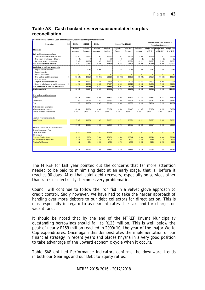### **Table A8 - Cash backed reserves/accumulated surplus reconciliation**

| WC048 Knysna - Table A8 Cash backed reserves/accumulated surplus reconciliation                                |                     |                                          |                               |                                                  |                            |                                     |                               |                             |                                     |                                                               |                                           |
|----------------------------------------------------------------------------------------------------------------|---------------------|------------------------------------------|-------------------------------|--------------------------------------------------|----------------------------|-------------------------------------|-------------------------------|-----------------------------|-------------------------------------|---------------------------------------------------------------|-------------------------------------------|
| Description                                                                                                    | Ref                 | 2011/12                                  | 2012/13                       | 2013/14                                          |                            | Current Year 2014/15                |                               |                             |                                     | 2015/16 Medium Term Revenue &<br><b>Expenditure Framework</b> |                                           |
| R thousand                                                                                                     |                     | Audited<br>Outcome                       | Audited<br>Outcome            | Audited<br>Outcome                               | Original<br><b>Budget</b>  | Adjusted<br><b>Budget</b>           | <b>Full Year</b><br>Forecast  | Pre-audit<br>outcome        | <b>Budget Year</b><br>2015/16       | <b>Budget Year</b><br>$+1$ 2016/17                            | <b>Budget Year</b><br>$+22017/18$         |
| Cash and investments available<br>Cash/cash equivalents at the year end<br>Other current investments > 90 days | $\mathbf{1}$        | 55 503<br>(0)                            | 46 161<br>$\theta$            | 17 303<br>$\Omega$                               | 27 551<br>(0)              | 13 973<br>$\Omega$                  | 15 368<br>(0)                 | 15 368<br>(0)               | 22 623<br>(1)                       | 71 341<br>(1)                                                 | 140 065<br>(1)                            |
| Non current assets - Investments                                                                               | $\mathbf{1}$        | 17 385                                   | 19 0 25                       | 21 435                                           | 21 982                     | 22 7 21                             | 22 7 21                       | 22 7 21                     | 23 857                              | 25 050                                                        | 26 30 2                                   |
| Cash and investments available:                                                                                |                     | 72 887                                   | 65 186                        | 38 738                                           | 49 532                     | 36 694                              | 38 088                        | 38 088                      | 46 478                              | 96 389                                                        | 166 366                                   |
| Application of cash and investments<br>Unspent conditional transfers<br>Unspent borrow ing                     |                     | 2 1 3 7<br>$\overline{\phantom{a}}$      | 1 2 6 2<br>÷.                 | 9 9 6 6<br>$\overline{\phantom{a}}$              | $\overline{a}$<br>$\equiv$ | 1 7 5 4<br>$\overline{\phantom{a}}$ | 1754                          | 1754                        | 1754<br>$\overline{\phantom{a}}$    | 1 7 5 4                                                       | 1754<br>$\overline{\phantom{a}}$          |
| Statutory requirements<br>Other working capital requirements<br>Other provisions                               | $\overline{2}$<br>3 | ÷<br>(11525)                             | ÷<br>(19853)                  | $\equiv$<br>(23 387)                             | ÷,<br>(23 110)             | $\equiv$<br>(13088)                 | ۰<br>(18596)                  | (18596)                     | $\overline{\phantom{a}}$<br>(24816) | (17158)                                                       | (13354)                                   |
| Long term investments committed<br>Reserves to be backed by cash/investments                                   | $\overline{4}$<br>5 | 17 385<br>14 676                         | 19 0 25<br>14 7 25            | 21 4 35<br>12 308                                | 21 982<br>37 687           | 22 7 21<br>18 5 16                  | 22 7 21<br>18 5 16            | 22 7 21<br>18 5 16          | 23 857<br>21 728                    | 25 050<br>27 450                                              | 26 30 2<br>33 184                         |
| Total Application of cash and investments:                                                                     |                     | 22673                                    | 15 159                        | 20 321                                           | 36 558                     | 29 903                              | 24 395                        | 24 39 5                     | 22 5 23                             | 37 096                                                        | 47886                                     |
| Surplus(shortfall)                                                                                             |                     | 50 215                                   | 50 027                        | 18417                                            | 12974                      | 6791                                | 13 693                        | 13 693                      | 23 956                              | 59 29 3                                                       | 118 480                                   |
| Other working capital requirements<br><b>Debtors</b><br>Creditors due<br>Total                                 |                     | 58 726<br>47 201<br>11 525               | 74 571<br>54 718<br>19853     | 75 208<br>51 821<br>23 387                       | 84 591<br>61 481<br>23 110 | 68 018<br>54 930<br>13 088          | 67 620<br>49 0 24<br>18 5 9 6 | 67 620<br>49 0 24<br>18 596 | 77 557<br>52 741<br>24 816          | 76 222<br>59 064<br>17 158                                    | 75 800<br>62 446<br>13 354                |
| Debtors collection assumptions<br>Balance outstanding - debtors<br>Estimate of debtors collection rate         |                     | 68 666<br>85.5%                          | 79 008<br>94.4%               | 84 000<br>89.5%                                  | 92 184<br>91.8%            | 82 514<br>82.4%                     | 81 447<br>83.0%               | 81 447<br>83.0%             | 92 176<br>84.1%                     | 90 730<br>84.0%                                               | 89 934<br>84.3%                           |
| Long term investments committed<br><b>DBSA Security</b>                                                        |                     | 17 385                                   | 19 0 25                       | 21 4 35                                          | 21 982                     | 22 7 21                             | 22 7 21                       | 22 721                      | 23 857                              | 25 050                                                        | 26 30 2                                   |
| Reserves to be backed by cash/investments                                                                      |                     | 17 385                                   | <b>19 025</b>                 | 21 435                                           | 21 982                     | 22.721                              | 22 721                        | 22 721                      | 23857                               | 25 050                                                        | 26 302                                    |
| Housing Development Fund<br>Capital replacement<br>Self-insurance                                              |                     | ٠<br>4 6 9 2<br>$\overline{\phantom{a}}$ | $\sim$<br>3 6 3 9<br>$\equiv$ | $\overline{\phantom{a}}$<br>$\equiv$<br>$\equiv$ | ÷<br>15 039<br>$\equiv$    | Ē,<br>$\equiv$<br>$\equiv$          | ÷<br>L,<br>$\equiv$           | L.<br>÷,<br>$\equiv$        | ÷<br>$\equiv$                       | $\equiv$<br>$\equiv$                                          | $\overline{\phantom{a}}$<br>Ξ<br>$\equiv$ |
| <b>Employee Benefits Reserve</b><br>Non-current provisions reserve<br>Valuation Roll Reserve                   |                     | 6 1 5 3<br>3 4 1 9<br>412                | 6 6 6 9<br>3 5 9 3<br>824     | 7544<br>3528<br>1 2 3 6                          | 16 669<br>4 2 5 4<br>1724  | 12 544<br>4 2 3 6<br>1 7 3 6        | 12 544<br>4 2 3 6<br>1736     | 12 544<br>4 2 3 6<br>1736   | 15 044<br>4 4 4 8<br>2 2 3 6        | 20 044<br>4 670<br>2 7 3 6                                    | 25 044<br>4 9 0 4<br>3 2 3 6              |
|                                                                                                                |                     | 14 676                                   | 14 725                        | 12 308                                           | 37 687                     | 18516                               | 18516                         | 18516                       | 21 728                              | 27 450                                                        | 33 184                                    |

The MTREF for last year pointed out the concerns that far more attention needed to be paid to minimising debt at an early stage, that is, before it reaches 90 days. After that point debt recovery, especially on services other than rates or electricity, becomes very problematic.

Council will continue to follow the iron fist in a velvet glove approach to credit control. Sadly however, we have had to take the harder approach of handing over more debtors to our debt collectors for direct action. This is most especially in regard to assessment rates—the tax—and for charges on vacant land.

It should be noted that by the end of the MTREF Knysna Municipality outstanding borrowings should fall to R123 million. This is well below the peak of nearly R159 million reached in 2009/10, the year of the major World Cup expenditures. Once again this demonstrates the implementation of our financial strategy in recent years and places Knysna in a very good position to take advantage of the upward economic cycle when it occurs.

Table SA8 entitled Performance Indicators confirms the downward trends in both our Gearings and our Debt to Equity ratios.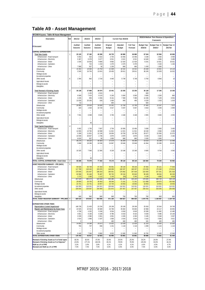## **Table A9 - Asset Management**

| WC048 Knysna - Table A9 Asset Management               |                |                    |                    |                    |                           |                           |                              |                               |                                                        |                           |
|--------------------------------------------------------|----------------|--------------------|--------------------|--------------------|---------------------------|---------------------------|------------------------------|-------------------------------|--------------------------------------------------------|---------------------------|
| Description                                            | Ref            | 2011/12            | 2012/13            | 2013/14            |                           | Current Year 2014/15      |                              |                               | 2015/16 Medium Term Revenue & Expenditure<br>Framework |                           |
| R thousand                                             |                | Audited<br>Outcome | Audited<br>Outcome | Audited<br>Outcome | Original<br><b>Budget</b> | Adjusted<br><b>Budget</b> | <b>Full Year</b><br>Forecast | <b>Budget Year</b><br>2015/16 | Budget Year +1<br>2016/17                              | Budget Year +2<br>2017/18 |
| <b>CAPITAL EXPENDITURE</b>                             |                |                    |                    |                    |                           |                           |                              |                               |                                                        |                           |
| <b>Total New Assets</b>                                | $\overline{1}$ | 25 129             | 37 182             | 40 289             | 46 733                    | 66 880                    | 66 880                       | 67 544                        | 52 994                                                 | 40 656                    |
| Infrastructure - Road transport                        |                | 5 0 0 2            | 610                | 3 3 2 2            | 2 7 5 4                   | 10 45 6                   | 10 45 6                      | 3 2 3 8                       | 2 4 5 0                                                | 3 4 5 0                   |
| Infrastructure - Electricity                           |                | 5 3 8 7            | 6 3 7 8            | 9 4 7 7            | 6 5 21                    | 6521                      | 6521                         | 14 640                        | 4 3 6 6                                                | 3 4 8 9                   |
| Infrastructure - Water<br>Infrastructure - Sanitation  |                | 1 0 3 4            | 10 929<br>722      | 9 680<br>1 2 1 9   | 9 8 6 3<br>1 4 7 0        | 12 4 24<br>2 4 7 0        | 12 4 24<br>2 4 7 0           | 6 2 4 1                       | 14 921<br>2 1 6 4                                      | 16 021<br>1 1 6 4         |
| Infrastructure - Other                                 |                | 7 9 6 8            | 927                | 56                 | 1 2 3 0                   | 660                       | 660                          | 1 4 3 0                       | 1 0 0 0                                                |                           |
| Infrastructure                                         |                | 19 391             | 19566              | 23 754             | 21 838                    | 32 531                    | 32 531                       | 25 549                        | 24 901                                                 | 24 124                    |
| Community                                              |                | 3 3 4 5            | 16 754             | 13 8 15            | 20 450                    | 28 611                    | 28 611                       | 36 245                        | 22 0 29                                                | 16 522                    |
| Heritage assets                                        |                |                    |                    |                    |                           |                           |                              |                               |                                                        |                           |
| Investment properties                                  |                |                    |                    |                    |                           |                           |                              |                               |                                                        |                           |
| Other assets                                           | 6              | 2 3 9 4            | 862                | 2 7 2 0            | 4 4 4 5                   | 5 7 3 8                   | 5 7 3 8                      | 5 7 5 0                       | 6 0 6 4                                                | 10                        |
| <b>Agricultural Assets</b>                             |                |                    |                    |                    |                           |                           |                              |                               |                                                        |                           |
| <b>Biological assets</b><br>Intangibles                |                |                    | Ē,<br>L.           |                    |                           |                           |                              |                               |                                                        |                           |
| <b>Total Renewal of Existing Assets</b>                | $\overline{2}$ | 35 138             | 37 898             | 36 974             | 23 441                    | 22 255                    | 22 255                       | 35 139                        | 17 24 6                                                | 15 3 36                   |
| Infrastructure - Road transport                        |                |                    | 1 1 2 5            | 4515               |                           |                           |                              | 600                           |                                                        |                           |
| Infrastructure - Electricity                           |                | 9568               | 7414               | 9 1 1 0            | 5 100                     | 5 000                     | 5 0 0 0                      | 3 600                         | 2 2 0 0                                                | 800                       |
| Infrastructure - Water                                 |                | 4 2 3 5            | 893                | 2 4 5 6            | 8 1 4 1                   | 7 3 6 9                   | 7 3 6 9                      | 14 436                        | 7 1 2 9                                                | 6 0 5 4                   |
| Infrastructure - Sanitation                            |                | 13 030             | 20 20 5            | 528                | 1 400                     | 400                       | 400                          | 8 2 2 9                       | 1 0 18                                                 | 1 0 1 8                   |
| Infrastructure - Other                                 |                | 52                 |                    |                    | 600                       |                           |                              | 600                           |                                                        | 7872                      |
| Infrastructure<br>Community                            |                | 26 885<br>323      | 29 636<br>1534     | 16 609<br>10 720   | 15 24 1<br>4 4 1 7        | 72 769<br>5 0 3 7         | 12769<br>5 0 3 7             | 27 465<br>4819                | 10 347<br>3 2 5 9                                      | 2 9 0 9                   |
| Heritage assets                                        |                |                    |                    |                    |                           |                           |                              |                               |                                                        |                           |
| Investment properties                                  |                |                    |                    |                    |                           |                           |                              |                               |                                                        |                           |
| Other assets                                           | 6              | 7931               | 6 6 9 8            | 9 6 4 5            | 3 7 8 3                   | 4 4 4 8                   | 4 4 4 8                      | 2855                          | 3 6 4 0                                                | 4555                      |
| <b>Agricultural Assets</b>                             |                |                    |                    |                    |                           |                           |                              |                               |                                                        |                           |
| <b>Biological assets</b>                               |                |                    |                    |                    |                           |                           |                              |                               |                                                        |                           |
| Intangibles                                            |                |                    | 30                 | L.                 |                           |                           |                              |                               |                                                        |                           |
| <b>Total Capital Expenditure</b>                       | $\overline{4}$ |                    |                    |                    |                           |                           |                              |                               |                                                        |                           |
| Infrastructure - Road transport                        |                | 5 0 0 2            | 1 7 3 5            | 7837               | 2 7 5 4                   | 10 45 6                   | 10 45 6                      | 3838                          | 2 4 5 0                                                | 3 4 5 0                   |
| Infrastructure - Electricity<br>Infrastructure - Water |                | 14 955<br>5 2 6 9  | 13 792<br>11 821   | 18 5 88<br>12 13 6 | 11 621<br>18 004          | 11 521<br>19 793          | 11 521<br>19 793             | 18 240<br>20 677              | 6566<br>22 050                                         | 4 2 8 9<br>22 075         |
| Infrastructure - Sanitation                            |                | 13 030             | 20 927             | 1 7 4 6            | 2870                      | 2870                      | 2870                         | 8 2 2 9                       | 3 1 8 2                                                | 2 1 8 2                   |
| Infrastructure - Other                                 |                | 8 0 2 0            | 927                | 56                 | 1830                      | 660                       | 660                          | 2 0 3 0                       | 1 0 0 0                                                |                           |
| Infrastructure                                         |                | 46 275             | 49 202             | 40 363             | 37 079                    | 45 300                    | 45 300                       | 53 014                        | 35 248                                                 | 31 996                    |
| Community                                              |                | 3 6 6 8            | 18 28 8            | 24 536             | 24 867                    | 33 648                    | 33 648                       | 41 064                        | 25 288                                                 | 19 431                    |
| Heritage assets                                        |                |                    |                    |                    |                           |                           |                              |                               |                                                        |                           |
| Investment properties                                  |                |                    |                    |                    |                           |                           |                              |                               |                                                        |                           |
| Other assets                                           |                | 10 325             | 7560               | 12 365             | 8 2 2 8                   | 10 186                    | 10 186                       | 8 6 0 5                       | 9 7 0 4                                                | 4565                      |
| <b>Agricultural Assets</b>                             |                |                    |                    |                    |                           |                           |                              |                               |                                                        |                           |
| <b>Biological assets</b>                               |                |                    |                    |                    |                           | Ē,                        |                              | L,                            | L,                                                     |                           |
| Intangibles<br>TOTAL CAPITAL EXPENDITURE - Asset class | $\overline{2}$ | 60 268             | 30<br>75 079       | 77 263             | 70 174                    | 89 134                    | 89 134                       | 102 683                       | 70 240                                                 | 55 992                    |
| ASSET REGISTER SUMMARY - PPE (WDV)                     | 5              |                    |                    |                    |                           |                           |                              |                               |                                                        |                           |
| Infrastructure - Road transport                        |                | 84 926             | 83 748             | 87 263             | 95 051                    | 89 144                    | 89 144                       | 87 094                        | 82 121                                                 | 77 644                    |
| Infrastructure - Electricity                           |                | 117 788            | 128 432            | 155 876            | 148 059                   | 160 337                   | 160 337                      | 174 235                       | 175 348                                                | 173 814                   |
| Infrastructure - Water                                 |                | 170 045            | 191 647            | 198 253            | 180 501                   | 176 062                   | 207 634                      | 222 500                       | 237 251                                                | 251 533                   |
| Infrastructure - Sanitation                            |                | 62 998             | 81 446             | 78 487             | 80 732                    | 65 516                    | 85 843                       | 90 428                        | 89 034                                                 | 86 329                    |
| Infrastructure - Other                                 |                | 1 2 7 3            | 1 200              | 1 1 1 2            | 2 1 4 3                   | (55)                      | 2 2 4 5                      | 4 1 4 8                       | 4 9 8 9                                                | 4818                      |
| Infrastructure                                         |                | 437 029            | 486 473            | 520 990            | 506 486                   | 491 005                   | 545 203                      | 578 405                       | 588 743                                                | 594 139                   |
| Community                                              |                | 29 680             | 28 763             | 36 953             | 88 546                    | 71 241                    | 71 241                       | 111 898                       | 136 675                                                | 155 560                   |
| Heritage assets<br>Investment properties               |                | 22 741<br>110 355  | 22 741<br>110 321  | 19 057<br>110 321  | 22 734<br>130 645         | 19 053<br>110 321         | 19 053<br>110 321            | 19 053<br>110 321             | 19 053<br>110 321                                      | 19 053<br>110 321         |
| Other assets                                           |                | 229 044            | 229 567            | 244 969            | 221 872                   | 247 457                   | 247 457                      | 250 414                       | 253 045                                                | 250 058                   |
| Agricultural Assets                                    |                |                    |                    |                    |                           |                           |                              |                               |                                                        |                           |
| <b>Biological assets</b>                               |                |                    |                    |                    |                           |                           |                              |                               |                                                        |                           |
| Intangibles                                            |                | 669                | 992                | 800                | 900                       | 750                       | 750                          | 700                           | 650                                                    | 600                       |
| TOTAL ASSET REGISTER SUMMARY - PPE (WD) 5              |                | 829 519            | 878 857            | 933 090            | 971 184                   | 939 827                   | 994 025                      | 1070 791                      | 1 108 487                                              | 1129 730                  |
| <b>EXPENDITURE OTHER ITEMS</b>                         |                |                    |                    |                    |                           |                           |                              |                               |                                                        |                           |
| Depreciation & asset impairment                        |                | 148 738            | 21 403             | 22 234             | 28 199                    | 28 199                    | 28 199                       | 25 918                        | 32 544                                                 | 34 749                    |
| Repairs and Maintenance by Asset Class                 | 3              | 22 025             | 22 5 15            | 30 689             | 34 796                    | 35 602                    | 35 602                       | 42 968                        | 44 117                                                 | 46 655                    |
| Infrastructure - Road transport                        |                | 4 7 9 8            | 4 2 0 2            | 9 1 9 6            | 8 5 5 4                   | 6818                      | 6818                         | 15 936                        | 11 682                                                 | 12 480                    |
| Infrastructure - Electricity                           |                | 4 651              | 6 15 6             | 6 189              | 8 7 8 0                   | 8 4 1 0                   | 8 4 1 0                      | 6 6 3 9                       | 9 4 8 6                                                | 10 146                    |
| Infrastructure - Water                                 |                | 3 3 3 9            | 2 3 6 0            | 3 3 0 1            | 4 0 0 1                   | 4 3 3 5                   | 4 3 3 5                      | 5 1 8 5                       | 5 5 4 8                                                | 5 9 3 7                   |
| Infrastructure - Sanitation                            |                | 2014               | 1 6 6 6            | 2 187              | 1836                      | 2616                      | 2616                         | 3 1 6 2                       | 3 3 8 4                                                | 3 6 21                    |
| Infrastructure - Other<br>Infrastructure               |                | 0                  |                    |                    | 460                       | 460                       | 460                          | 181                           | 400                                                    | 400                       |
| Community                                              |                | 14 802<br>783      | 14 384<br>737      | 20873<br>936       | 23 632<br>1 2 4 1         | 22 639<br>1 1 1 8         | 22 639<br>1 1 1 8            | 31 103<br>1 0 9 9             | 30 500<br>1 1 2 4                                      | 32 583<br>1 1 2 4         |
| Heritage assets                                        |                |                    |                    |                    |                           | ÷,                        |                              |                               |                                                        |                           |
| Investment properties                                  |                |                    |                    |                    |                           |                           |                              |                               |                                                        |                           |
| Other assets                                           | 6, 7           | 6 4 4 0            | 7 3 9 4            | 8 8 8 0            | 9 9 2 3                   | 11 845                    | 11 845                       | 10 765                        | 12 493                                                 | 12 948                    |
| TOTAL EXPENDITURE OTHER ITEMS                          |                | 170 763            | 43 917             | 52 923             | 62 995                    | 63 801                    | 63 801                       | 68 886                        | 76 661                                                 | 81 404                    |
| Renewal of Existing Assets as % of total capex         |                | 58.3%              | 50.5%              | 47.9%              | 33.4%                     | 25.0%                     | 25.0%                        | 34.2%                         | 24.6%                                                  | 27.4%                     |
| Renewal of Existing Assets as % of deprecn"            |                | 23.6%              | 177.1%             | 166.3%             | 83.1%                     | 78.9%                     | 78.9%                        | 135.6%                        | 53.0%                                                  | 44.1%                     |
| R&M as a % of PPE                                      |                | 3.2%               | 3.0%               | 3.8%               | 4.1%                      | 4.1%                      | 4.1%                         | 4.6%                          | 4.5%                                                   | 4.7%                      |
| Renewal and R&M as a % of PPE                          |                | 7.0%               | 7.0%               | 7.0%               | 6.0%                      | 6.0%                      | 6.0%                         | 7.0%                          | 6.0%                                                   | 5.0%                      |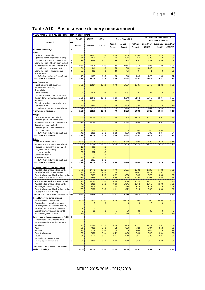## **Table A10 - Basic service delivery measurement**

| WC048 Knysna - Table A10 Basic service delivery measurement                                  |                              |         |           |         |                           |                           |                              |                               |                                                               |                                  |
|----------------------------------------------------------------------------------------------|------------------------------|---------|-----------|---------|---------------------------|---------------------------|------------------------------|-------------------------------|---------------------------------------------------------------|----------------------------------|
| Description                                                                                  | Ref                          | 2011/12 | 2012/13   | 2013/14 |                           | Current Year 2014/15      |                              |                               | 2015/16 Medium Term Revenue &<br><b>Expenditure Framework</b> |                                  |
|                                                                                              |                              | Outcome | Outcome   | Outcome | Original<br><b>Budget</b> | Adjusted<br><b>Budget</b> | <b>Full Year</b><br>Forecast | <b>Budget Year</b><br>2015/16 | <b>Budget Year</b><br>+1 2016/17                              | <b>Budget Year</b><br>+2 2017/18 |
| Household service targets                                                                    | -1                           |         |           |         |                           |                           |                              |                               |                                                               |                                  |
| Water:                                                                                       |                              |         |           |         |                           |                           |                              |                               |                                                               |                                  |
| Piped water inside dwelling                                                                  |                              | 14 731  | 14 977    | 15 237  | 16 608                    | 16 608                    | 16 608                       | 18 103                        | 19 732                                                        | 21 508                           |
| Piped water inside yard (but not in dwelling)                                                |                              | 2 5 7 4 | 2 6 3 6   | 2 701   | 2 9 4 4                   | 2944                      | 2944                         | 3 2 0 9                       | 3 4 9 8                                                       | 3 8 1 3                          |
| Using public tap (at least min.service level)                                                | $\overline{c}$<br>$\sqrt{4}$ | 3 3 6 2 | 3 4 6 4   | 3 5 7 1 | 3 8 9 2                   | 3892                      | 3892                         | 4 2 4 3                       | 4 6 25                                                        | 5 041                            |
| Other water supply (at least min.service level)<br>Minimum Service Level and Above sub-total |                              | 20 667  | 21 077    | 21 509  | 23 445                    | 23 445                    | 23 445                       | 25 555                        | 27 855                                                        | 30 362                           |
| Using public tap (< min.service level)                                                       | 3                            | 816     | 841       | 866     | 944                       | 944                       | 944                          | 1 0 29                        | 1 1 2 1                                                       | 1 2 2 2                          |
| Other water supply (< min.service level)                                                     | $\sqrt{4}$                   | 354     | 361       | 371     | 404                       | 404                       | 404                          | 441                           | 480                                                           | 524                              |
| No water supply                                                                              |                              |         |           |         |                           |                           |                              |                               |                                                               |                                  |
| Below Minimum Service Level sub-total                                                        |                              | 1170    | 1 202     | 1 2 3 7 | 1348                      | 1 3 4 8                   | 1 3 4 8                      | 1 470                         | 1 602                                                         | 1746                             |
| Total number of households                                                                   | 5                            | 21 837  | 22 279    | 22 746  | 24 793                    | 24 793                    | 24 793                       | 27 025                        | 29 457                                                        | 32 108                           |
| Sanitation/sewerage:                                                                         |                              |         |           |         |                           |                           |                              |                               |                                                               |                                  |
| Flush toilet (connected to sew erage)                                                        |                              | 16 636  | 16 927    | 17 236  | 18 787                    | 18 787                    | 18 787                       | 20 478                        | 22 3 21                                                       | 24 330                           |
| Flush toilet (with septic tank)                                                              |                              |         |           |         |                           |                           |                              |                               |                                                               |                                  |
| Chemical toilet                                                                              |                              |         |           |         |                           |                           |                              |                               |                                                               |                                  |
| Pit toilet (v entilated)                                                                     |                              | 1957    | 2 0 1 4   | 2 0 7 4 | 2 2 6 1                   | 2 2 6 1                   | 2 2 6 1                      | 2 4 6 4                       | 2 6 8 6                                                       | 2 9 2 8                          |
| Other toilet provisions (> min.service level)                                                |                              |         |           |         |                           |                           |                              |                               |                                                               |                                  |
| Minimum Service Level and Above sub-total                                                    |                              | 18 593  | 18 941    | 19 310  | 21 048                    | 21 048                    | 21 048                       | 22 942                        | 25 007                                                        | 27 258                           |
| <b>Bucket toilet</b>                                                                         |                              | 485     | 497       | 510     | 556                       | 556                       | 556                          | 606                           | 660                                                           | 720                              |
| Other toilet provisions (< min.service level)                                                |                              |         |           |         |                           |                           |                              |                               |                                                               |                                  |
| No toilet provisions                                                                         |                              | 2 7 5 9 | 2 8 4 1   | 2926    | 3 189                     | 3 189                     | 3 1 8 9                      | 3 4 7 6                       | 3 7 8 9                                                       | 4 1 3 0                          |
| Below Minimum Service Level sub-total                                                        |                              | 3 2 4 4 | 3 3 3 3 8 | 3 4 3 6 | 3745                      | 3745                      | 3 7 4 5                      | 4 0 8 2                       | 4 4 5 0                                                       | 4 8 5 0                          |
| Total number of households                                                                   | 5                            | 21 837  | 22 279    | 22 746  | 24 793                    | 24 793                    | 24 793                       | 27 025                        | 29 457                                                        | 32 108                           |
| Energy:                                                                                      |                              |         |           |         |                           |                           |                              |                               |                                                               |                                  |
| Electricity (at least min.service level)                                                     |                              | 19 377  | 19 749    | 20 14 1 | 21 954                    | 21 954                    | 21 954                       | 23 930                        | 26 083                                                        | 28 431                           |
| Electricity - prepaid (min.service level)                                                    |                              |         |           |         |                           |                           |                              |                               |                                                               |                                  |
| Minimum Service Level and Above sub-total                                                    |                              | 19 377  | 19 749    | 20 141  | 21 954                    | 21 954                    | 21 954                       | 23 930                        | 26 083                                                        | 28 431                           |
| Electricity (< min.service level)                                                            |                              |         |           |         |                           |                           |                              |                               |                                                               |                                  |
| Electricity - prepaid (< min. service level)                                                 |                              |         |           |         |                           |                           |                              |                               |                                                               |                                  |
| Other energy sources                                                                         |                              | 2 4 6 1 | 2 5 3 0   | 2 605   | 2839                      | 2839                      | 2839                         | 3 0 9 5                       | 3 3 7 4                                                       | 3 677                            |
| Below Minimum Service Level sub-total                                                        |                              | 2 4 6 1 | 2 5 3 0   | 2605    | 2839                      | 2839                      | 2839                         | 3 0 9 5                       | 3 3 7 4                                                       | 3677                             |
| Total number of households                                                                   | 5                            | 21 838  | 22 279    | 22 746  | 24 793                    | 24 793                    | 24 793                       | 27 025                        | 29 457                                                        | 32 108                           |
| Refuse:                                                                                      |                              |         |           |         |                           |                           |                              |                               |                                                               |                                  |
| Removed at least once a week                                                                 |                              | 20 317  | 20 724    | 21 151  | 26 550                    | 26 550                    | 26 550                       | 27 353                        | 28 179                                                        | 28 179                           |
| Minimum Service Level and Above sub-total                                                    |                              | 20 317  | 20 724    | 21 151  | 26 550                    | 26 550                    | 26 550                       | 27 353                        | 28 179                                                        | 28 179                           |
| Removed less frequently than once a week                                                     |                              | 160     | 162       | 165     |                           |                           |                              |                               |                                                               |                                  |
| Using communal refuse dump                                                                   |                              | 311     | 319       | 329     |                           |                           |                              |                               |                                                               |                                  |
| Using own refuse dump                                                                        |                              | 562     | 574       | 588     |                           |                           |                              |                               |                                                               |                                  |
| Other rubbish disposal                                                                       |                              | 206     | 210       | 215     |                           |                           |                              |                               |                                                               |                                  |
| No rubbish disposal                                                                          |                              | 281     | 290       | 298     |                           |                           |                              |                               |                                                               |                                  |
| Below Minimum Service Level sub-total                                                        |                              | 1520    | 1555      | 1595    |                           |                           |                              |                               |                                                               |                                  |
| Total number of households                                                                   | 5                            | 21 837  | 22 279    | 22 746  | 26 550                    | 26 550                    | 26 550                       | 27 353                        | 28 179                                                        | 28 179                           |
| Households receiving Free Basic Service                                                      | $\overline{7}$               |         |           |         |                           |                           |                              |                               |                                                               |                                  |
| Water (6 kilolitres per household per month)                                                 |                              | 15 709  | 17 742    | 17 123  | 16 795                    | 16 795                    | 16 795                       | 17 299                        | 17818                                                         | 17818                            |
| Sanitation (free minimum level service)                                                      |                              | 11 727  | 13 193    | 12 782  | 11 881                    | 11 881                    | 11 881                       | 12 237                        | 12 605                                                        | 12 605                           |
| Electricity/other energy (50kwh per household per ma                                         |                              | 7 0 9 5 | 7 3 8 2   | 7733    | 8 3 2 3                   | 8 3 2 3                   | 8 3 2 3                      | 8 5 7 3                       | 8 8 3 0                                                       | 8 8 3 0                          |
| Refuse (removed at least once a week)                                                        |                              | 9 3 7 2 | 9 6 6 2   | 10 216  | 10 260                    | 10 260                    | 10 260                       | 10 568                        | 10 568                                                        | 10 568                           |
| :ost of Free Basic Services provided (R'000)                                                 | 8                            | 17 162  | 19 592    | 18 706  | 20 390                    | 20 390                    | 20 390                       | 22 2 25                       | 24 2 25                                                       | 26 406                           |
| Water (6 kilolitres per household per month)                                                 |                              | 8 4 5 1 | 8 0 9 2   | 9 2 1 2 | 10 041                    | 10 041                    | 10 041                       | 10 945                        | 11 930                                                        | 13 003                           |
| Sanitation (free sanitation service)                                                         |                              | 2 6 3 9 | 2879      | 2877    | 3 1 3 6                   | 3 1 3 6                   | 3 1 3 6                      | 3 4 1 8                       | 3 7 2 5                                                       | 4 0 6 1                          |
| Electricity/other energy (50kwh per household per mo                                         |                              | 7670    | 7 900     | 8 3 6 0 | 9 1 1 2                   | 9 1 12                    | 9 1 1 2                      | 9 9 3 3                       | 10 826                                                        | 11 801                           |
| Refuse (removed once a week)                                                                 |                              |         |           |         |                           |                           |                              |                               |                                                               |                                  |
| Total cost of FBS provided (minimum social packa-                                            |                              | 35 922  | 38 464    | 39 155  | 42 679                    | 42 679                    | 42 679                       | 46 520                        | 50 707                                                        | 55 271                           |
| lighest level of free service provided                                                       |                              |         |           |         |                           |                           |                              |                               |                                                               |                                  |
| Property rates (R value threshold)                                                           |                              | 30 000  | 65 000    | 100 000 | 100 000                   | 100 000                   | 100 000                      | 100 000                       | 100 000                                                       | 100 000                          |
| Water (kilolitres per household per month)                                                   |                              | 6       | 6         | 6       | 6                         | 6                         | 6                            | 6                             | 6                                                             | 6                                |
| Sanitation (kilolitres per household per month)                                              |                              |         |           |         |                           |                           |                              |                               |                                                               |                                  |
| Sanitation (Rand per household per month)                                                    |                              | 47      | 50        |         |                           |                           |                              |                               |                                                               |                                  |
| Electricity (kwh per household per month)                                                    |                              | 50      | 50        | 50      | 50                        | 50                        | 50                           | 50                            | 50                                                            | 50                               |
| Refuse (average litres per week)                                                             |                              | 170     | 170       | 170     | 170                       | 170                       | 170                          | 170                           | 170                                                           | 170                              |
| Revenue cost of free services provided (R'000)                                               | 9                            |         |           |         |                           |                           |                              |                               |                                                               |                                  |
| Property rates (R15 000 threshold rebate)                                                    |                              |         |           |         |                           |                           |                              |                               |                                                               |                                  |
| Property rates (other exemptions, reductions                                                 |                              |         |           |         |                           |                           |                              |                               |                                                               |                                  |
| and rebates)                                                                                 |                              | 21 27 2 | 27 999    | 26 758  | 26 233                    | 26 233                    | 26 233                       | 27 239                        | 29 893                                                        | 29 893                           |
| Water                                                                                        |                              | 5 5 8 3 | 7 0 3 2   | 7670    | 7 5 20                    | 7520                      | 7520                         | 8 0 8 4                       | 8 5 6 9                                                       | 8 5 6 9                          |
| Sanitation                                                                                   |                              | 716     | 1 1 0 5   | 1 0 29  | 1 0 0 9                   | 1 0 0 9                   | 1 0 0 9                      | 1 0 8 9                       | 1 1 5 5                                                       | 1 1 5 5                          |
| Electricity/other energy                                                                     |                              | 2 6 3 9 | 2 8 7 9   | 3 4 9 4 | 3 4 2 6                   | 3 4 2 6                   | 3 4 2 6                      | 3 5 2 9                       | 3 6 3 4                                                       | 3 6 3 4                          |
| Refuse                                                                                       |                              | 6 3 4 5 | 6 7 1 5   | 8 1 7 3 | 8 0 1 3                   | 8 0 13                    | 8 0 1 3                      | 8 7 5 0                       | 9 3 6 2                                                       | 9 3 6 2                          |
| Municipal Housing - rental rebates                                                           |                              |         |           |         |                           |                           |                              |                               |                                                               |                                  |
| Housing - top structure subsidies                                                            | 6                            | 3 0 18  | 3 9 8 3   | 3 4 1 0 | 3 3 4 3                   | 3 3 4 3                   | 3 3 4 3                      | 3 5 7 7                       | 3 6 3 8                                                       | 3 6 3 8                          |
| Other                                                                                        |                              |         |           |         |                           |                           |                              |                               |                                                               |                                  |
| Total revenue cost of free services provided                                                 |                              |         |           |         |                           |                           |                              |                               |                                                               |                                  |
| (total social package)                                                                       |                              | 39 574  | 49 713    | 50 534  | 49 543                    | 49 543                    | 49 543                       | 52 267                        | 56 251                                                        | 56 251                           |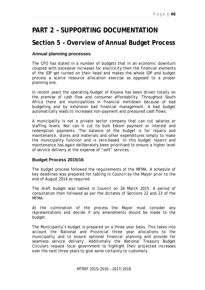# **PART 2 – SUPPORTING DOCUMENTATION**

## **Section 5 – Overview of Annual Budget Process**

### **Annual planning processes**

The CFO has stated in a number of budgets that in an economic downturn coupled with excessive increases for electricity then the financial elements of the IDP get turned on their head and makes the whole IDP and budget process a scarce resource allocation exercise as opposed to a proper planning one.

In recent years the operating budget of Knysna has been driven totally on the premise of cash flow and consumer affordability. Throughout South Africa there are municipalities in financial meltdown because of bad budgeting and by extension bad financial management. A bad budget automatically leads to increased non-payment and pressured cash flows.

A municipality is not a private sector company that can cut salaries or staffing levels. Nor can it cut its bulk Eskom payment or interest and redemption payments. The balance of the budget is for repairs and maintenance, stores and materials and other expenditures simply to make the municipality function and is zero-based. In this budget repairs and maintenance has again deliberately been prioritised to ensure a higher level of service delivery at the expense of "soft" services.

### **Budget Process 2015/16**

The budget process followed the requirements of the MFMA. A schedule of key deadlines was prepared for tabling in Council by the Mayor prior to the end of August 2014 as required.

The draft budget was tabled in Council on 26 March 2015. A period of consultation then followed as per the dictates of Sections 22 and 23 of the MFMA.

At the culmination of the process the Mayor must consider any representations and decide if any amendments should be made to the budget.

The Municipality's budget is prepared on a three year basis. This takes into account the National and Provincial three year allocations to the municipality and to ensure optional financial planning and provide for seamless service delivery. Additionally the National Treasury Budget Circulars request local government to highlight their projected increases over the next three years to give some certainty to customers.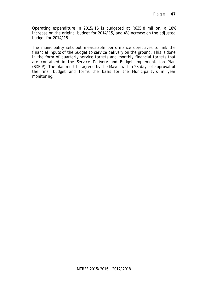Operating expenditure in 2015/16 is budgeted at R635.8 million, a 18% increase on the original budget for 2014/15, and 4% increase on the adjusted budget for 2014/15.

The municipality sets out measurable performance objectives to link the financial inputs of the budget to service delivery on the ground. This is done in the form of quarterly service targets and monthly financial targets that are contained in the Service Delivery and Budget Implementation Plan (SDBIP). The plan must be agreed by the Mayor within 28 days of approval of the final budget and forms the basis for the Municipality's in year monitoring.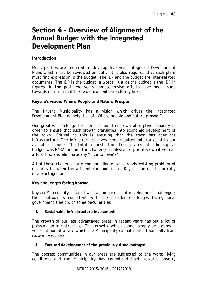# **Section 6 – Overview of Alignment of the Annual Budget with the Integrated Development Plan**

### **Introduction**

Municipalities are required to develop five year Integrated Development Plans which must be reviewed annually. It is also required that such plans must find expression in the Budget. The IDP and the budget are inter-related documents. The IDP is the budget in words, just as the budget is the IDP in figures. In the past two years comprehensive efforts have been made towards ensuring that the two documents are closely link.

### **Knysnas vision: Where People and Nature Prosper**

The Knysna Municipality has a vision which drives the Integrated Development Plan namely that of "Where people and nature prosper".

Our greatest challenge has been to build our own absorptive capacity in order to ensure that such growth translates into economic development of the town. Critical to this is ensuring that the town has adequate infrastructure. The infrastructure investment requirements far outstrip our available income. The total requests from Directorates into the capital budget was R432 million. The challenge is always to prioritise what we can afford first and eliminate any "nice to have's".

All of these challenges are compounding on an already existing problem of disparity between the affluent communities of Knysna and our historically disadvantaged ones.

### **Key challenges facing Knysna**

Knysna Municipality is faced with a complex set of development challenges; their outlook is consistent with the broader challenges facing local government albeit with some peculiarities:

### **i. Sustainable Infrastructure Investment**

The growth of our less advantaged areas in recent years has put a lot of pressure on infrastructure. That growth—which cannot simply be stopped will continue at a rate which the Municipality cannot match financially from its own resources.

### **ii. Focused development of the previously disadvantaged**

The poorest communities in our areas are subjected to the worst living conditions and the Municipality has committed itself towards poverty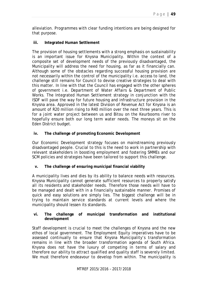alleviation. Programmes with clear funding intentions are being designed for that purpose.

### **iii. Integrated Human Settlement**

The provision of housing settlements with a strong emphasis on sustainability is an important issue for Knysna Municipality. Within the context of a composite set of development needs of the previously disadvantaged, the Municipality will address the need for housing, as far as it financially can. Although some of the obstacles regarding successful housing provision are not necessarily within the control of the municipality i.e. access to land, the challenge still remains for Council to devise creative strategies to deal with this matter. In line with that the Council has engaged with the other spheres of government i.e. Department of Water Affairs & Department of Public Works. The Integrated Human Settlement strategy in conjunction with the ISDF will pave the way for future housing and infrastructure provision in the Knysna area. Approved in the latest Division of Revenue Act for Knysna is an amount of R20 million rising to R40 million over the next three years. This is for a joint water project between us and Bitou on the Keurbooms river to hopefully ensure both our long term water needs. The moneys sit on the Eden District budget.

### **iv. The challenge of promoting Economic Development**

Our Economic Development strategy focuses on mainstreaming previously disadvantaged people. Crucial to this is the need to work in partnership with relevant stakeholders in boosting employment and fostering SMMEs and our SCM policies and strategies have been tailored to support this challenge.

**v. The challenge of ensuring municipal financial viability** 

A municipality lives and dies by its ability to balance needs with resources. Knysna Municipality cannot generate sufficient resources to properly satisfy all its residents and stakeholder needs. Therefore those needs will have to be managed and dealt with in a financially sustainable manner. Promises of quick and easy solutions are simply lies. The biggest challenge will be in trying to maintain service standards at current levels and where the municipality should lessen its standards.

### **vi. The challenge of municipal transformation and institutional development**

Staff development is crucial to meet the challenges of Knysna and the new ethos of local government. The Employment Equity imperatives have to be assessed continually to ensure that Knysna Municipality's transformation remains in line with the broader transformation agenda of South Africa. Knysna does not have the luxury of competing in terms of salary and therefore our ability to attract qualified and quality staff is severely limited. We must therefore endeavour to develop from within. The municipality is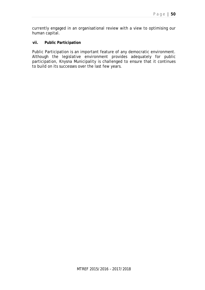currently engaged in an organisational review with a view to optimising our human capital.

#### **vii. Public Participation**

Public Participation is an important feature of any democratic environment. Although the legislative environment provides adequately for public participation, Knysna Municipality is challenged to ensure that it continues to build on its successes over the last few years.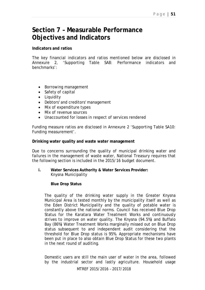## **Section 7 – Measurable Performance Objectives and Indicators**

#### **Indicators and ratios**

The key financial indicators and ratios mentioned below are disclosed in Annexure 2, 'Supporting Table SA8: Performance indicators and benchmarks':

- Borrowing management
- Safety of capital
- Liquidity
- Debtors' and creditors' management
- Mix of expenditure types
- Mix of revenue sources
- Unaccounted for losses in respect of services rendered

Funding measure ratios are disclosed in Annexure 2 'Supporting Table SA10: Funding measurement'.

#### **Drinking water quality and waste water management**

Due to concerns surrounding the quality of municipal drinking water and failures in the management of waste water, National Treasury requires that the following section is included in the 2015/16 budget document.

**i. Water Services Authority & Water Services Provider:** Knysna Municipality

### **Blue Drop Status**

The quality of the drinking water supply in the Greater Knysna Municipal Area is tested monthly by the municipality itself as well as the Eden District Municipality and the quality of potable water is constantly above the national norms. Council has received Blue Drop Status for the Karatara Water Treatment Works and continuously strives to improve on water quality. The Knysna (94.5%) and Buffalo Bay (86%) Water Treatment Works marginally missed out on Blue Drop status subsequent to and independent audit considering that the threshold for Blue Drop status is 95%. Appropriate mechanisms have been put in place to also obtain Blue Drop Status for these two plants in the next round of auditing.

Domestic users are still the main user of water in the area, followed by the industrial sector and lastly agriculture. Household usage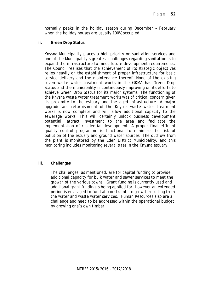normally peaks in the holiday season during December – February when the holiday houses are usually 100% occupied

**ii. Green Drop Status** 

Knysna Municipality places a high priority on sanitation services and one of the Municipality's greatest challenges regarding sanitation is to expand the infrastructure to meet future development requirements. The Council realises that the achievement of its strategic objectives relies heavily on the establishment of proper infrastructure for basic service delivery and the maintenance thereof. None of the existing seven waste water treatment works in the GKMA has Green Drop Status and the municipality is continuously improving on its efforts to achieve Green Drop Status for its major systems. The functioning of the Knysna waste water treatment works was of critical concern given its proximity to the estuary and the aged infrastructure. A major upgrade and refurbishment of the Knysna waste water treatment works is now complete and will allow additional capacity to the sewerage works. This will certainly unlock business development potential, attract investment to the area and facilitate the implementation of residential development. A proper final effluent quality control programme is functional to minimise the risk of pollution of the estuary and ground water sources. The outflow from the plant is monitored by the Eden District Municipality, and this monitoring includes monitoring several sites in the Knysna estuary.

#### **iii. Challenges**

The challenges, as mentioned, are for capital funding to provide additional capacity for bulk water and sewer services to meet the growth of the various towns. Grant funding is currently used and additional grant funding is being applied for, however an extended period is envisaged to fund all constraints to growth resulting from the water and waste water services. Human Resources also are a challenge and need to be addressed within the operational budget by growing one's own timber.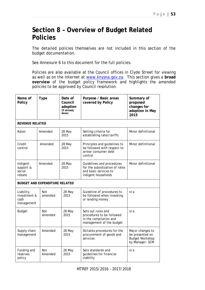## **Section 8 – Overview of Budget Related Policies**

The detailed policies themselves are not included in this section of the budget documentation.

See Annexure 6 to this document for the full policies.

Policies are also available at the Council offices in Clyde Street for viewing as well as on the Internet at www.knysna.gov.za. This section gives a **broad overview** of the budget policy framework and highlights the amended policies to be approved by Council resolution.

| Name of<br>Policy                                    | <b>Type</b>                    | Date of<br>Council<br>adoption<br>(if already<br>done) | Purpose / Basic areas<br>covered by Policy                                                                  | Summary of<br>proposed<br>changes for<br>adoption in May<br>2015                 |  |  |  |  |  |  |
|------------------------------------------------------|--------------------------------|--------------------------------------------------------|-------------------------------------------------------------------------------------------------------------|----------------------------------------------------------------------------------|--|--|--|--|--|--|
| <b>REVENUE RELATED</b>                               |                                |                                                        |                                                                                                             |                                                                                  |  |  |  |  |  |  |
| Rates                                                | Amended                        | 28 May<br>2015                                         | Setting criteria for<br>establishing rates tariffs                                                          | Minor definitional                                                               |  |  |  |  |  |  |
| Credit<br>control                                    | Amended                        | 28 May<br>2015                                         | Principles and guidelines to<br>be followed with respect to<br>arrear consumer debt<br>control              | Minor definitional                                                               |  |  |  |  |  |  |
| Amended<br>Indigent<br>support &<br>social<br>rebate |                                | 28 May<br>2015                                         | Guidelines and procedures<br>for the subsidization of rates<br>and basic services to<br>indigent households | Minor definitional                                                               |  |  |  |  |  |  |
|                                                      | BUDGET AND EXPENDITURE RELATED |                                                        |                                                                                                             |                                                                                  |  |  |  |  |  |  |
| Liability,<br>investment &<br>cash<br>management     | Not<br>amended                 | 28 May<br>2015                                         | Guideline of procedures to<br>be followed when investing<br>or lending money                                | n/a                                                                              |  |  |  |  |  |  |
| <b>Budget</b>                                        | Not<br>amended                 | 28 May<br>2015                                         | Sets out rules and<br>procedures to be followed<br>in the compilation and<br>management of the budget       | n/a                                                                              |  |  |  |  |  |  |
| Supply chain<br>management                           | Amended                        | 28 May<br>2015                                         | Dictates procedures for the<br>procurement of goods and<br>services                                         | Major changes to<br>be presented on<br><b>Budget Workshop</b><br>by Manager: SCM |  |  |  |  |  |  |
| Funding and<br>Not<br>Amended<br>reserves<br>policy  |                                | 28 May<br>2015                                         | Sets standards and<br>guidelines for financial<br>viability                                                 | n/a                                                                              |  |  |  |  |  |  |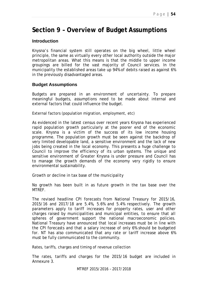## **Section 9 – Overview of Budget Assumptions**

### **Introduction**

Knysna's financial system still operates on the big wheel, little wheel principle, the same as virtually every other local authority outside the major metropolitan areas. What this means is that the middle to upper income groupings are billed for the vast majority of Council services. In the municipality the established areas take up 94% of debits raised as against 6% in the previously disadvantaged areas.

### **Budget Assumptions**

Budgets are prepared in an environment of uncertainty. To prepare meaningful budgets, assumptions need to be made about internal and external factors that could influence the budget.

External factors (population migration, employment, etc)

As evidenced in the latest census over recent years Knysna has experienced rapid population growth particularly at the poorer end of the economic scale. Knysna is a victim of the success of its low income housing programme. The population growth must be seen against the backdrop of very limited developable land, a sensitive environment and the lack of new jobs being created in the local economy. This presents a huge challenge to Council to improve the efficiency of its urban systems. The unique and sensitive environment of Greater Knysna is under pressure and Council has to manage the growth demands of the economy very rigidly to ensure environmental sustainability.

Growth or decline in tax base of the municipality

No growth has been built in as future growth in the tax base over the **MTRFF** 

The revised headline CPI forecasts from National Treasury for 2015/16, 2015/16 and 2017/18 are 5.4%, 5.6% and 5.4% respectively. The growth parameters apply to tariff increases for property rates, user and other charges raised by municipalities and municipal entities, to ensure that all spheres of government support the national macroeconomic policies. National Treasury have announced that local increases must be in line with the CPI forecasts and that a salary increase of only 6% should be budgeted for. NT has also communicated that any rate or tariff increase above 6% must be fully communicated to the community.

Rates, tariffs, charges and timing of revenue collection

The rates, tariffs and charges for the 2015/16 budget are included in Annexure 3.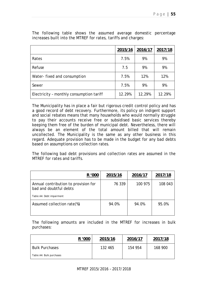|                                          | 2015/16 | 2016/17 | 2017/18 |
|------------------------------------------|---------|---------|---------|
| Rates                                    | 7.5%    | 9%      | 9%      |
| Refuse                                   | 7.5     | 9%      | 9%      |
| Water-fixed and consumption              | 7.5%    | 12%     | 12%     |
| Sewer                                    | 7.5%    | 9%      | 9%      |
| Electricity - monthly consumption tariff | 12.29%  | 12,29%  | 12.29%  |

The following table shows the assumed average domestic percentage increases built into the MTREF for rates, tariffs and charges:

The Municipality has in place a fair but rigorous credit control policy and has a good record of debt recovery. Furthermore, its policy on indigent support and social rebates means that many households who would normally struggle to pay their accounts receive free or subsidised basic services thereby keeping them free of the burden of municipal debt. Nevertheless, there will always be an element of the total amount billed that will remain uncollected. The Municipality is the same as any other business in this regard. Adequate provision has to be made in the budget for any bad debts based on assumptions on collection rates.

The following bad debt provisions and collection rates are assumed in the MTREF for rates and tariffs.

| R '000                                                         | 2015/16 | 2016/17 | 2017/18 |
|----------------------------------------------------------------|---------|---------|---------|
| Annual contribution to provision for<br>bad and doubtful debts | 76 339  | 100 975 | 108 043 |
| Table A4: Debt impairment                                      |         |         |         |
| Assumed collection rate(%)                                     | 94.0%   | 94.0%   | 95.0%   |

The following amounts are included in the MTREF for increases in bulk purchases:

|                          | R '000 | 2015/16 | 2016/17 | 2017/18 |
|--------------------------|--------|---------|---------|---------|
| <b>Bulk Purchases</b>    |        | 132 465 | 154 954 | 168 900 |
| Table A4: Bulk purchases |        |         |         |         |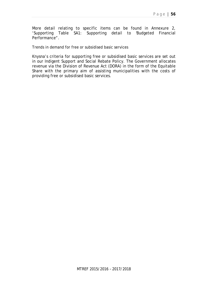More detail relating to specific items can be found in Annexure 2, 'Supporting Table SA1: Supporting detail to 'Budgeted Financial Performance''

Trends in demand for free or subsidised basic services

Knysna's criteria for supporting free or subsidised basic services are set out in our Indigent Support and Social Rebate Policy. The Government allocates revenue via the Division of Revenue Act (DORA) in the form of the Equitable Share with the primary aim of assisting municipalities with the costs of providing free or subsidised basic services.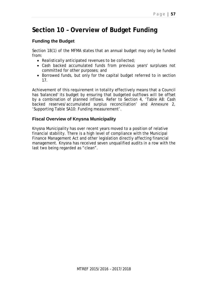# **Section 10 – Overview of Budget Funding**

## **Funding the Budget**

Section 18(1) of the MFMA states that an annual budget may only be funded from:

- Realistically anticipated revenues to be collected;
- Cash backed accumulated funds from previous years' surpluses not committed for other purposes; and
- Borrowed funds, but only for the capital budget referred to in section 17.

Achievement of this requirement in totality effectively means that a Council has 'balanced' its budget by ensuring that budgeted outflows will be offset by a combination of planned inflows. Refer to Section 4, 'Table A8: Cash backed reserves/accumulated surplus reconciliation' and Annexure 2, 'Supporting Table SA10: Funding measurement'.

## **Fiscal Overview of Knysna Municipality**

Knysna Municipality has over recent years moved to a position of relative financial stability. There is a high level of compliance with the Municipal Finance Management Act and other legislation directly affecting financial management. Knysna has received seven unqualified audits in a row with the last two being regarded as "clean".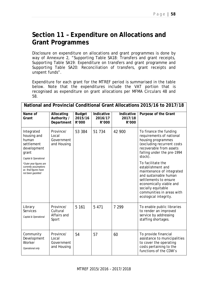## **Section 11 – Expenditure on Allocations and Grant Programmes**

Disclosure on expenditure on allocations and grant programmes is done by way of Annexure 2, "Supporting Table SA18: Transfers and grant receipts, Supporting Table SA19: Expenditure on transfers and grant programme and Supporting Table SA20: Reconciliation of transfers, grant receipts and unspent funds".

Expenditure for each grant for the MTREF period is summarised in the table below. Note that the expenditures include the VAT portion that is recognised as expenditure on grant allocations per MFMA Circulars 48 and 58.

|                                                                                                   |                                                 |                                   |                                |                                | National and Provincial Conditional Grant Allocations 2015/16 to 2017/18                                                                                                                                                     |
|---------------------------------------------------------------------------------------------------|-------------------------------------------------|-----------------------------------|--------------------------------|--------------------------------|------------------------------------------------------------------------------------------------------------------------------------------------------------------------------------------------------------------------------|
| Name of<br>Grant                                                                                  | Allocating<br>Authority /<br>Department         | <b>Budget</b><br>2015/16<br>R'000 | Indicative<br>2016/17<br>R'000 | Indicative<br>2017/18<br>R'000 | Purpose of the Grant                                                                                                                                                                                                         |
| Integrated<br>housing and<br>human<br>settlement<br>development<br>grant<br>Capital & Operational | Province/<br>Local<br>Government<br>and Housing | 53 384                            | 51 734                         | 42 900                         | To finance the funding<br>requirements of national<br>housing programmes<br>(excluding recurrent costs<br>recoverable from assets<br>falling under the pre-1994<br>stock).                                                   |
| *Outer year figures are<br>currently assumptions<br>as final figures have<br>not been gazetted    |                                                 |                                   |                                |                                | To facilitate the<br>establishment and<br>maintenance of integrated<br>and sustainable human<br>settlements to ensure<br>economically viable and<br>socially equitable<br>communities in areas with<br>ecological integrity. |
| Library<br><b>Services</b><br>Capital & Operational                                               | Province/<br>Cultural<br>Affairs and<br>Sport   | 5 1 6 1                           | 5 4 7 1                        | 7 299                          | To enable public libraries<br>to render an improved<br>service by addressing<br>staffing shortages.                                                                                                                          |
| Community<br>Development<br>Worker<br>Operational only                                            | Province/<br>Local<br>Government<br>and Housing | 54                                | 57                             | 60                             | To provide financial<br>assistance to municipalities<br>to cover the operating<br>costs pertaining to the<br>functions of the CDW's                                                                                          |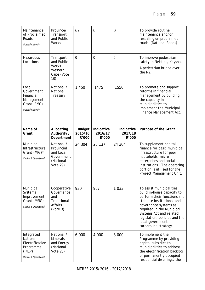| Maintenance<br>of Proclaimed<br>Roads<br>Operational only                                 | Province/<br>Transport<br>and Public<br>Works                                       | 67                                | $\overline{0}$                 | $\mathbf 0$                    | To provide routine<br>maintenance and/or<br>resealing on proclaimed<br>roads (National Roads)                                                                                                                                                                                      |
|-------------------------------------------------------------------------------------------|-------------------------------------------------------------------------------------|-----------------------------------|--------------------------------|--------------------------------|------------------------------------------------------------------------------------------------------------------------------------------------------------------------------------------------------------------------------------------------------------------------------------|
| Hazardous<br>Locations                                                                    | Transport<br>and Public<br>Works<br>Western<br>Cape (Vote<br>10)                    | $\Omega$                          | $\overline{0}$                 | $\mathbf 0$                    | To improve pedestrian<br>safety in Nekkies, Knysna.<br>A pedestrian bridge over<br>the N <sub>2</sub> .                                                                                                                                                                            |
| Local<br>Government<br>Financial<br>Management<br>Grant (FMG)<br>Operational only         | National /<br>National<br>Treasury                                                  | 1 4 5 0                           | 1475                           | 1550                           | To promote and support<br>reforms in financial<br>management by building<br>the capacity in<br>municipalities to<br>implement the Municipal<br>Finance Management Act.                                                                                                             |
| Name of<br>Grant                                                                          | Allocating<br>Authority /<br>Department                                             | <b>Budget</b><br>2015/16<br>R'000 | Indicative<br>2016/17<br>R'000 | Indicative<br>2017/18<br>R'000 | Purpose of the Grant                                                                                                                                                                                                                                                               |
| Municipal<br>Infrastructure<br>Grant (MIG)*<br>Capital & Operational                      | National /<br>Provincial<br>and Local<br>Government<br>(National<br><b>Vote 29)</b> | 24 304                            | 25 137                         | 24 304                         | To supplement capital<br>finance for basic municipal<br>infrastructure for poor<br>households, micro<br>enterprises and social<br>institutions. The operating<br>portion is utilised for the<br>Project Management Unit.                                                           |
| Municipal<br>Systems<br>Improvement<br>Grant (MSIG)<br>Capital & Operational              | Cooperative<br>Governance<br>and<br>Traditional<br>Affairs<br>(Note 3)              | 930                               | 957                            | 1 0 3 3                        | To assist municipalities<br>build in-house capacity to<br>perform their functions and<br>stabilise institutional and<br>governance systems as<br>required in the Municipal<br>Systems Act and related<br>legislation, policies and the<br>local government<br>turnaround strategy. |
| Integrated<br>National<br>Electrification<br>Programme<br>(INEP)<br>Capital & Operational | National /<br><b>Minerals</b><br>and Energy<br>(National<br><b>Vote 28)</b>         | 6 0 0 0                           | 4 000                          | 3 000                          | To implement the<br>Programme by providing<br>capital subsidies to<br>municipalities to address<br>the electrification backlog<br>of permanently occupied<br>residential dwellings, the                                                                                            |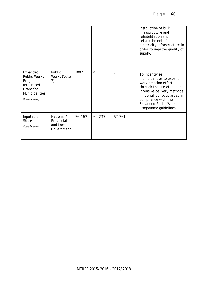|                                                                                                               |                                                     |        |          |          | installation of bulk<br>infrastructure and<br>rehabilitation and<br>refurbishment of<br>electricity infrastructure in<br>order to improve quality of<br>supply.                                                                                 |
|---------------------------------------------------------------------------------------------------------------|-----------------------------------------------------|--------|----------|----------|-------------------------------------------------------------------------------------------------------------------------------------------------------------------------------------------------------------------------------------------------|
| Expanded<br><b>Public Works</b><br>Programme<br>Integrated<br>Grant for<br>Municipalities<br>Operational only | Public<br>Works (Vote<br>7)                         | 1002   | $\Omega$ | $\Omega$ | To incentivise<br>municipalities to expand<br>work creation efforts<br>through the use of labour<br>intensive delivery methods<br>in identified focus areas, in<br>compliance with the<br><b>Expanded Public Works</b><br>Programme guidelines. |
| Equitable<br>Share<br>Operational only                                                                        | National /<br>Provincial<br>and Local<br>Government | 56 163 | 62 237   | 67 761   |                                                                                                                                                                                                                                                 |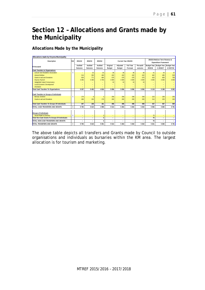# **Section 12 – Allocations and Grants made by the Municipality**

### **Allocations Made by the Municipality**

| Allocations made by Knysna Municipality         |                |         |              |                |                          |               |                      |           |                    |                                                               |                          |
|-------------------------------------------------|----------------|---------|--------------|----------------|--------------------------|---------------|----------------------|-----------|--------------------|---------------------------------------------------------------|--------------------------|
| Description                                     | Ref            | 2011/12 | 2012/13      | 2013/14        |                          |               | Current Year 2014/15 |           |                    | 2015/16 Medium Term Revenue &<br><b>Expenditure Framework</b> |                          |
| R thousand                                      |                | Audited | Audited      | Audited        | Original                 | Adjusted      | <b>Full Year</b>     | Pre-audit | <b>Budget Year</b> | <b>Budget Year</b>                                            | <b>Budget Year</b>       |
|                                                 |                | Outcome | Outcome      | Outcome        | <b>Budget</b>            | <b>Budget</b> | Forecast             | outcome   | 2015/16            | $+12016/17$                                                   | $+22017/18$              |
| Cash Transfers to Organisations                 |                |         |              |                |                          |               |                      |           |                    |                                                               |                          |
| Leisure Isle Residents Association              | $\overline{4}$ | ٠       | 32           | 33             | 38                       | 38            | 38                   | 38        | 41                 | 44                                                            | 47                       |
| <b>Animal Welfare</b>                           |                | 214     | 350          | 400            | 432                      | 432           | 432                  | 432       | 462                | 495                                                           | 529                      |
| <b>Grants-in-aid and Donations</b>              |                | 628     | 771          | 684            | 576                      | 576           | 576                  | 576       | 616                | 659                                                           | 706                      |
| Knysna Tourism                                  |                | 4 4 9 5 | 4 300        | 3 700          | 4 0 0 0                  | 4 000         | 4 0 0 0              | 4 0 0 0   | 4 000              | 4 0 0 0                                                       | 4 0 0 0                  |
| Sedgefield Island Conservancy                   |                |         | -            |                | 10                       | 10            | 10                   | 10        |                    | -                                                             |                          |
| Local Economic Development                      |                | $=$     | $=$          | -              |                          |               | $=$                  |           | $=$                | $=$                                                           |                          |
| <b>HIV/AIDS</b>                                 |                | $=$     | ۰            |                | $=$                      | -             | $=$                  |           | $=$                | $=$                                                           |                          |
| <b>Total Cash Transfers To Organisations</b>    |                | 5 3 3 7 | 5 4 5 2      | 4 8 1 6        | 5 0 5 6                  | 5 0 5 6       | 5 0 5 6              | 5 0 5 6   | 5 1 1 9            | 5 1 9 8                                                       | 5281                     |
| Cash Transfers to Groups of Individuals         |                |         |              |                |                          |               |                      |           |                    |                                                               |                          |
| <b>Bursary Scheme</b>                           | 5              | 179     | $\mathbf{8}$ | 3              | 258                      | 208           | 208                  | 208       | 223                | 238                                                           | 255                      |
| <b>Grants-in-aid and Donations</b>              |                | 268     | 150          | 178            | 200                      | 200           | 200                  | 200       | 214                | 229                                                           | 245                      |
| Total Cash Transfers To Groups Of Individuals:  |                | 447     | 158          | 181            | 458                      | 408           | 408                  | 408       | 437                | 467                                                           | 500                      |
| TOTAL CASH TRANSFERS AND GRANTS                 | 6              | 5 7 8 4 | 5 6 10       | 4 9 9 8        | 5 5 1 4                  | 5 4 6 4       | 5 4 6 4              | 5 4 6 4   | 5 5 5 6            | 5 6 6 5                                                       | 5 7 8 1                  |
|                                                 |                |         |              |                |                          |               |                      |           |                    |                                                               |                          |
| <b>Groups of Individuals</b>                    |                |         |              |                |                          |               |                      |           |                    |                                                               |                          |
| <b>Social Relief of Distress</b>                | 5              | $=$     | ۰            | $\overline{3}$ | $\qquad \qquad =$        | $=$           | ٠                    |           | 75                 | -                                                             |                          |
| Total Non-Cash Grants To Groups Of Individuals: |                | ۰       | -            | 3              | $\overline{\phantom{a}}$ | ۰             | ۰                    | -         | 75                 | ۰                                                             | $\overline{\phantom{0}}$ |
| TOTAL NON-CASH TRANSFERS AND GRANTS             |                | ٠       | -            | 3              | $\overline{\phantom{0}}$ | ٠             | ٠                    |           | 75                 | ٠                                                             | $\overline{\phantom{0}}$ |
| TOTAL TRANSFERS AND GRANTS                      | 6              | 5 7 8 4 | 5 6 10       | 5 001          | 5 5 1 4                  | 5 4 6 4       | 5 4 6 4              | 5 4 6 4   | 5 6 3 1            | 5 6 6 5                                                       | 5 7 8 1                  |

The above table depicts all transfers and Grants made by Council to outside organisations and individuals as bursaries within the KM area. The largest allocation is for tourism and marketing.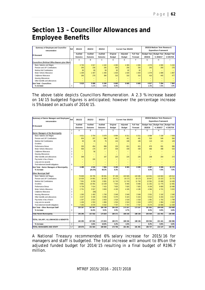## **Section 13 – Councillor Allowances and Employee Benefits**

| Summary of Employee and Councillor<br>remuneration | Ref | 2012/13<br>2011/12<br>2013/14<br>Current Year 2014/15 |                          |                          |               |                          |                          |                          | 2015/16 Medium Term Revenue &<br><b>Expenditure Framework</b> |                    |
|----------------------------------------------------|-----|-------------------------------------------------------|--------------------------|--------------------------|---------------|--------------------------|--------------------------|--------------------------|---------------------------------------------------------------|--------------------|
| <b>R</b> thousand                                  |     | Audited                                               | Audited                  | Audited                  | Original      | Adjusted                 | <b>Full Year</b>         | Budget Year              | <b>Budget Year</b>                                            | <b>Budget Year</b> |
|                                                    |     | Outcome                                               | Outcome                  | Outcome                  | <b>Budget</b> | Budget                   | Forecast                 | 2015/16                  | $+1$ 2016/17                                                  | $+22017/18$        |
|                                                    |     | А                                                     | B                        | ⌒<br>ι.                  | D             | F                        |                          | G                        | н                                                             |                    |
| Councillors (Political Office Bearers plus Other)  |     |                                                       |                          |                          |               |                          |                          |                          |                                                               |                    |
| Basic Salaries and Wages                           |     | 3 7 3 0                                               | 3 9 1 7                  | 4 102                    | 4 3 8 3       | 4 3 8 3                  | 4 3 8 3                  | 4 5 7 9                  | 4 900                                                         | 5 2 4 3            |
| Pension and UIF Contributions                      |     | 200                                                   | 236                      | 245                      | 256           | 256                      | 256                      | 243                      | 260                                                           | 278                |
| Medical Aid Contributions                          |     | 85                                                    | 69                       | 58                       | 82            | 82                       | 82                       | $\overline{\phantom{0}}$ | $\overline{\phantom{0}}$                                      |                    |
| Motor Vehicle Allowance                            |     | 339                                                   | 1 407                    | 1 4 4 0                  | 1 6 3 4       | 1 634                    | 1634                     | 1579                     | 1689                                                          | 1807               |
| Cellphone Allow ance                               |     | 266                                                   | 279                      | 394                      | 310           | 310                      | 310                      | 416                      | 445                                                           | 477                |
| Housing Allow ances                                |     | $\overline{\phantom{0}}$                              | -                        | $\overline{\phantom{0}}$ | -             | $\overline{\phantom{0}}$ | $\overline{\phantom{0}}$ | $\overline{\phantom{0}}$ | $\overline{\phantom{0}}$                                      | -                  |
| Other benefits and allow ances                     |     | $\overline{\phantom{0}}$                              | $\overline{\phantom{0}}$ | $\overline{\phantom{0}}$ | -             | ۰                        | $\overline{\phantom{0}}$ | $\overline{\phantom{0}}$ | $\overline{\phantom{0}}$                                      |                    |
| Sub Total - Councillors                            |     | 5619                                                  | 5 908                    | 6 240                    | 6 6 6 5       | 6 6 6 5                  | 6 6 6 5                  | 6817                     | 7294                                                          | 7804               |
| % increase                                         |     |                                                       | 5.1%                     | 5.6%                     | 6.8%          | -                        |                          | 2.3%                     | 7.0%                                                          | 7.0%               |

The above table depicts Councillors Remuneration. A 2.3 % increase based on 14/15 budgeted figures is anticipated; however the percentage increase is 5% based on actuals of 2014/15.

| Summary of Senior Managers and Employees<br>remuneration | Ref            | 2011/12 | 2012/13  | 2013/14                  |                          | Current Year 2014/15     |                          |                    | 2015/16 Medium Term Revenue &<br><b>Expenditure Framework</b> |                    |
|----------------------------------------------------------|----------------|---------|----------|--------------------------|--------------------------|--------------------------|--------------------------|--------------------|---------------------------------------------------------------|--------------------|
|                                                          |                | Audited | Audited  | Audited                  |                          |                          | <b>Full Year</b>         |                    |                                                               |                    |
| R thousand                                               |                |         |          |                          | Original                 | Adjusted                 |                          | <b>Budget Year</b> | <b>Budget Year</b>                                            | <b>Budget Year</b> |
|                                                          |                | Outcome | Outcome  | Outcome                  | Budget                   | <b>Budget</b>            | Forecast                 | 2015/16            | +1 2016/17                                                    | $+22017/18$        |
|                                                          | 1              | Α       | R        | C.                       | D                        | F                        | F                        | G                  | H.                                                            |                    |
| Senior Managers of the Municipality                      | $\overline{2}$ |         |          |                          |                          |                          |                          |                    |                                                               |                    |
| Basic Salaries and Wages                                 |                | 4 6 21  | 3754     | 5 6 7 8                  | 6894                     | 6 3 1 1                  | 6 3 1 1                  | 6 6 8 9            | 7 1 5 8                                                       | 7659               |
| Pension and UIF Contributions                            |                | 654     | 297      | 588                      | 481                      | 481                      | 481                      | 510                | 546                                                           | 584                |
| Medical Aid Contributions                                |                | 65      | 29       | 76                       | 124                      | 106                      | 106                      | 113                | 121                                                           | 129                |
| Overtime                                                 |                | ÷       | $\equiv$ | $\overline{\phantom{0}}$ | $\overline{\phantom{0}}$ |                          |                          |                    | $\overline{\phantom{0}}$                                      | $\equiv$           |
| Performance Bonus                                        |                | 335     | 454      | 898                      | 220                      | 821                      | 821                      | 870                | 931                                                           | 996                |
| Motor Vehicle Allow ance                                 | 3              | 506     | 170      | 477                      | 439                      | 439                      | 439                      | 466                | 498                                                           | 533                |
| Cellphone Allow ance                                     | $\overline{3}$ | $-$     | 58       | $\overline{\phantom{0}}$ |                          |                          |                          |                    |                                                               | $\equiv$           |
| Housing Allow ances                                      | 3              | ۳       | $\equiv$ | $\overline{\phantom{0}}$ | Ξ                        | Ξ                        | ÷                        |                    | L,                                                            | $\equiv$           |
| Other benefits and allow ances                           | $\overline{3}$ | 308     | $\equiv$ | 167                      | 225                      | 225                      | 225                      | 238                | 254                                                           | 272                |
| Payments in lieu of leave                                |                | ÷       | 155      | ÷,                       | ÷                        | $\overline{\phantom{0}}$ | ÷                        |                    | L                                                             | $\equiv$           |
| Long service awards                                      |                | $-$     | $\equiv$ | $\overline{\phantom{0}}$ | ÷,                       | $\overline{\phantom{0}}$ | ÷                        |                    |                                                               | $\equiv$           |
| Post-retirement benefit obligations                      | 6              |         | $\equiv$ | ÷                        |                          |                          |                          |                    |                                                               |                    |
| Sub Total - Senior Managers of Municipality              |                | 6 488   | 4 9 18   | 7884                     | 8 3 8 3                  | 8 3 8 3                  | 8 3 8 3                  | 8 8 8 7            | 9 508                                                         | 10 174             |
| % increase                                               | $\overline{4}$ |         | (24.2%)  | 60.3%                    | 6.3%                     |                          |                          | 6.0%               | 7.0%                                                          | 7.0%               |
| <b>Other Municipal Staff</b>                             |                |         |          |                          |                          |                          |                          |                    |                                                               |                    |
| <b>Basic Salaries and Wages</b>                          |                | 79 609  | 83 795   | 89 691                   | 97 198                   | 103 585                  | 103 585                  | 110 931            | 119 663                                                       | 128 012            |
| Pension and UIF Contributions                            |                | 13 0 26 | 14 681   | 16 325                   | 19 173                   | 19 17 3                  | 19 173                   | 20 647             | 22 222                                                        | 23 775             |
| Medical Aid Contributions                                |                | 7501    | 8 2 5 9  | 8 9 8 1                  | 11 743                   | 11 743                   | 11 743                   | 12 591             | 13 489                                                        | 14 430             |
| Overtime                                                 |                | 8 8 8 1 | 10 491   | 13 239                   | 7 016                    | 8 4 6 6                  | 8 4 6 6                  | 11 252             | 11 775                                                        | 12 481             |
| Performance Bonus                                        |                | 5 7 3 9 | 7014     | 7 4 1 5                  | 7825                     | 7825                     | 7825                     | 9 1 5 6            | 9 800                                                         | 10 486             |
| Motor Vehicle Allow ance                                 | 3              | 2 7 5 1 | 3557     | 3893                     | 4 1 9 5                  | 4 1 9 5                  | 4 1 9 5                  | 4 3 9 4            | 4 7 2 1                                                       | 5 0 22             |
| Cellphone Allow ance                                     | $\overline{3}$ | $-$     | (58)     | $\overline{\phantom{0}}$ | $\equiv$                 | $\equiv$                 | $\overline{\phantom{a}}$ | $\equiv$           | $\equiv$                                                      | $\equiv$           |
| Housing Allow ances                                      | $\overline{3}$ | 1 3 9 3 | 1 4 9 3  | 1 700                    | 2 0 4 9                  | 2 0 4 9                  | 2049                     | 2 0 3 1            | 2 1 9 2                                                       | 2 3 4 5            |
| Other benefits and allow ances                           | $\overline{3}$ | 4 2 4 7 | 5 3 3 0  | 5 5 9 5                  | 5 3 7 5                  | 5 3 2 3                  | 5 3 2 3                  | 5 6 1 2            | 6 204                                                         | 6 6 1 7            |
| Payments in lieu of leave                                |                | 1 3 3 7 | 2814     | 2 6 5 3                  | 1518                     | 1518                     | 1518                     | 1 0 9 1            | 1 702                                                         | 1799               |
| Long service awards                                      |                | 1 4 3 6 | 1553     | 1866                     | 1 5 2 4                  | 1 5 2 4                  | 1524                     | 1872               | 1 9 8 4                                                       | 2 1 0 3            |
| Post-retirement benefit obligations                      | 6              | 7 2 6 5 | 8078     | 9 3 4 2                  | 7 707                    | 7 7 0 7                  | 7 7 0 7                  | 8 2 7 4            | 10 888                                                        | 11 538             |
| Sub Total - Other Municipal Staff                        |                | 133 187 | 147 007  | 160 700                  | 165 323                  | 173 107                  | 173 107                  | 187 851            | 204 639                                                       | 218 608            |
| % increase                                               | $\overline{4}$ |         | 10.4%    | 9.3%                     | 2.9%                     | 4.7%                     | $\overline{a}$           | 8.5%               | 8.9%                                                          | 6.8%               |
|                                                          |                |         |          |                          |                          |                          |                          |                    |                                                               |                    |
| <b>Total Parent Municipality</b>                         |                | 145 295 | 157832   | 174 824                  | 180 371                  | 188 156                  | 188 156                  | 203 554            | 221 441                                                       | 236 586            |
|                                                          |                |         |          |                          |                          |                          |                          |                    |                                                               |                    |
| TOTAL SALARY, ALLOWANCES & BENEFITS                      |                | 145 295 | 157 832  | 174 824                  | 180 371                  | 188 156                  | 188 156                  | 203 554            | 221 441                                                       | 236 586            |
| % increase                                               | $\overline{4}$ |         | 8.6%     | 10.8%                    | 3.2%                     | 4.3%                     | $\overline{a}$           | 8.2%               | 8.8%                                                          | 6.8%               |
| TOTAL MANAGERS AND STAFF                                 | 5.7            | 139 676 | 151 924  | 168 584                  | 173 706                  | 181 491                  | 181 491                  | 196 737            | 214 147                                                       | 228 781            |

A National Treasury recommended 6% salary increase for 2015/16 for managers and staff is budgeted. The total increase will amount to 8% on the adjusted funded budget for 2014/15 resulting in a final budget of R196.7 million.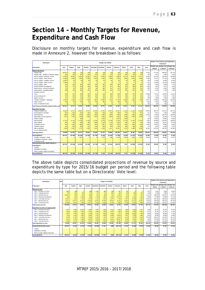## **Section 14 – Monthly Targets for Revenue, Expenditure and Cash Flow**

Disclosure on monthly targets for revenue, expenditure and cash flow is made in Annexure 2, however the breakdown is as follows:

| Description                                           |         |                         |           |                          |                          |                     |                |           |                |                   |                          |         |                          | Medium Term Revenue and Expenditure |                    |
|-------------------------------------------------------|---------|-------------------------|-----------|--------------------------|--------------------------|---------------------|----------------|-----------|----------------|-------------------|--------------------------|---------|--------------------------|-------------------------------------|--------------------|
|                                                       |         |                         |           |                          |                          | Budget Year 2015/16 |                |           |                |                   |                          |         |                          | Framework                           |                    |
|                                                       |         |                         |           |                          |                          |                     |                |           |                |                   |                          |         | <b>Budget Year</b>       | <b>Budget Year</b>                  | <b>Budget Year</b> |
| R thousand                                            | July    | August                  | Sept.     | October                  | November                 | <b>December</b>     | January        | February  | March          | April             | May                      | June    | 2015/16                  | +1 2016/17                          | +2 2017/18         |
| Revenue By Source                                     |         |                         |           |                          |                          |                     |                |           |                |                   |                          |         |                          |                                     |                    |
| Property rates                                        | 159 673 | (20)                    | (20)      | (20)                     | (20)                     | (20)                | (20)           | (20)      | (20)           | (20)              | (20)                     | 11 940  | 171 416                  | 188 535                             | 201 733            |
| Property rates - penalties & collection charges       | 234     | 234                     | 234       | 234                      | 234                      | 234                 | 234            | 234       | 234            | 234               | 234                      | 445     | 3 0 1 4                  | 3 3 3 1                             | 3 6 3 1            |
| Service charges - electricity revenue                 | 20 064  | 15 5 29                 | 15 454    | 15 28 5                  | 15 26 2                  | 16 5 26             | 16 059         | 9585      | 15 724         | 15 452            | 14 771                   | 45 30 3 | 215 015                  | 245 359                             | 276 495            |
| Service charges - water revenue                       | 14 880  | 3 3 8 0                 | 2 9 3 0   | 2 3 5 9                  | 2840                     | 2620                | 4 2 9 9        | 3 2 6 5   | 3 2 3 8        | 3 3 5 2           | 2 4 8 5                  | 6 9 2 3 | 52 571                   | 67 132                              | 71 829             |
| Service charges - sanitation revenue                  | 10 807  | 60                      | 60        | 58                       | 60                       | 59                  | 58             | 58        | 59             | 58                | 59                       | 932     | 12 3 29                  | 13 499                              | 14 445             |
| Service charges - refuse revenue                      | 15 299  | 6                       | 6         | $\Lambda$                | 5                        | л                   | $\Lambda$      | 5         | $\overline{3}$ | 6                 | 6                        | 1 1 5 7 | 16 504                   | 18 575                              | 20 433             |
| Service charges - other                               | 334     | 290                     | 334       | 285                      | 296                      | 302                 | 289            | 296       | 319            | 301               | 302                      | 628     | 3 9 7 6                  | 4 3 3 3                             | 4 7 2 2            |
| Rental of facilities and equipment                    | 352     | 274                     | 340       | 346                      | 349                      | 345                 | 457            | 386       | 378            | 380               | 384                      | 1 4 9 0 | 5 4 8 2                  | 5 977                               | 6516               |
| Interest earned - external investments                | 58      | 58                      | 222       | 58                       | 58                       | 304                 | 222            | 222       | 222            | 222               | 222                      | 1 3 2 8 | 3 2 0 0                  | 3 400                               | 3 600              |
| Interest earned - outstanding debtors                 | 309     | 313                     | 299       | 325                      | 309                      | 305                 | 264            | 272       | 255            | 263               | 156                      | 471     | 3 5 4 2                  | 3 7 5 3                             | 4 0 8 9            |
| Dividends received                                    |         | ٠                       | ٠         | $\sim$                   | ٠                        | ۰.                  | ٠              | ٠         |                | ۰                 | $\overline{\phantom{m}}$ |         |                          | ۰                                   |                    |
| Fines                                                 | 265     | 241                     | 158       | 250                      | 202                      | 210                 | 238            | 280       | 448            | 220               | 334                      | 76 626  | 79 471                   | 86 623                              | 94 418             |
| Licences and permits                                  | 134     | 129                     | 132       | 158                      | 140                      | 106                 | 190            | 181       | 192            | 173               | 191                      | 452     | 2 1 7 9                  | 2 3 3 1                             | 2 5 4 1            |
| Agency services                                       | 157     | 157                     | 146       | 171                      | 149                      | 142                 | 151            | 147       | 130            | 141               | 154                      | 205     | 1850                     | 1950                                | 1 960              |
| Transfers recognised - operational                    | 19 19 3 | 1 2 6 2                 | 1 4 1 2   | 1 1 3 8                  | 2564                     | 13 902              | 1782           | 17 116    | 12 393         | 1 645             | 1 780                    | 19 617  | 93 803                   | 104 483                             | 108 783            |
| Other revenue                                         | 570     | 56                      | 349       | 15                       | 136                      | 336                 | 35             | 165       | 322            | 55                | 79                       | 1502    | 3619                     | 4 0 8 9                             | 5 1 1 5            |
| Gains on disposal of assets                           | з       | $\overline{\mathbf{a}}$ | з         | $\overline{\mathbf{z}}$  | $\overline{3}$           | S                   | $\overline{3}$ | 3         | $\overline{3}$ | $\overline{z}$    | ۹                        | 223     | 250                      | 250                                 | 250                |
| <b>Total Revenue (excluding capital transfers and</b> | 242 331 | 21 971                  | 22 059    | 20 669                   | 22 5 8 8                 | 35 376              | 24 264         | 32 195    | 33 901         | 22 484            | 21 141                   | 169 242 | 668 222                  | 753 620                             | 820 560            |
| <b>Expenditure By Type</b>                            |         |                         |           |                          |                          |                     |                |           |                |                   |                          |         |                          |                                     |                    |
| Employee related costs                                | 10 355  | 11 527                  | 19587     | 10 727                   | 18 16 5                  | 11 044              | 10 973         | 42 447    | 12 165         | 11 400            | 11 393                   | 26 954  | 196 737                  | 214 147                             | 228 781            |
| Remuneration of councillors                           | 525     | 525                     | 525       | 525                      | 525                      | 525                 | 560            | 650       | 572            | 572               | 572                      | 741     | 6817                     | 7 2 9 4                             | 7804               |
| Debt impairment                                       | 2099    | 2099                    | 2099      | 2099                     | 2099                     | 2099                | 2099           | 2.099     | 2 0 9 9        | 2099              | 2099                     | 53 25 2 | 76 339                   | 100 975                             | 108 043            |
| Depreciation & asset impairment                       | 2 3 5 1 | 2 3 5 0                 | 2 3 5 0   | 2 3 5 0                  | 2 3 5 0                  | 2 3 5 0             | 2 3 5 0        | 2 3 5 0   | 2 3 4 9        | 2 3 4 9           | 2 3 4 9                  | 70      | 25 918                   | 32 544                              | 34 749             |
| Finance charges                                       |         | ٠                       | 339       | $\overline{\phantom{a}}$ | ٠                        | 1 3 0 2             | ٠              | 8807      | 2 5 9 0        | $\qquad \qquad -$ |                          | 925     | 13 962                   | 15 5 8 6                            | 16 520             |
| <b>Bulk purchases</b>                                 | 11 749  | 11 749                  | 11 749    | 11 749                   | 11 749                   | 11 749              | 11 749         | 11 749    | 11 749         | 11 749            | 11 749                   | 3 2 2 9 | 132 465                  | 154 954                             | 168 900            |
| Other materials                                       | 605     | 766                     | 699       | 788                      | 2 3 8 4                  | 1518                | 1 764          | 3 0 4 0   | 930            | 957               | 734                      | 7680    | 21 863                   | 19 871                              | 20 790             |
| Contracted services                                   | 843     | 1 3 6 6                 | 1868      | 1853                     | 1 4 0 3                  | 2 3 8 7             | 1535           | 1978      | 1 4 0 2        | 1500              | 1 2 3 9                  | 9 0 5 0 | 26 425                   | 24 598                              | 24 903             |
| Transfers & grants                                    | 443     | 933                     | 495       | 412                      | 366                      | 366                 | 366            | 366       | 366            | 366               | 366                      | 787     | 5 631                    | 5 6 6 5                             | 5 7 8 1            |
| Other expenditure                                     | 6599    | 6 0 20                  | 5 7 6 7   | 5 3 2 8                  | 5 3 0 0                  | 4 2 3 9             | 5 4 1 1        | 36 215    | 6 210          | 8 4 9 9           | 6 4 6 3                  | 33 6 26 | 129 678                  | 148 223                             | 152 962            |
| Loss on disposal of PPE                               |         | ٠                       | ۰         |                          | $\overline{\phantom{a}}$ |                     |                |           |                |                   |                          |         |                          | ٠                                   |                    |
| <b>Total Expenditure</b>                              | 35 568  | 37 335                  | 45 477    | 35 831                   | 44 340                   | 37 577              | 36 806         | 109 700   | 40 431         | 39 491            | 36 963                   | 136 313 | 635 833                  | 723 857                             | 769 234            |
| Surplus/(Deficit)                                     | 206 763 | (15, 364)               | (23 418)  | (15162)                  | (21752)                  | (2 201)             | (12542)        | (77505)   | (6530)         | (17007)           | (15822)                  | 32 929  | 32 388                   | 29 763                              | 51 326             |
| Transfers recognised - capital                        | з       |                         | 7957      | 3                        | 3                        | 7719                | 398            | 9 2 7 8   | 9 2 9 4        | 2 0 6 9           | 1 0 0 3                  | 18 5 35 | 56 265                   | 46 586                              | 41 027             |
| Contributions recognised - capital                    |         |                         |           |                          |                          |                     | ٠              |           |                |                   |                          |         |                          |                                     |                    |
| Contributed assets                                    |         |                         |           |                          |                          | ÷                   | ÷              | ۰         |                |                   |                          | ٠       | $\overline{\phantom{a}}$ | ۰                                   |                    |
| Surplus/(Deficit) after capital transfers &           |         |                         |           |                          |                          |                     |                |           |                |                   |                          |         |                          |                                     |                    |
| contributions                                         | 206 766 | (15, 361)               | (15, 461) | (15, 159)                | (21749)                  | 5518                | (12144)        | (68227)   | 2 764          | (14 938)          | (14819)                  | 51 464  | 88 653                   | 76 349                              | 92 353             |
| Tax ation                                             |         |                         |           |                          |                          |                     |                |           |                |                   |                          |         |                          |                                     |                    |
| Attributable to minorities                            |         |                         |           |                          |                          |                     |                |           |                |                   |                          |         |                          |                                     |                    |
| Share of surplus/ (deficit) of associate              |         |                         |           |                          |                          |                     |                |           |                |                   |                          |         |                          |                                     |                    |
| Surplus/(Deficit)                                     | 206 766 | (15361)                 | (15461)   | (15159)                  | (21749)                  | 5 5 1 8             | (12144)        | (68, 227) | 2 764          | (14938)           | (14819)                  | 51 464  | 88 653                   | 76 349                              | 92 353             |

The above table depicts consolidated projections of revenue by source and expenditure by type for 2015/16 budget per period and the following table depicts the same table but on a Directorate/ Vote level:

| Description                              | !Ref |         |         |         |          |          | Budget Year 2015/16 |         |           |         |                |         |         |                               | Medium Term Revenue and Expenditure<br>Framework |                                  |
|------------------------------------------|------|---------|---------|---------|----------|----------|---------------------|---------|-----------|---------|----------------|---------|---------|-------------------------------|--------------------------------------------------|----------------------------------|
| R thousand                               |      | July    | August  | Sept.   | October  | November | December            | January | February  | March   | April          | May     | June    | <b>Budget Year</b><br>2015/16 | <b>Budget Year</b><br>+1 2016/17                 | <b>Budget Year</b><br>+2 2017/18 |
| <b>Revenue by Vote</b>                   |      |         |         |         |          |          |                     |         |           |         |                |         |         |                               |                                                  |                                  |
| Vote 1 - Executive & Council             |      | 2 6 0 9 | (29)    | 3       | (66)     | 1 0 3 5  | 986                 | (66)    | 967       | 740     | $\overline{3}$ |         | 2 3 0 7 | 8 4 9 1                       | 9.596                                            | 10 5 84                          |
| Vote 2 - Corporate Services              |      | 579     | 143     | 143     | 174      | 172      | 172                 | 282     | 203       | 203     | 203            | 205     | 1 166   | 3 644                         | 3 986                                            | 4 4 1 1                          |
| Vote 3 - Financial Services              |      | 160 641 | 793     | 970     | 569      | 571      | 826                 | 731     | 1 631     | 754     | 715            | 921     | 14 4 13 | 183 534                       | 210 872                                          | 225 758                          |
| Vote 5 - Planning & Development          |      | 652     | 652     | 6.592   | 656      | 1 1 2 4  | 7.064               | 1 1 2 4 | 22 719    | 7 243   | 1 1 2 4        | 1 1 2 3 | 6 9 9 5 | 57 068                        | 54 668                                           | 46 150                           |
| Vote 6 - Community Services              |      | 20 447  | 1 1 2 5 | 1 2 3 4 | 1 240    | 1 1 3 1  | 4 9 1 0             | 1647    | 1 700     | 5 1 9 7 | 2240           | 1 3 2 2 | 83 091  | 125 282                       | 135 924                                          | 149 329                          |
| Vote 7 - Flectrical Services             |      | 25 117  | 15 677  | 16 27 6 | 15 428   | 15 410   | 20 454              | 16 20 2 | 10 311    | 19 3 32 | 15 7 7 1       | 15 087  | 53 543  | 238 609                       | 269 243                                          | 301 188                          |
| Vote 8 - Technical Services              |      | 32 289  | 3 6 1 3 | 4 7 9 8 | 2671     | 3 148    | 8 6 8 4             | 4 7 4 2 | 3 9 4 3   | 9 7 2 5 | 4 4 9 7        | 3 4 8 4 | 26 26 2 | 107 858                       | 115 917                                          | 124 167                          |
| Total Revenue by Vote                    |      | 242 334 | 21 974  | 30 016  | 20 672   | 22.591   | 43 095              | 24 662  | 41 473    | 43 195  | 24 552         | 22 144  | 187 777 | 724 487                       | 800 206                                          | 861 587                          |
| Expenditure by Vote to be appropriated   |      |         |         |         |          |          |                     |         |           |         |                |         |         |                               |                                                  |                                  |
| Vote 1 - Executive & Council             |      | 3574    | 2928    | 11.545  | 1 9 9 6  | 2.051    | 1966                | 1915    | 4 5 8 6   | 1983    | 1982           | 1927    | 2.298   | 38 751                        | 46 762                                           | 48 788                           |
| Vote 2 - Corporate Services              |      | 2 3 9 0 | 2 0 2 6 | 2 0 0 5 | 2126     | 3 0 5 9  | 1.093               | 2 0 3 1 | 3592      | 2 0 5 8 | 1928           | 2.041   | 4 7 5 3 | 29 104                        | 33 213                                           | 34 184                           |
| Vote 3 - Financial Services              |      | 3 3 2 7 | 3 7 8 4 | 3 3 6 1 | 3 7 7 6  | 4 7 1 1  | 3.643               | 3.043   | 7777      | 3.504   | 6.815          | 4 760   | 4 881   | 53.382                        | 68 205                                           | 71 434                           |
| Vote 5 - Planning & Development          |      | 1745    | 1815    | 1881    | 1880     | 2 3 4 7  | 2 450               | 1849    | 23 878    | 2 0 8 7 | 2 168          | 1.896   | 5 0 6 2 | 49 056                        | 63 369                                           | 64 059                           |
| Vote 6 - Community Services              |      | 5 4 2 8 | 6.706   | 6.481   | 6.305    | 9102     | 7.067               | 7 2 1 6 | 14 341    | 6 1 7 9 | 6.676          | 6 4 2 4 | 84 100  | 166 027                       | 178 524                                          | 191 727                          |
| Vote 7 - Electrical Services             |      | 2 3 2 1 | 2 7 5 0 | 3 0 0 0 | 2951     | 3 0 1 9  | 3 1 2 6             | 3 5 0 1 | 140 017   | 3 2 5 8 | 3 4 1 0        | 3 2 9 2 | 7.390   | 178 034                       | 207 901                                          | 225 203                          |
| Vote 8 - Technical Services              |      | 5 0 3 5 | 5 5 7 7 | 5 4 5 5 | 5.047    | 8 3 0 2  | 6 483               | 5.503   | 32 997    | 9.615   | 4 764          | 4 8 7 4 | 27829   | 121 480                       | 125 883                                          | 133 841                          |
| <b>Total Expenditure by Vote</b>         |      | 23 820  | 25 587  | 33 728  | 24 082   | 32 591   | 25 829              | 25 058  | 227 188   | 28 682  | 27 742         | 25 214  | 136 313 | 635 833                       | 723 857                                          | 769 234                          |
| Surplus/(Deficit) before assoc.          |      | 218 515 | (3612)  | (3713)  | (3, 410) | (10000)  | 17 267              | (396)   | (185714)  | 14 5 12 | (3190)         | (3070)  | 51 464  | 88 653                        | 76 349                                           | 92 353                           |
| <b>Tax ation</b>                         |      |         |         |         |          |          |                     |         |           |         |                |         |         |                               |                                                  |                                  |
| Attributable to minorities               |      |         |         |         |          |          |                     |         |           |         |                |         |         |                               |                                                  |                                  |
| Share of surplus/ (deficit) of associate |      |         |         |         |          |          |                     |         |           |         |                |         |         |                               |                                                  |                                  |
| Surplus/(Deficit)                        |      | 218 515 | (3612)  | (3713)  | (3410)   | (10000)  | 17 267              | (396)   | (185 714) | 14 5 12 | (3190)         | (3070)  | 51 464  | 88 653                        | 76 349                                           | 92 353                           |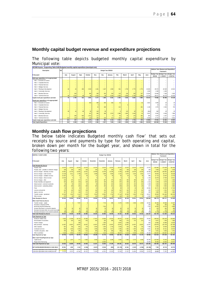### **Monthly capital budget revenue and expenditure projections**

The following table depicts budgeted monthly capital expenditure by Municipal vote:

| WC048 Knysna - Supporting Table SA28 Budgeted monthly capital expenditure (municipal vote) |                 |      |         |                            |         |         |         |                                |         |         |         |                 |         |                    |                                     |                    |
|--------------------------------------------------------------------------------------------|-----------------|------|---------|----------------------------|---------|---------|---------|--------------------------------|---------|---------|---------|-----------------|---------|--------------------|-------------------------------------|--------------------|
| Description                                                                                | <sup></sup> Ref |      |         |                            |         |         |         | Budget Year 2015/16            |         |         |         |                 |         |                    | Medium Term Revenue and Expenditure |                    |
|                                                                                            |                 |      |         |                            |         |         |         |                                |         |         |         |                 |         |                    | Framework                           |                    |
| R thousand                                                                                 |                 | July | August  | Sept.                      | October | Nov.    | Dec.    | January                        | Feb.    | March   | April   | May             | June    | <b>Budget Year</b> | <b>Budget Year</b>                  | <b>Budget Year</b> |
|                                                                                            |                 |      |         |                            |         |         |         |                                |         |         |         |                 |         | 2015/16            | +1 2016/17                          | $+22017/18$        |
| Multi-year expenditure to be appropriated                                                  |                 |      |         |                            |         |         |         |                                |         |         |         |                 |         |                    |                                     |                    |
| Vote 1 - Executive & Council                                                               |                 |      | ٠       | ۰                          | $=$     |         |         |                                |         |         |         |                 |         |                    |                                     |                    |
| Vote 2 - Corporate Services                                                                |                 |      | ٠       | ٠                          | $=$     |         |         |                                |         |         |         |                 |         |                    |                                     |                    |
| Vote 3 - Financial Services                                                                |                 |      |         | ٠                          | $=$     |         |         |                                |         |         |         |                 |         |                    |                                     |                    |
| Vote 4 - Strategic Services                                                                |                 |      | ٠       | ٠                          | $=$     |         |         |                                |         |         |         |                 |         |                    |                                     |                    |
| Vote 5 - Planning & Development                                                            |                 | 28   | 44      | 265                        | 2 0 4 3 | 1 4 6 1 | 1 1 8 7 | 1939                           | 561     | 1 700   | 1 770   | 1 770           | 16 605  | 29 372             | 22 029                              | 16 522             |
| Vote 6 - Community Services                                                                |                 |      | $\sim$  | $\equiv$                   | $=$     |         |         |                                |         |         |         | -               | 1 0 3 0 | 1 0 3 0            | 1 0 0 0                             |                    |
| Vote 7 - Flectrical Services                                                               |                 |      | 200     | ٠                          | 500     | 200     | 150     | 150                            | 213     | 150     | 150     | 227             | 13 9 24 | 15 863             | 7 209                               | 3 4 3 2            |
| Vote 8 - Technical Services                                                                |                 | 48   | 1515    | 48                         | 48      | 1515    | 48      | 3 2 4 3                        | 1 630   | 2 0 6 8 | 2.709   | 1989            | 13 7 55 | 28 617             | 18 170                              | 20 195             |
| Capital multi-year expenditure sub-total                                                   | $\overline{2}$  | 75   | 1759    | <b>The Contract</b><br>313 | 2 5 9 1 | 3177    | 1 385   | <b>The Contract</b><br>5 3 3 2 | 2 4 0 4 | 3 9 18  | 4 629   | 3 986           | 45 3 14 | 74 882             | 48 408                              | 40 149             |
| Single-year expenditure to be appropriated                                                 |                 |      |         |                            |         |         |         |                                |         |         |         |                 |         |                    |                                     |                    |
| Vote 1 - Executive & Council                                                               |                 |      | ٠       | ٠                          | 433     | 448     | 433     | 433                            | 16      |         |         | 16              | 2822    | 4 600              | 20                                  | 20                 |
| Vote 2 - Corporate Services                                                                |                 |      | ٠       | ٠                          | $=$     |         |         |                                |         |         |         |                 |         | 10                 | 10                                  | 10                 |
| Vote 3 - Financial Services                                                                |                 |      | ٠       | ۰                          | ۰       | 24      | 190     |                                | 212     |         |         | 401             | 1 1 4 8 | 1975               | 1 5 0 4                             | 745                |
| Vote 4 - Strategic Services                                                                |                 |      | ٠       | ۳                          | ٠       | ٠       |         |                                |         |         |         |                 |         |                    |                                     |                    |
| Vote 5 - Planning & Development                                                            |                 | 28   | 44      | 48                         | 56      | 144     | 39      |                                |         | 123     | 62      | 70 <sub>1</sub> | (361)   | 260                | 20                                  | 20                 |
| Vote 6 - Community Services                                                                |                 |      | $\sim$  | $\equiv$                   | 167     | 260     | 168     | 1570                           | 1588    | 1682    | 1 4 0 4 | 16              | 3 0 9 7 | 9 9 5 2            | 6 6 3 9                             | 7859               |
| Vote 7 - Electrical Services                                                               |                 |      | 290     | 550                        | 1911    | 117     | ۰       | 17                             | 56      | 44      | 176     | 262             | 834     | 4 257              | 1 4 2 7                             | 1 1 4 7            |
| Vote 8 - Technical Services                                                                |                 | 113  | 113     | 113                        | 113     | 190     | 123     | 113                            | 163     | 133     | 113     | 113             | 5 3 4 6 | 6 747              | 12 21 2                             | 9 0 4 2            |
| Capital single-year expenditure sub-total                                                  | $\overline{2}$  | 141  | 447     | 711                        | 2679    | 1 188   | 952     | 2 1 3 3                        | 2 0 4 4 | 1987    | 1754    | 878             | 12886   | 27 801             | 21 832                              | 18 843             |
| <b>Total Capital Expenditure</b>                                                           | $\overline{2}$  | 216  | 2 2 0 6 | 1 0 24                     | 5 270   | 4 3 6 5 | 2 3 3 7 | 7465                           | 4 4 4 8 | 5 9 0 5 | 6 3 8 3 | 4 8 6 4         | 58 200  | 102 683            | 70 240                              | 58 992             |

### **Monthly cash flow projections**

The below table indicates Budgeted monthly cash flow' that sets out receipts by source and payments by type for both operating and capital, broken down per month for the budget year, and shown in total for the following two years:

| <b>MONTHLY CASH FLOWS</b>                                                                      |                  |                 |                  |                  |                          | Budget Year 2015/16 |                   |                  |                 |                 |                  |                  |                               | Medium Term Revenue and Expenditure<br>Framework |                                  |
|------------------------------------------------------------------------------------------------|------------------|-----------------|------------------|------------------|--------------------------|---------------------|-------------------|------------------|-----------------|-----------------|------------------|------------------|-------------------------------|--------------------------------------------------|----------------------------------|
| R thousand                                                                                     | July             | August          | Sept.            | October          | November                 | December            | January           | February         | March           | April           | May              | June             | <b>Budget Year</b><br>2015/16 | <b>Budget Year</b><br>+1 2016/17                 | <b>Budget Year</b><br>+2 2017/18 |
| Cash Receipts By Source                                                                        |                  |                 |                  |                  |                          |                     |                   |                  |                 |                 |                  |                  |                               |                                                  |                                  |
| Property rates                                                                                 | 13 570           | 13 570          | 13 570           | 13 570           | 13 570                   | 13 570              | 13 570            | 13 570           | 13 570          | 13 570          | 13 570           | 13 570           | 162 845                       | 179 108                                          | 191 646                          |
| Property rates - penalties & collection charges                                                | 239              | 239             | 239              | 239              | 239                      | 239                 | 239               | 239              | 239             | 239             | 239              | 239              | 2863                          | 3 164                                            | 3 4 4 9                          |
| Service charges - electricity revenue                                                          | 19 061           | 14 753          | 14 681           | 14 5 21          | 14 499                   | 15 700              | 15 25 6           | 9 10 6           | 14 938          | 14 679          | 14 033           | 43 038           | 204 264                       | 233 091                                          | 262 670                          |
| Service charges - water revenue                                                                | 14 13 6          | 3 2 1 1         | 2 7 8 3          | 2 2 4 1          | 2 6 9 8                  | 2 4 8 9             | 4 0 8 4           | 3 10 2           | 3 0 7 6         | 3 1 8 4         | 2 3 6 1          | 6577             | 49 943                        | 63 775                                           | 68 238                           |
| Service charges - sanitation revenue                                                           | 10 267           | 57              | 57               | 56               | 57                       | 56                  | 55                | 55               | 56              | 55              | 56               | 885              | 11 713                        | 12824                                            | 13 7 23                          |
| Service charges - refuse revenue                                                               | 14 5 34          | 5               | 6                | 4                | 5                        | $\Lambda$           | $\boldsymbol{A}$  | 5                | $\overline{2}$  | 5               | 6                | 1 100            | 15 679                        | 17 646                                           | 19 411                           |
| Service charges - other                                                                        | 318              | 275             | 317              | 271              | 281                      | 287                 | 275               | 281              | 303             | 286             | 287              | 597              | 3 7 7 7                       | 4 1 1 6                                          | 4 4 8 6                          |
| Rental of facilities and equipment                                                             | 334              | 260             | 323              | 329              | 332                      | 328                 | 434               | 367              | 359             | 361             | 365              | 1416             | 5 208                         | 5 6 7 8                                          | 6 190                            |
| Interest earned - external investments                                                         | 58               | 58              | 222              | 58               | 58                       | 304                 | 222               | 222              | 222             | 222             | 222              | 1 3 2 8          | 3 200                         | 3 4 0 0                                          | 3 600                            |
| Interest earned - outstanding debtors                                                          | 293              | 298             | 284              | 308              | 294                      | 290                 | 251               | 258              | 243             | 250             | 148              | 447              | 3 3 6 5                       | 3 5 6 5                                          | 3 8 8 5                          |
| Fines                                                                                          | 55               | 50              | 33               | 52               | 42                       | 43                  | 49                | 58               | 93              | 46              | 69               | 15 881           | 16 471                        | 14 494                                           | 17 240                           |
| Licences and permits                                                                           | 134              | 129             | 132              | 158              | 140                      | 106                 | 190               | 181              | 192             | 173             | 191              | 452              | 2 1 7 9                       | 2 3 3 1                                          | 2 5 4 1                          |
| Agency services                                                                                | 157              | 157             | 146              | 171              | 149                      | 142                 | 151               | 147              | 130             | 141             | 154              | 205              | 1850                          | 1950                                             | 1960                             |
| Transfer receipts - operational                                                                | 19 19 3          | 1 2 6 2         | 1 4 1 2          | 1 1 3 8          | 2 5 6 4                  | 13 902              | 1 7 8 2           | 17 116           | 12 39 3         | 1645            | 1 780            | 19 617           | 93 803                        | 104 483                                          | 108 783                          |
| Other rev enue                                                                                 | 570              | 56              | 349              | 15               | 136                      | 336                 | 35                | 165              | 322             | 55              | 79               | 1 502            | 3 6 19                        | 4 0 8 9                                          | 5 1 1 5                          |
| Cash Receipts by Source                                                                        | 92919            | 34 380          | 34 555           | 33 131           | 35 065                   | 47 795              | 36 597            | 44 873           | 46 139          | 34 911          | 33 561           | 106 854          | 580 779                       | 653 717                                          | 712 938                          |
|                                                                                                |                  |                 |                  |                  |                          |                     |                   |                  |                 |                 |                  |                  |                               |                                                  |                                  |
| Other Cash Flows by Source<br>Transfer receipts - capital                                      | 3                | $\overline{3}$  | 7 9 5 7          | $\overline{3}$   | $\overline{3}$           | 7719                | 398               | 9 278            | 9 2 9 4         | 2 0 6 9         | 1 0 0 3          | 18 5 35          | 56 265                        | 46 586                                           | 41 027                           |
| Proceeds on disposal of PPE                                                                    |                  |                 |                  |                  |                          |                     |                   |                  |                 |                 |                  | 250              | 250                           | 250                                              | 250                              |
| Borrow ing long term/refinancing                                                               |                  |                 | ٠                | ۳                | $\overline{\phantom{a}}$ | 7516                | $\qquad \qquad -$ |                  |                 | ۰               | ۰                | 7516             | 15 03 2                       | 11 570                                           | 9 6 6 0                          |
| Increase (decrease) in consumer deposits                                                       | 36               | 36              | 36               | 36               | 36                       | 36                  | 36                | 36               | 36              | 36              | 36               | 36               | 433                           | 450                                              | 468                              |
| Decrease (increase) other non-current receiv able                                              | 10               | 10              | 10               | 10 <sup>10</sup> | 10                       | 10                  | 10                | 10               | 10              | 10              | 10               | 10               | 125                           | 125                                              | 125                              |
| Decrease (increase) in non-current investments                                                 | (95)             | (95)            | (95)             | (95)             | (95)                     | (95)                | (95)              | (95)             | (95)            | (95)            | (95)             | (95)             | (1136)                        | (1193)                                           | (1252)                           |
| Total Cash Receipts by Source                                                                  | 92874            | 34 335          | 42 464           | 33 085           | 35 020                   | 62 982              | 36 946            | 54 103           | 55 385          | 36 932          | 34516            | 133 107          | 651748                        | 711 505                                          | 763 215                          |
| ash Payments by Type                                                                           |                  |                 |                  |                  |                          |                     |                   |                  |                 |                 |                  |                  |                               |                                                  |                                  |
| Employee related costs                                                                         | 9 9 2 3          | 11 046          | 18 770           | 10 280           | 17 407                   | 10 583              | 10 5 15           | 40 675           | 11 657          | 10 924          | 10 917           | 25 829           | 188 525                       | 203 156                                          | 216 965                          |
| Remuneration of councillors                                                                    | 525              | 525             | 525              | 525              | 525                      | 525                 | 560               | 650              | 572             | 572             | 572              | 741              | 6817                          | 7 2 9 4                                          | 7804                             |
| Finance charges                                                                                |                  | ٠               | 339              | ÷,               | ٠                        | 1 3 0 2             | ٠                 | 8 8 0 7          | 2590            | ÷               | ٠                | 925              | 13 962                        | 15 5 8 6                                         | 16 520                           |
| Bulk purchases - Electricity                                                                   | 10 907           | 10 907          | 10 907           | 10 907           | 10 907                   | 10 907              | 10 907            | 10 907           | 10 907          | 10 907          | 10 907           | 10 907           | 130 879                       | 152 136                                          | 167 346                          |
| Other materials                                                                                | 597              | 756             | 691              | 779              | 2 3 5 5                  | 1500                | 1 743             | 3 0 0 3          | 919             | 946             | 725              | 7588             | 21 601                        | 19 509                                           | 20 599                           |
| Contracted services                                                                            | 833              | 1 3 5 0         | 1845             | 1831             | 1 3 8 6                  | 2 3 5 8             | 1517              | 1955             | 1 3 8 5         | 1482            | 1 2 2 4          | 8 9 4 1          | 26 108                        | 24 15 1                                          | 24 673                           |
| Transfers and grants - other                                                                   | 443              | 933             | 495              | 412              | 366                      | 366                 | 366               | 366              | 366             | 366             | 366              | 787              | 5 631                         | 5 6 6 5                                          | 5 781                            |
| Other expenditure                                                                              | 6528             | 5 9 5 6         | 5 705            | 5 2 7 1          | 5 2 4 3                  | 4 1 9 4             | 5 3 5 3           | 35 827           | 6 144           | 8 4 0 8         | 6 3 9 3          | 33 26 6          | 128 287                       | 145 697                                          | 151 733                          |
| Cash Payments by Type                                                                          | 29 756           | 31 473          | 39 276           | 30 003           | 38 189                   | 31 733              | 30 960            | 102 190          | 34 539          | 33 604          | 31 104           | 88 983           | 521 810                       | 573 194                                          | 611 421                          |
| Other Cash Flows/Payments by Type                                                              |                  |                 |                  |                  |                          |                     |                   |                  |                 |                 |                  |                  |                               |                                                  |                                  |
| Capital assets                                                                                 | 167              | 1 207           | 777              | 4 9 3 6          | 3 4 5 8                  | 2 2 2 1             | 6 289             | 3 0 9 2          | 4 4 8 6         | 5 2 7 5         | 4 4 6 8          | 66 309           | 102 683                       | 70 240                                           | 58 992                           |
| Repay ment of borrowing                                                                        |                  |                 |                  |                  |                          | 10 000              |                   |                  |                 |                 |                  | 10 000           | 20 000                        | 19 35 3                                          | 24 077                           |
| <b>Total Cash Payments by Type</b>                                                             | 29 923           | 32 680          | 40 053           | 34 939           | 41 647                   | 43 954              | 37 249            | 105 281          | 39 024          | 38 879          | 35 572           | 165 292          | 644 493                       | 662 787                                          | 694 490                          |
|                                                                                                |                  |                 |                  |                  |                          |                     |                   |                  |                 |                 |                  |                  |                               |                                                  |                                  |
| NET INCREASE/(DECREASE) IN CASH HELD                                                           | 62 951           | 1655            | 2 4 1 0          | (1854)           | (6.627)                  | 19 0 28             | (303)             | (51178)          | 16 361          | (1947)          | (1056)           | (32 185)         | 7 2 5 5                       | 48 718                                           | 68 725                           |
| Cash/cash equivalents at the month year begin:<br>Cash/cash equivalents at the month/vear end: | 15 368<br>78 319 | 78319<br>79 974 | 79.974<br>82 385 | 82 385<br>80 531 | छा ५३१<br>73 904         | 73 904<br>92 931    | 92 931<br>92 629  | 92 629<br>41 450 | 41 450<br>57811 | 57 डा<br>55 864 | 55 864<br>54 808 | 54 808<br>22 623 | 15.368<br>22 623              | 22.623<br>71 341                                 | 71341<br>140 065                 |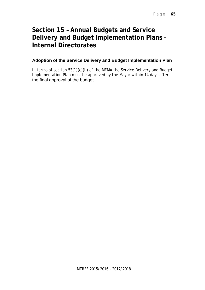## **Section 15 – Annual Budgets and Service Delivery and Budget Implementation Plans – Internal Directorates**

## **Adoption of the Service Delivery and Budget Implementation Plan**

In terms of section 53(1)(c)(ii) of the MFMA the Service Delivery and Budget Implementation Plan must be approved by the Mayor within 14 days after the final approval of the budget.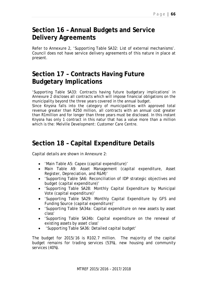## **Section 16 – Annual Budgets and Service Delivery Agreements**

Refer to Annexure 2, 'Supporting Table SA32: List of external mechanisms'. Council does not have service delivery agreements of this nature in place at present.

## **Section 17 – Contracts Having Future Budgetary Implications**

'Supporting Table SA33: Contracts having future budgetary implications' in Annexure 2 discloses all contracts which will impose financial obligations on the municipality beyond the three years covered in the annual budget.

Since Knysna falls into the category of municipalities with approved total revenue greater than R250 million, all contracts with an annual cost greater than R1million and for longer than three years must be disclosed. In this instant Knysna has only 1 contract in this natur that has a value more than a million which is the: Melville Development: Customer Care Centre.

## **Section 18 – Capital Expenditure Details**

Capital details are shown in Annexure 2:

- 'Main Table A5: Capex (capital expenditure)'
- Main Table A9: Asset Management (capital expenditure, Asset Register, Depreciation, and R&M)'
- 'Supporting Table SA6: Reconciliation of IDP strategic objectives and budget (capital expenditure)'
- 'Supporting Table SA28: Monthly Capital Expenditure by Municipal Vote (capital expenditure)'
- 'Supporting Table SA29: Monthly Capital Expenditure by GFS and Funding Source (capital expenditure)'
- 'Supporting Table SA34a: Capital expenditure on new assets by asset class'
- 'Supporting Table SA34b: Capital expenditure on the renewal of existing assets by asset class'
- 'Supporting Table SA36: Detailed capital budget'

The budget for 2015/16 is R102.7 million. The majority of the capital budget remains for trading services (53%), new housing and community services (40%).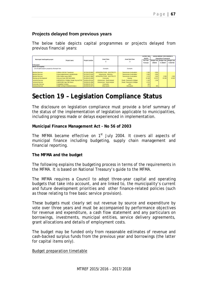## **Projects delayed from previous years**

The below table depicts capital programmes or projects delayed from previous financial years:

|                                                     |                                               |                  |                                     |                             | Current Year |         | 2015/16 Medium Term Revenue &           |             |
|-----------------------------------------------------|-----------------------------------------------|------------------|-------------------------------------|-----------------------------|--------------|---------|-----------------------------------------|-------------|
| Municipal Vote/Capital project                      |                                               |                  | <b>Asset Class</b>                  | Asset Sub-Class             | 2014/15      |         | <b>Expenditure Framework</b>            |             |
|                                                     | Project name                                  | Project number   |                                     |                             | Full Year    |         | Budget Year   Budget Year   Budget Year |             |
|                                                     |                                               |                  |                                     |                             | Forecast     | 2015/16 | +1 2016/17                              | $+22017/18$ |
| R thousand                                          |                                               |                  |                                     |                             |              |         |                                         |             |
| Parent municipality:                                |                                               |                  |                                     |                             |              |         |                                         |             |
| List all capital projects grouped by Municipal Vote |                                               |                  | Examples                            | Examples                    |              |         |                                         |             |
|                                                     |                                               |                  |                                     |                             |              |         |                                         |             |
| <b>Electrical Services</b>                          | 0-20MVA: 66/11kV Transformer                  | 28-76-82-20-8002 | <b>INFRASTRUCTURE - FLECTRICITY</b> | Transmission & reticulation | 1 200        | 8 0 0 0 |                                         |             |
| <b>Electrical Services</b>                          | 0-Asset replacements & refurbishments         | 28-76-82-27-8126 | Infrastructure - Electricity        | Transmission & reticulation | 1854         | 3 0 0 0 |                                         |             |
| <b>Electrical Services</b>                          | 0-Elec Nothern areas (INEP)                   | 28-76-84-27-9060 | <b>INFRASTRUCTURE - ELECTRICITY</b> | Transmission & reticulation | 1573         | 5 2 6 3 | 3 5 0 9                                 | 2 6 3 2     |
| Planning and Development                            | 0-Knysna Vision 2002 (Infr) (IHHS)            | 28-48-84-22-4005 | Community                           | Housing                     | 13 40 8      | 29 37 2 | 22 0 29                                 | 16 522      |
| <b>Technical Services</b>                           | 0-MIG195749 L/I S/Walks Greater Knysna Ph III | 28-88-84-29-5104 | Infrastructure - Road transport     | Roads, Pavements & Bridges  | 1 1 5 0      | 1 2 4 6 |                                         |             |
| <b>Technical Services</b>                           | 0-MIG221955 Upgr CBD Sewer                    | 28-89-85-31-0069 | Infrastructure - Road transport     | Roads, Pavements & Bridges  | 4 5 7 4      |         |                                         |             |
| <b>Community Services</b>                           | 0-Sedgefield Cemetery                         | 28-39-80-20-7017 | Community                           | other                       | 165          |         |                                         |             |
| <b>Technical Services</b>                           | 0-Water ret:Repl & Refurbishment(Ln)          | 28-93-80-32-3077 | Other assets                        | Reticulation                | 171          | 840     |                                         |             |

# **Section 19 – Legislation Compliance Status**

The disclosure on legislation compliance must provide a brief summary of the status of the implementation of legislation applicable to municipalities, including progress made or delays experienced in implementation.

### **Municipal Finance Management Act - No 56 of 2003**

The MFMA became effective on  $1<sup>st</sup>$  July 2004. It covers all aspects of municipal finance including budgeting, supply chain management and financial reporting.

### **The MFMA and the budget**

The following explains the budgeting process in terms of the requirements in the MFMA. It is based on National Treasury's guide to the MFMA.

The MFMA requires a Council to adopt three-year capital and operating budgets that take into account, and are linked to, the municipality's current and future development priorities and other finance-related policies (such as those relating to free basic service provision).

These budgets must clearly set out revenue by source and expenditure by vote over three years and must be accompanied by performance objectives for revenue and expenditure, a cash flow statement and any particulars on borrowings, investments, municipal entities, service delivery agreements, grant allocations and details of employment costs.

The budget may be funded only from reasonable estimates of revenue and cash-backed surplus funds from the previous year and borrowings (the latter for capital items only).

### Budget preparation timetable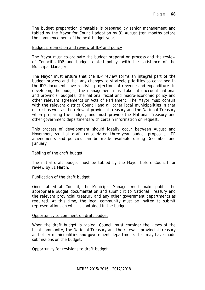The budget preparation timetable is prepared by senior management and tabled by the Mayor for Council adoption by 31 August (ten months before the commencement of the next budget year).

### Budget preparation and review of IDP and policy

The Mayor must co-ordinate the budget preparation process and the review of Council's IDP and budget-related policy, with the assistance of the Municipal Manager.

The Mayor must ensure that the IDP review forms an integral part of the budget process and that any changes to strategic priorities as contained in the IDP document have realistic projections of revenue and expenditure. In developing the budget, the management must take into account national and provincial budgets, the national fiscal and macro-economic policy and other relevant agreements or Acts of Parliament. The Mayor must consult with the relevant district Council and all other local municipalities in that district as well as the relevant provincial treasury and the National Treasury when preparing the budget, and must provide the National Treasury and other government departments with certain information on request.

This process of development should ideally occur between August and November, so that draft consolidated three-year budget proposals, IDP amendments and policies can be made available during December and January.

### Tabling of the draft budget

The initial draft budget must be tabled by the Mayor before Council for review by 31 March.

### Publication of the draft budget

Once tabled at Council, the Municipal Manager must make public the appropriate budget documentation and submit it to National Treasury and the relevant provincial treasury and any other government departments as required. At this time, the local community must be invited to submit representations on what is contained in the budget.

#### Opportunity to comment on draft budget

When the draft budget is tabled, Council must consider the views of the local community, the National Treasury and the relevant provincial treasury and other municipalities and government departments that may have made submissions on the budget.

### Opportunity for revisions to draft budget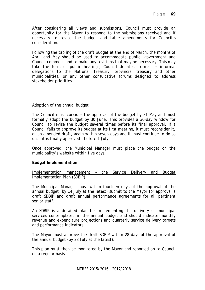After considering all views and submissions, Council must provide an opportunity for the Mayor to respond to the submissions received and if necessary to revise the budget and table amendments for Council's consideration.

Following the tabling of the draft budget at the end of March, the months of April and May should be used to accommodate public, government and Council comment and to make any revisions that may be necessary. This may take the form of public hearings, Council debates, formal or informal delegations to the National Treasury, provincial treasury and other municipalities, or any other consultative forums designed to address stakeholder priorities.

### Adoption of the annual budget

The Council must consider the approval of the budget by 31 May and must formally adopt the budget by 30 June. This provides a 30-day window for Council to revise the budget several times before its final approval. If a Council fails to approve its budget at its first meeting, it must reconsider it, or an amended draft, again within seven days and it must continue to do so until it is finally approved – before 1 July.

Once approved, the Municipal Manager must place the budget on the municipality's website within five days.

### **Budget Implementation**

Implementation management – the Service Delivery and Budget Implementation Plan (SDBIP)

The Municipal Manager must within fourteen days of the approval of the annual budget (by 14 July at the latest) submit to the Mayor for approval a draft SDBIP and draft annual performance agreements for all pertinent senior staff.

An SDBIP is a detailed plan for implementing the delivery of municipal services contemplated in the annual budget and should indicate monthly revenue and expenditure projections and quarterly service delivery targets and performance indicators.

The Mayor must approve the draft SDBIP within 28 days of the approval of the annual budget (by 28 July at the latest).

This plan must then be monitored by the Mayor and reported on to Council on a regular basis.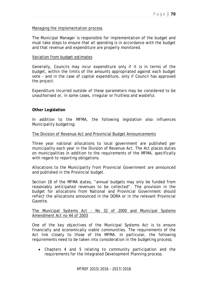### Managing the implementation process

The Municipal Manager is responsible for implementation of the budget and must take steps to ensure that all spending is in accordance with the budget and that revenue and expenditure are properly monitored.

### Variation from budget estimates

Generally, Councils may incur expenditure only if it is in terms of the budget, within the limits of the amounts appropriated against each budget vote – and in the case of capital expenditure, only if Council has approved the project.

Expenditure incurred outside of these parameters may be considered to be unauthorised or, in some cases, irregular or fruitless and wasteful.

### **Other Legislation**

In addition to the MFMA, the following legislation also influences Municipality budgeting;

### The Division of Revenue Act and Provincial Budget Announcements

Three year national allocations to local government are published per municipality each year in the Division of Revenue Act. The Act places duties on municipalities in addition to the requirements of the MFMA, specifically with regard to reporting obligations.

Allocations to the Municipality from Provincial Government are announced and published in the Provincial budget.

Section 18 of the MFMA states, "annual budgets may only be funded from reasonably anticipated revenues to be collected". The provision in the budget for allocations from National and Provincial Government should reflect the allocations announced in the DORA or in the relevant Provincial Gazette.

### The Municipal Systems Act - No 32 of 2000 and Municipal Systems Amendment Act no 44 of 2003

One of the key objectives of the Municipal Systems Act is to ensure financially and economically viable communities. The requirements of the Act link closely to those of the MFMA. In particular, the following requirements need to be taken into consideration in the budgeting process;

 Chapters 4 and 5 relating to community participation and the requirements for the Integrated Development Planning process.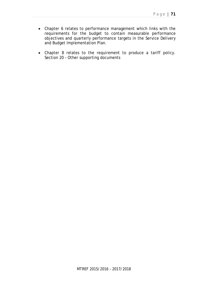- Chapter 6 relates to performance management which links with the requirements for the budget to contain measurable performance objectives and quarterly performance targets in the Service Delivery and Budget Implementation Plan.
- Chapter 8 relates to the requirement to produce a tariff policy. Section 20 – Other supporting documents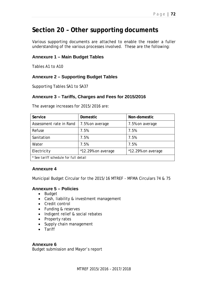## **Section 20 – Other supporting documents**

Various supporting documents are attached to enable the reader a fuller understanding of the various processes involved. These are the following:

### **Annexure 1 – Main Budget Tables**

Tables A1 to A10

### **Annexure 2 – Supporting Budget Tables**

Supporting Tables SA1 to SA37

### **Annexure 3 – Tariffs, Charges and Fees for 2015/2016**

| Service                               | <b>Domestic</b>    | Non-domestic       |
|---------------------------------------|--------------------|--------------------|
| Assessment rate in Rand               | 7.5% on average    | 7.5% on average    |
| Refuse                                | 7.5%               | 7.5%               |
| Sanitation                            | 7.5%               | 7.5%               |
| Water                                 | 7.5%               | 7.5%               |
| Electricity                           | *12.29% on average | *12.29% on average |
| * See tariff schedule for full detail |                    |                    |

The average increases for 2015/2016 are:

### **Annexure 4**

Municipal Budget Circular for the 2015/16 MTREF - MFMA Circulars 74 & 75

### **Annexure 5 – Policies**

- Budget
- Cash, liability & investment management
- Credit control
- Funding & reserves
- Indigent relief & social rebates
- Property rates
- Supply chain management
- Tariff

### **Annexure 6**

Budget submission and Mayor's report